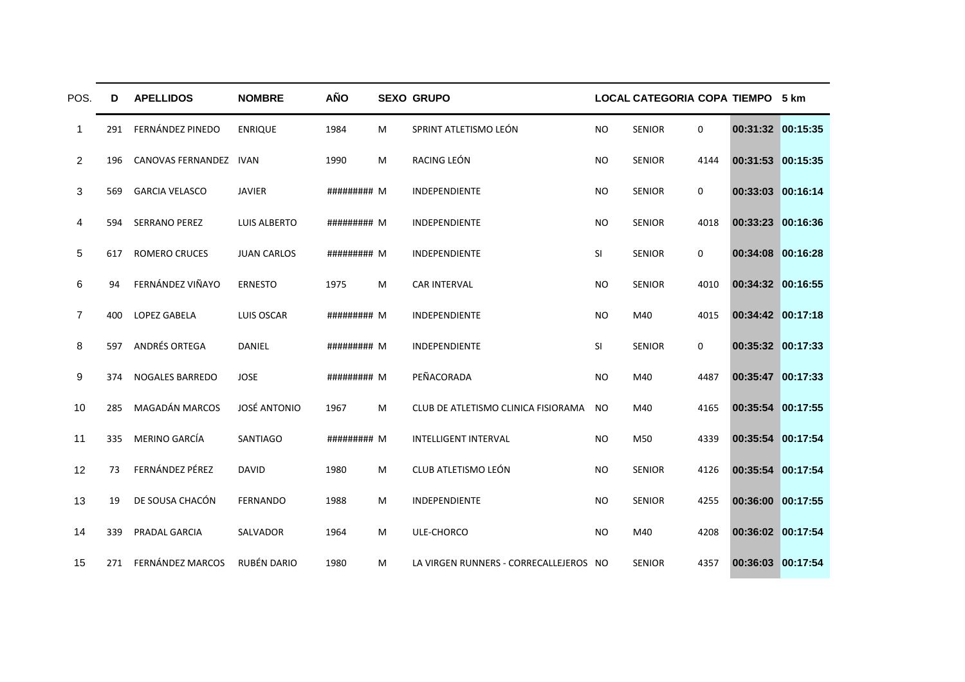| POS.           | D   | <b>APELLIDOS</b>       | <b>NOMBRE</b>       | <b>AÑO</b>  |   | <b>SEXO GRUPO</b>                      |           | LOCAL CATEGORIA COPA TIEMPO 5 km |             |                   |  |
|----------------|-----|------------------------|---------------------|-------------|---|----------------------------------------|-----------|----------------------------------|-------------|-------------------|--|
| 1              | 291 | FERNÁNDEZ PINEDO       | <b>ENRIQUE</b>      | 1984        | M | SPRINT ATLETISMO LEÓN                  | <b>NO</b> | <b>SENIOR</b>                    | $\mathbf 0$ | 00:31:32 00:15:35 |  |
| $\overline{2}$ | 196 | CANOVAS FERNANDEZ IVAN |                     | 1990        | M | RACING LEÓN                            | <b>NO</b> | <b>SENIOR</b>                    | 4144        | 00:31:53 00:15:35 |  |
| 3              | 569 | <b>GARCIA VELASCO</b>  | <b>JAVIER</b>       | ######### M |   | INDEPENDIENTE                          | <b>NO</b> | <b>SENIOR</b>                    | 0           | 00:33:03 00:16:14 |  |
| 4              | 594 | <b>SERRANO PEREZ</b>   | <b>LUIS ALBERTO</b> | ######### M |   | INDEPENDIENTE                          | <b>NO</b> | <b>SENIOR</b>                    | 4018        | 00:33:23 00:16:36 |  |
| 5              | 617 | <b>ROMERO CRUCES</b>   | <b>JUAN CARLOS</b>  | ######### M |   | INDEPENDIENTE                          | SI        | <b>SENIOR</b>                    | 0           | 00:34:08 00:16:28 |  |
| 6              | 94  | FERNÁNDEZ VIÑAYO       | <b>ERNESTO</b>      | 1975        | M | <b>CAR INTERVAL</b>                    | <b>NO</b> | <b>SENIOR</b>                    | 4010        | 00:34:32 00:16:55 |  |
| $\overline{7}$ | 400 | <b>LOPEZ GABELA</b>    | LUIS OSCAR          | ######### M |   | <b>INDEPENDIENTE</b>                   | <b>NO</b> | M40                              | 4015        | 00:34:42 00:17:18 |  |
| 8              | 597 | ANDRÉS ORTEGA          | <b>DANIEL</b>       | ######### M |   | INDEPENDIENTE                          | SI        | <b>SENIOR</b>                    | 0           | 00:35:32 00:17:33 |  |
| 9              | 374 | <b>NOGALES BARREDO</b> | <b>JOSE</b>         | ######### M |   | PEÑACORADA                             | <b>NO</b> | M40                              | 4487        | 00:35:47 00:17:33 |  |
| 10             | 285 | <b>MAGADÁN MARCOS</b>  | <b>JOSÉ ANTONIO</b> | 1967        | M | CLUB DE ATLETISMO CLINICA FISIORAMA    | <b>NO</b> | M40                              | 4165        | 00:35:54 00:17:55 |  |
| 11             | 335 | MERINO GARCÍA          | <b>SANTIAGO</b>     | ######### M |   | <b>INTELLIGENT INTERVAL</b>            | <b>NO</b> | M50                              | 4339        | 00:35:54 00:17:54 |  |
| 12             | 73  | FERNÁNDEZ PÉREZ        | <b>DAVID</b>        | 1980        | M | CLUB ATLETISMO LEÓN                    | <b>NO</b> | <b>SENIOR</b>                    | 4126        | 00:35:54 00:17:54 |  |
| 13             | 19  | DE SOUSA CHACÓN        | <b>FERNANDO</b>     | 1988        | M | INDEPENDIENTE                          | <b>NO</b> | <b>SENIOR</b>                    | 4255        | 00:36:00 00:17:55 |  |
| 14             | 339 | PRADAL GARCIA          | <b>SALVADOR</b>     | 1964        | M | ULE-CHORCO                             | <b>NO</b> | M40                              | 4208        | 00:36:02 00:17:54 |  |
| 15             |     | 271 FERNÁNDEZ MARCOS   | RUBÉN DARIO         | 1980        | M | LA VIRGEN RUNNERS - CORRECALLEJEROS NO |           | <b>SENIOR</b>                    | 4357        | 00:36:03 00:17:54 |  |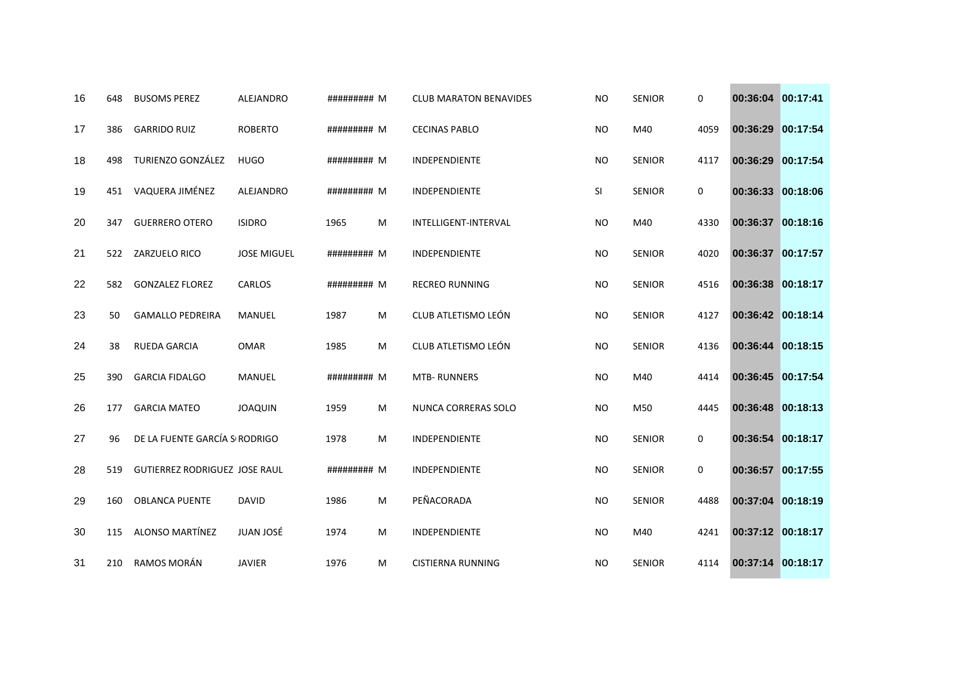| 16 | 648 | <b>BUSOMS PEREZ</b>                  | <b>ALEJANDRO</b>   | ######### M |   | <b>CLUB MARATON BENAVIDES</b> | <b>NO</b> | <b>SENIOR</b> | $\mathbf 0$ | 00:36:04 00:17:41 |          |
|----|-----|--------------------------------------|--------------------|-------------|---|-------------------------------|-----------|---------------|-------------|-------------------|----------|
| 17 | 386 | <b>GARRIDO RUIZ</b>                  | <b>ROBERTO</b>     | ######### M |   | <b>CECINAS PABLO</b>          | <b>NO</b> | M40           | 4059        | 00:36:29 00:17:54 |          |
| 18 | 498 | TURIENZO GONZÁLEZ                    | <b>HUGO</b>        | ######### M |   | INDEPENDIENTE                 | <b>NO</b> | <b>SENIOR</b> | 4117        | 00:36:29 00:17:54 |          |
| 19 | 451 | VAQUERA JIMÉNEZ                      | <b>ALEJANDRO</b>   | ######### M |   | <b>INDEPENDIENTE</b>          | SI        | <b>SENIOR</b> | $\mathbf 0$ | 00:36:33          | 00:18:06 |
| 20 | 347 | <b>GUERRERO OTERO</b>                | <b>ISIDRO</b>      | 1965        | M | INTELLIGENT-INTERVAL          | <b>NO</b> | M40           | 4330        | 00:36:37 00:18:16 |          |
| 21 | 522 | ZARZUELO RICO                        | <b>JOSE MIGUEL</b> | ######### M |   | INDEPENDIENTE                 | <b>NO</b> | <b>SENIOR</b> | 4020        | 00:36:37 00:17:57 |          |
| 22 | 582 | <b>GONZALEZ FLOREZ</b>               | CARLOS             | ######### M |   | <b>RECREO RUNNING</b>         | <b>NO</b> | <b>SENIOR</b> | 4516        | 00:36:38          | 00:18:17 |
| 23 | 50  | <b>GAMALLO PEDREIRA</b>              | <b>MANUEL</b>      | 1987        | M | CLUB ATLETISMO LEÓN           | <b>NO</b> | <b>SENIOR</b> | 4127        | 00:36:42 00:18:14 |          |
| 24 | 38  | <b>RUEDA GARCIA</b>                  | <b>OMAR</b>        | 1985        | M | CLUB ATLETISMO LEÓN           | <b>NO</b> | <b>SENIOR</b> | 4136        | 00:36:44 00:18:15 |          |
| 25 | 390 | <b>GARCIA FIDALGO</b>                | <b>MANUEL</b>      | ######### M |   | <b>MTB-RUNNERS</b>            | <b>NO</b> | M40           | 4414        | 00:36:45 00:17:54 |          |
| 26 | 177 | <b>GARCIA MATEO</b>                  | <b>JOAQUIN</b>     | 1959        | M | NUNCA CORRERAS SOLO           | <b>NO</b> | M50           | 4445        | 00:36:48 00:18:13 |          |
| 27 | 96  | DE LA FUENTE GARCÍA S RODRIGO        |                    | 1978        | M | <b>INDEPENDIENTE</b>          | <b>NO</b> | <b>SENIOR</b> | $\mathbf 0$ | 00:36:54 00:18:17 |          |
| 28 | 519 | <b>GUTIERREZ RODRIGUEZ JOSE RAUL</b> |                    | ######### M |   | INDEPENDIENTE                 | <b>NO</b> | <b>SENIOR</b> | 0           | 00:36:57 00:17:55 |          |
| 29 | 160 | <b>OBLANCA PUENTE</b>                | <b>DAVID</b>       | 1986        | M | PEÑACORADA                    | <b>NO</b> | <b>SENIOR</b> | 4488        | 00:37:04 00:18:19 |          |
| 30 | 115 | ALONSO MARTÍNEZ                      | JUAN JOSÉ          | 1974        | M | INDEPENDIENTE                 | <b>NO</b> | M40           | 4241        | 00:37:12 00:18:17 |          |
| 31 | 210 | RAMOS MORÁN                          | <b>JAVIER</b>      | 1976        | M | <b>CISTIERNA RUNNING</b>      | <b>NO</b> | <b>SENIOR</b> | 4114        | 00:37:14 00:18:17 |          |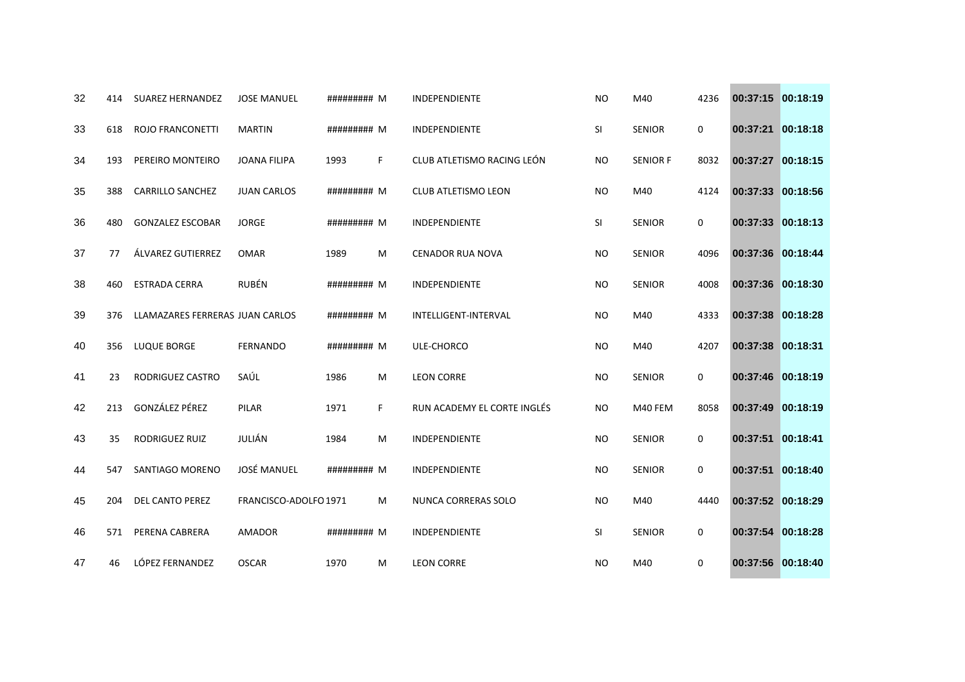| 32 | 414 | <b>SUAREZ HERNANDEZ</b>         | <b>JOSE MANUEL</b>    | ######### M |    | <b>INDEPENDIENTE</b>        | <b>NO</b> | M40             | 4236        | 00:37:15 00:18:19 |          |
|----|-----|---------------------------------|-----------------------|-------------|----|-----------------------------|-----------|-----------------|-------------|-------------------|----------|
| 33 | 618 | <b>ROJO FRANCONETTI</b>         | <b>MARTIN</b>         | ######### M |    | INDEPENDIENTE               | SI        | <b>SENIOR</b>   | 0           | 00:37:21 00:18:18 |          |
| 34 | 193 | PEREIRO MONTEIRO                | <b>JOANA FILIPA</b>   | 1993        | F. | CLUB ATLETISMO RACING LEÓN  | <b>NO</b> | <b>SENIOR F</b> | 8032        | 00:37:27 00:18:15 |          |
| 35 | 388 | <b>CARRILLO SANCHEZ</b>         | <b>JUAN CARLOS</b>    | ######### M |    | <b>CLUB ATLETISMO LEON</b>  | <b>NO</b> | M40             | 4124        | 00:37:33 00:18:56 |          |
| 36 | 480 | <b>GONZALEZ ESCOBAR</b>         | <b>JORGE</b>          | ######### M |    | <b>INDEPENDIENTE</b>        | SI        | <b>SENIOR</b>   | 0           | 00:37:33 00:18:13 |          |
| 37 | 77  | ÁLVAREZ GUTIERREZ               | <b>OMAR</b>           | 1989        | M  | <b>CENADOR RUA NOVA</b>     | <b>NO</b> | <b>SENIOR</b>   | 4096        | 00:37:36 00:18:44 |          |
| 38 | 460 | <b>ESTRADA CERRA</b>            | RUBÉN                 | ######### M |    | INDEPENDIENTE               | <b>NO</b> | <b>SENIOR</b>   | 4008        | 00:37:36 00:18:30 |          |
| 39 | 376 | LLAMAZARES FERRERAS JUAN CARLOS |                       | ######### M |    | <b>INTELLIGENT-INTERVAL</b> | <b>NO</b> | M40             | 4333        | 00:37:38 00:18:28 |          |
| 40 | 356 | <b>LUQUE BORGE</b>              | <b>FERNANDO</b>       | ######### M |    | ULE-CHORCO                  | <b>NO</b> | M40             | 4207        | 00:37:38          | 00:18:31 |
| 41 | 23  | RODRIGUEZ CASTRO                | SAÚL                  | 1986        | M  | <b>LEON CORRE</b>           | NO.       | <b>SENIOR</b>   | 0           | 00:37:46 00:18:19 |          |
| 42 | 213 | GONZÁLEZ PÉREZ                  | PILAR                 | 1971        | F. | RUN ACADEMY EL CORTE INGLÉS | <b>NO</b> | M40 FEM         | 8058        | 00:37:49 00:18:19 |          |
| 43 | 35  | <b>RODRIGUEZ RUIZ</b>           | JULIÁN                | 1984        | M  | <b>INDEPENDIENTE</b>        | <b>NO</b> | <b>SENIOR</b>   | $\mathbf 0$ | 00:37:51          | 00:18:41 |
| 44 | 547 | SANTIAGO MORENO                 | JOSÉ MANUEL           | ######### M |    | INDEPENDIENTE               | <b>NO</b> | <b>SENIOR</b>   | 0           | 00:37:51          | 00:18:40 |
| 45 | 204 | DEL CANTO PEREZ                 | FRANCISCO-ADOLFO 1971 |             | M  | NUNCA CORRERAS SOLO         | NO.       | M40             | 4440        | 00:37:52 00:18:29 |          |
| 46 | 571 | PERENA CABRERA                  | <b>AMADOR</b>         | ######### M |    | INDEPENDIENTE               | SI        | <b>SENIOR</b>   | $\mathbf 0$ | 00:37:54 00:18:28 |          |
| 47 | 46  | LÓPEZ FERNANDEZ                 | <b>OSCAR</b>          | 1970        | M  | <b>LEON CORRE</b>           | <b>NO</b> | M40             | 0           | 00:37:56 00:18:40 |          |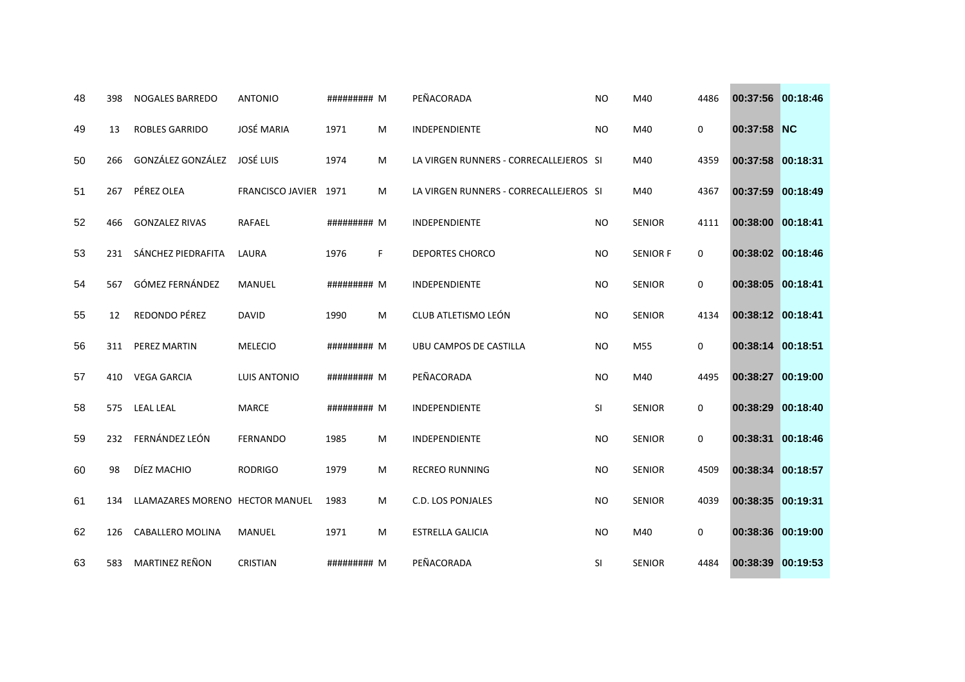| 48 | 398 | <b>NOGALES BARREDO</b>          | <b>ANTONIO</b>        | ######### M |   | PEÑACORADA                             | <b>NO</b> | M40             | 4486        | 00:37:56 00:18:46 |          |
|----|-----|---------------------------------|-----------------------|-------------|---|----------------------------------------|-----------|-----------------|-------------|-------------------|----------|
| 49 | 13  | <b>ROBLES GARRIDO</b>           | <b>JOSÉ MARIA</b>     | 1971        | M | <b>INDEPENDIENTE</b>                   | <b>NO</b> | M40             | 0           | 00:37:58 NC       |          |
| 50 | 266 | GONZÁLEZ GONZÁLEZ               | JOSÉ LUIS             | 1974        | M | LA VIRGEN RUNNERS - CORRECALLEJEROS SI |           | M40             | 4359        | 00:37:58 00:18:31 |          |
| 51 | 267 | PÉREZ OLEA                      | FRANCISCO JAVIER 1971 |             | M | LA VIRGEN RUNNERS - CORRECALLEJEROS SI |           | M40             | 4367        | 00:37:59 00:18:49 |          |
| 52 | 466 | <b>GONZALEZ RIVAS</b>           | <b>RAFAEL</b>         | ######### M |   | INDEPENDIENTE                          | <b>NO</b> | <b>SENIOR</b>   | 4111        | 00:38:00 00:18:41 |          |
| 53 | 231 | SÁNCHEZ PIEDRAFITA              | LAURA                 | 1976        | F | <b>DEPORTES CHORCO</b>                 | <b>NO</b> | <b>SENIOR F</b> | 0           | 00:38:02 00:18:46 |          |
| 54 | 567 | GÓMEZ FERNÁNDEZ                 | <b>MANUEL</b>         | ######### M |   | <b>INDEPENDIENTE</b>                   | <b>NO</b> | <b>SENIOR</b>   | $\mathbf 0$ | 00:38:05 00:18:41 |          |
| 55 | 12  | REDONDO PÉREZ                   | <b>DAVID</b>          | 1990        | M | CLUB ATLETISMO LEÓN                    | <b>NO</b> | <b>SENIOR</b>   | 4134        | 00:38:12 00:18:41 |          |
| 56 | 311 | PEREZ MARTIN                    | <b>MELECIO</b>        | ######### M |   | UBU CAMPOS DE CASTILLA                 | <b>NO</b> | M55             | 0           | 00:38:14 00:18:51 |          |
| 57 | 410 | <b>VEGA GARCIA</b>              | <b>LUIS ANTONIO</b>   | ######### M |   | PEÑACORADA                             | <b>NO</b> | M40             | 4495        | 00:38:27 00:19:00 |          |
| 58 | 575 | <b>LEAL LEAL</b>                | <b>MARCE</b>          | ######### M |   | INDEPENDIENTE                          | SI.       | <b>SENIOR</b>   | 0           | 00:38:29 00:18:40 |          |
| 59 | 232 | FERNÁNDEZ LEÓN                  | <b>FERNANDO</b>       | 1985        | M | INDEPENDIENTE                          | <b>NO</b> | <b>SENIOR</b>   | 0           | 00:38:31          | 00:18:46 |
| 60 | 98  | DÍEZ MACHIO                     | <b>RODRIGO</b>        | 1979        | M | <b>RECREO RUNNING</b>                  | <b>NO</b> | <b>SENIOR</b>   | 4509        | 00:38:34 00:18:57 |          |
| 61 | 134 | LLAMAZARES MORENO HECTOR MANUEL |                       | 1983        | M | C.D. LOS PONJALES                      | <b>NO</b> | <b>SENIOR</b>   | 4039        | 00:38:35 00:19:31 |          |
| 62 | 126 | CABALLERO MOLINA                | MANUEL                | 1971        | M | <b>ESTRELLA GALICIA</b>                | <b>NO</b> | M40             | 0           | 00:38:36 00:19:00 |          |
| 63 | 583 | MARTINEZ REÑON                  | <b>CRISTIAN</b>       | ######### M |   | PEÑACORADA                             | <b>SI</b> | <b>SENIOR</b>   | 4484        | 00:38:39 00:19:53 |          |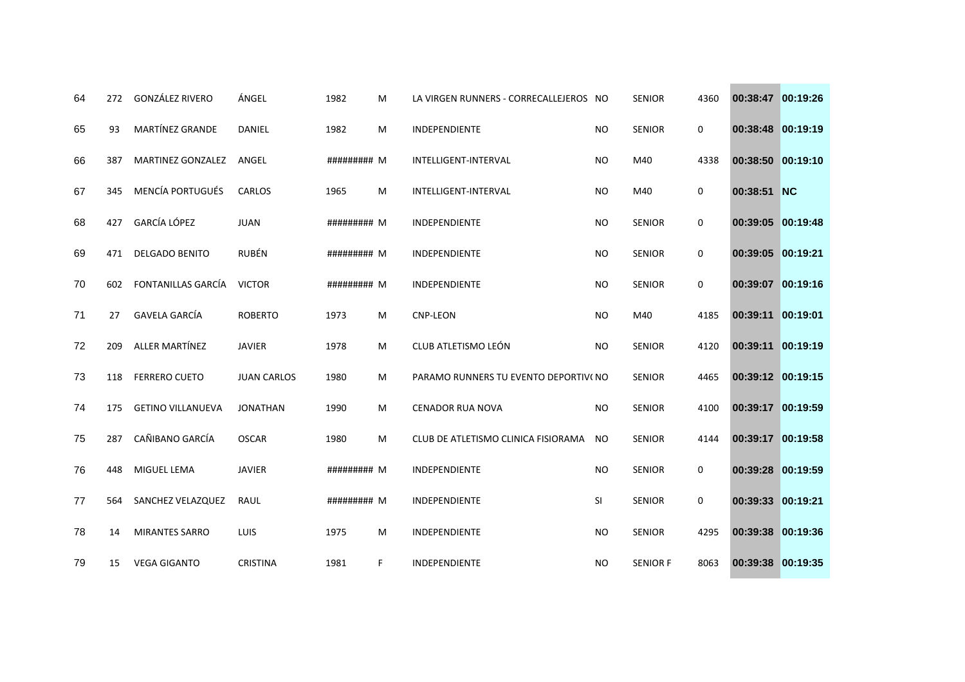| 64 | 272 | <b>GONZÁLEZ RIVERO</b>   | ÁNGEL              | 1982        | M | LA VIRGEN RUNNERS - CORRECALLEJEROS NO |           | <b>SENIOR</b>   | 4360        | 00:38:47 00:19:26 |          |
|----|-----|--------------------------|--------------------|-------------|---|----------------------------------------|-----------|-----------------|-------------|-------------------|----------|
| 65 | 93  | MARTÍNEZ GRANDE          | DANIEL             | 1982        | M | INDEPENDIENTE                          | <b>NO</b> | <b>SENIOR</b>   | 0           | 00:38:48 00:19:19 |          |
| 66 | 387 | MARTINEZ GONZALEZ        | ANGEL              | ######### M |   | INTELLIGENT-INTERVAL                   | <b>NO</b> | M40             | 4338        | 00:38:50 00:19:10 |          |
| 67 | 345 | <b>MENCÍA PORTUGUÉS</b>  | CARLOS             | 1965        | M | <b>INTELLIGENT-INTERVAL</b>            | <b>NO</b> | M40             | $\mathbf 0$ | 00:38:51 NC       |          |
| 68 | 427 | <b>GARCÍA LÓPEZ</b>      | <b>JUAN</b>        | ######### M |   | <b>INDEPENDIENTE</b>                   | <b>NO</b> | <b>SENIOR</b>   | $\mathbf 0$ | 00:39:05 00:19:48 |          |
| 69 | 471 | <b>DELGADO BENITO</b>    | <b>RUBÉN</b>       | ######### M |   | INDEPENDIENTE                          | <b>NO</b> | <b>SENIOR</b>   | 0           | 00:39:05 00:19:21 |          |
| 70 | 602 | FONTANILLAS GARCÍA       | <b>VICTOR</b>      | ######### M |   | INDEPENDIENTE                          | <b>NO</b> | <b>SENIOR</b>   | $\mathbf 0$ | 00:39:07 00:19:16 |          |
| 71 | 27  | <b>GAVELA GARCÍA</b>     | <b>ROBERTO</b>     | 1973        | M | <b>CNP-LEON</b>                        | <b>NO</b> | M40             | 4185        | 00:39:11 00:19:01 |          |
| 72 | 209 | ALLER MARTÍNEZ           | <b>JAVIER</b>      | 1978        | M | CLUB ATLETISMO LEÓN                    | <b>NO</b> | <b>SENIOR</b>   | 4120        | 00:39:11          | 00:19:19 |
| 73 | 118 | <b>FERRERO CUETO</b>     | <b>JUAN CARLOS</b> | 1980        | M | PARAMO RUNNERS TU EVENTO DEPORTIVI NO  |           | <b>SENIOR</b>   | 4465        | 00:39:12 00:19:15 |          |
| 74 | 175 | <b>GETINO VILLANUEVA</b> | <b>JONATHAN</b>    | 1990        | M | <b>CENADOR RUA NOVA</b>                | <b>NO</b> | <b>SENIOR</b>   | 4100        | 00:39:17 00:19:59 |          |
| 75 | 287 | CAÑIBANO GARCÍA          | <b>OSCAR</b>       | 1980        | M | CLUB DE ATLETISMO CLINICA FISIORAMA    | <b>NO</b> | <b>SENIOR</b>   | 4144        | 00:39:17 00:19:58 |          |
| 76 | 448 | <b>MIGUEL LEMA</b>       | <b>JAVIER</b>      | ######### M |   | INDEPENDIENTE                          | <b>NO</b> | <b>SENIOR</b>   | 0           | 00:39:28 00:19:59 |          |
| 77 | 564 | SANCHEZ VELAZQUEZ        | RAUL               | ######### M |   | INDEPENDIENTE                          | SI        | <b>SENIOR</b>   | 0           | 00:39:33 00:19:21 |          |
| 78 | 14  | <b>MIRANTES SARRO</b>    | LUIS               | 1975        | M | INDEPENDIENTE                          | <b>NO</b> | <b>SENIOR</b>   | 4295        | 00:39:38 00:19:36 |          |
| 79 | 15  | <b>VEGA GIGANTO</b>      | <b>CRISTINA</b>    | 1981        | F | INDEPENDIENTE                          | <b>NO</b> | <b>SENIOR F</b> | 8063        | 00:39:38 00:19:35 |          |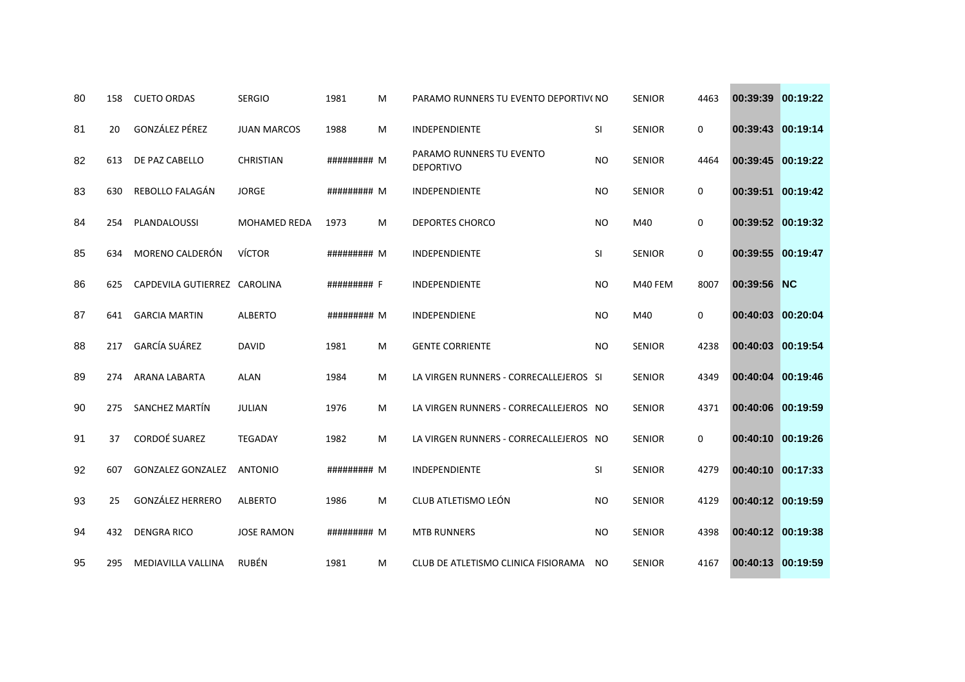| 80 | 158 | <b>CUETO ORDAS</b>           | <b>SERGIO</b>       | 1981        | M | PARAMO RUNNERS TU EVENTO DEPORTIVI NO        |           | <b>SENIOR</b> | 4463 | 00:39:39          | 00:19:22  |
|----|-----|------------------------------|---------------------|-------------|---|----------------------------------------------|-----------|---------------|------|-------------------|-----------|
| 81 | 20  | GONZÁLEZ PÉREZ               | <b>JUAN MARCOS</b>  | 1988        | м | INDEPENDIENTE                                | SI        | <b>SENIOR</b> | 0    | 00:39:43          | 00:19:14  |
| 82 | 613 | DE PAZ CABELLO               | <b>CHRISTIAN</b>    | ######### M |   | PARAMO RUNNERS TU EVENTO<br><b>DEPORTIVO</b> | <b>NO</b> | <b>SENIOR</b> | 4464 | 00:39:45 00:19:22 |           |
| 83 | 630 | REBOLLO FALAGÁN              | <b>JORGE</b>        | ######### M |   | <b>INDEPENDIENTE</b>                         | <b>NO</b> | <b>SENIOR</b> | 0    | 00:39:51          | 00:19:42  |
| 84 | 254 | PLANDALOUSSI                 | <b>MOHAMED REDA</b> | 1973        | M | <b>DEPORTES CHORCO</b>                       | NO.       | M40           | 0    | 00:39:52 00:19:32 |           |
| 85 | 634 | MORENO CALDERÓN              | <b>VÍCTOR</b>       | ######### M |   | INDEPENDIENTE                                | SI        | <b>SENIOR</b> | 0    | 00:39:55          | 00:19:47  |
| 86 | 625 | CAPDEVILA GUTIERREZ CAROLINA |                     | ######### F |   | <b>INDEPENDIENTE</b>                         | <b>NO</b> | M40 FEM       | 8007 | 00:39:56          | <b>NC</b> |
| 87 | 641 | <b>GARCIA MARTIN</b>         | <b>ALBERTO</b>      | ######### M |   | <b>INDEPENDIENE</b>                          | <b>NO</b> | M40           | 0    | 00:40:03 00:20:04 |           |
| 88 | 217 | <b>GARCÍA SUÁREZ</b>         | <b>DAVID</b>        | 1981        | M | <b>GENTE CORRIENTE</b>                       | <b>NO</b> | <b>SENIOR</b> | 4238 | 00:40:03          | 00:19:54  |
| 89 | 274 | ARANA LABARTA                | <b>ALAN</b>         | 1984        | м | LA VIRGEN RUNNERS - CORRECALLEJEROS SI       |           | <b>SENIOR</b> | 4349 | 00:40:04          | 00:19:46  |
| 90 | 275 | SANCHEZ MARTÍN               | <b>JULIAN</b>       | 1976        | M | LA VIRGEN RUNNERS - CORRECALLEJEROS NO       |           | <b>SENIOR</b> | 4371 | 00:40:06 00:19:59 |           |
| 91 | 37  | <b>CORDOÉ SUAREZ</b>         | <b>TEGADAY</b>      | 1982        | M | LA VIRGEN RUNNERS - CORRECALLEJEROS NO       |           | <b>SENIOR</b> | 0    | 00:40:10          | 00:19:26  |
| 92 | 607 | <b>GONZALEZ GONZALEZ</b>     | <b>ANTONIO</b>      | ######### M |   | INDEPENDIENTE                                | SI        | <b>SENIOR</b> | 4279 | 00:40:10 00:17:33 |           |
| 93 | 25  | <b>GONZÁLEZ HERRERO</b>      | <b>ALBERTO</b>      | 1986        | M | CLUB ATLETISMO LEÓN                          | <b>NO</b> | <b>SENIOR</b> | 4129 | 00:40:12 00:19:59 |           |
| 94 | 432 | <b>DENGRA RICO</b>           | <b>JOSE RAMON</b>   | ######### M |   | <b>MTB RUNNERS</b>                           | <b>NO</b> | <b>SENIOR</b> | 4398 | 00:40:12 00:19:38 |           |
| 95 | 295 | MEDIAVILLA VALLINA           | RUBÉN               | 1981        | M | CLUB DE ATLETISMO CLINICA FISIORAMA          | NO.       | <b>SENIOR</b> | 4167 | 00:40:13 00:19:59 |           |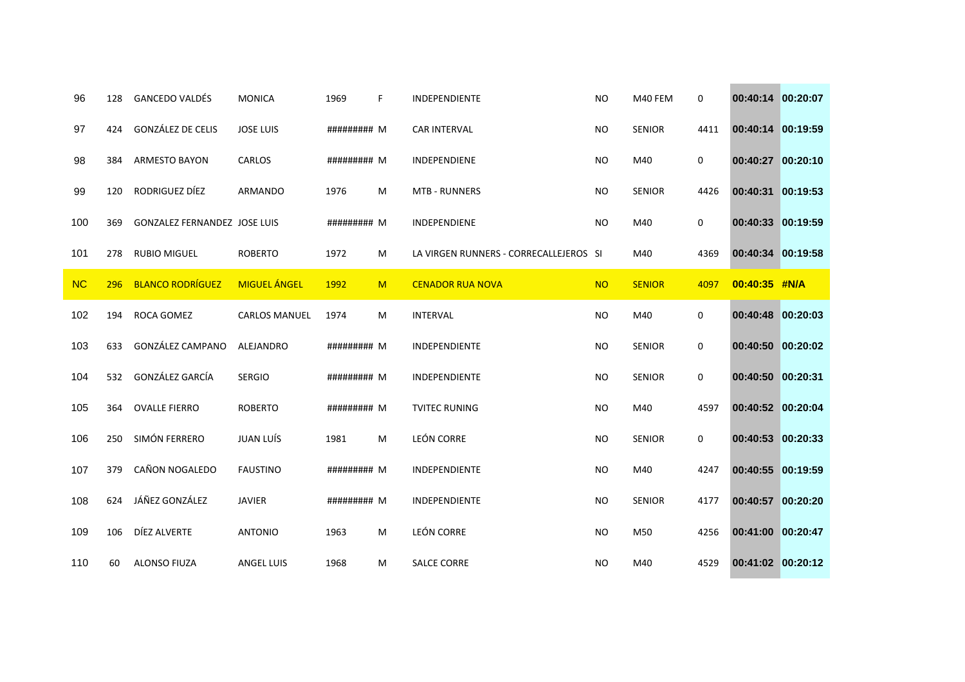| 96        | 128 | <b>GANCEDO VALDÉS</b>               | <b>MONICA</b>        | 1969        | F | <b>INDEPENDIENTE</b>                   | <b>NO</b> | M40 FEM       | 0    | 00:40:14 00:20:07 |  |
|-----------|-----|-------------------------------------|----------------------|-------------|---|----------------------------------------|-----------|---------------|------|-------------------|--|
| 97        | 424 | GONZÁLEZ DE CELIS                   | <b>JOSE LUIS</b>     | ######### M |   | <b>CAR INTERVAL</b>                    | <b>NO</b> | <b>SENIOR</b> | 4411 | 00:40:14 00:19:59 |  |
| 98        | 384 | <b>ARMESTO BAYON</b>                | CARLOS               | ######### M |   | INDEPENDIENE                           | <b>NO</b> | M40           | 0    | 00:40:27 00:20:10 |  |
| 99        | 120 | RODRIGUEZ DÍEZ                      | <b>ARMANDO</b>       | 1976        | M | <b>MTB - RUNNERS</b>                   | <b>NO</b> | <b>SENIOR</b> | 4426 | 00:40:31 00:19:53 |  |
| 100       | 369 | <b>GONZALEZ FERNANDEZ JOSE LUIS</b> |                      | ######### M |   | INDEPENDIENE                           | <b>NO</b> | M40           | 0    | 00:40:33 00:19:59 |  |
| 101       | 278 | <b>RUBIO MIGUEL</b>                 | <b>ROBERTO</b>       | 1972        | M | LA VIRGEN RUNNERS - CORRECALLEJEROS SI |           | M40           | 4369 | 00:40:34 00:19:58 |  |
| <b>NC</b> | 296 | <b>BLANCO RODRÍGUEZ</b>             | <b>MIGUEL ÁNGEL</b>  | 1992        | M | <b>CENADOR RUA NOVA</b>                | <b>NO</b> | <b>SENIOR</b> | 4097 | 00:40:35 #N/A     |  |
| 102       | 194 | ROCA GOMEZ                          | <b>CARLOS MANUEL</b> | 1974        | M | <b>INTERVAL</b>                        | <b>NO</b> | M40           | 0    | 00:40:48 00:20:03 |  |
| 103       | 633 | GONZÁLEZ CAMPANO                    | ALEJANDRO            | ######### M |   | <b>INDEPENDIENTE</b>                   | <b>NO</b> | <b>SENIOR</b> | 0    | 00:40:50 00:20:02 |  |
| 104       | 532 | GONZÁLEZ GARCÍA                     | <b>SERGIO</b>        | ######### M |   | <b>INDEPENDIENTE</b>                   | <b>NO</b> | <b>SENIOR</b> | 0    | 00:40:50 00:20:31 |  |
| 105       | 364 | <b>OVALLE FIERRO</b>                | <b>ROBERTO</b>       | ######### M |   | <b>TVITEC RUNING</b>                   | <b>NO</b> | M40           | 4597 | 00:40:52 00:20:04 |  |
| 106       | 250 | SIMÓN FERRERO                       | JUAN LUÍS            | 1981        | M | <b>LEÓN CORRE</b>                      | <b>NO</b> | <b>SENIOR</b> | 0    | 00:40:53 00:20:33 |  |
| 107       | 379 | CAÑON NOGALEDO                      | <b>FAUSTINO</b>      | ######### M |   | <b>INDEPENDIENTE</b>                   | <b>NO</b> | M40           | 4247 | 00:40:55 00:19:59 |  |
| 108       | 624 | JÁÑEZ GONZÁLEZ                      | <b>JAVIER</b>        | ######### M |   | INDEPENDIENTE                          | <b>NO</b> | <b>SENIOR</b> | 4177 | 00:40:57 00:20:20 |  |
| 109       | 106 | DÍEZ ALVERTE                        | <b>ANTONIO</b>       | 1963        | M | <b>LEÓN CORRE</b>                      | <b>NO</b> | M50           | 4256 | 00:41:00 00:20:47 |  |
| 110       | 60  | <b>ALONSO FIUZA</b>                 | <b>ANGEL LUIS</b>    | 1968        | M | <b>SALCE CORRE</b>                     | <b>NO</b> | M40           | 4529 | 00:41:02 00:20:12 |  |

**Contract Contract**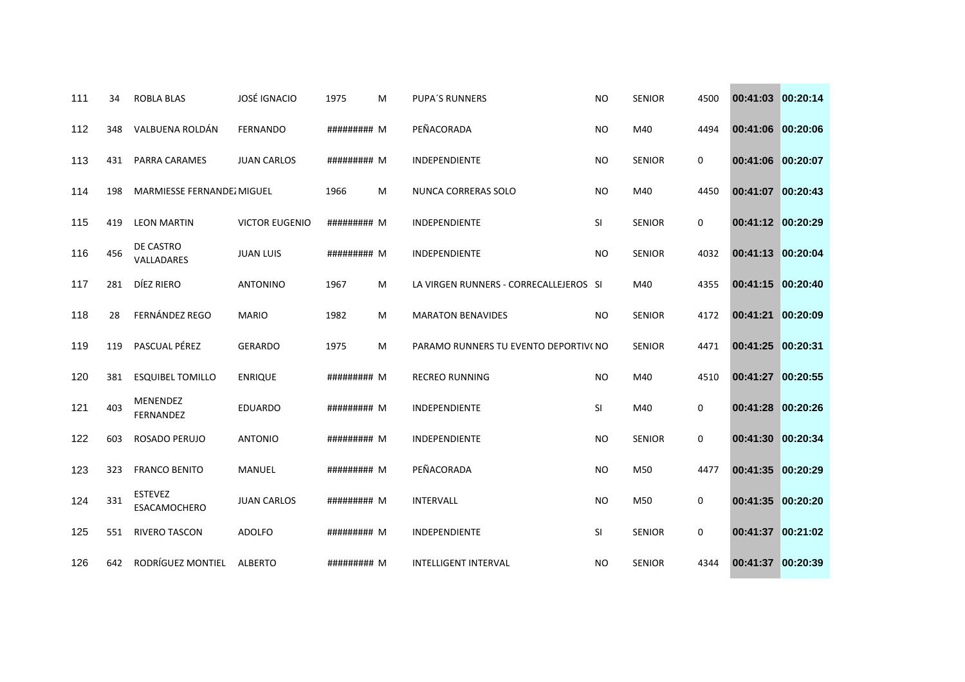| 111 | 34  | <b>ROBLA BLAS</b>              | <b>JOSÉ IGNACIO</b>   | 1975        | M | <b>PUPA'S RUNNERS</b>                  | <b>NO</b> | <b>SENIOR</b> | 4500 | 00:41:03 00:20:14 |          |
|-----|-----|--------------------------------|-----------------------|-------------|---|----------------------------------------|-----------|---------------|------|-------------------|----------|
| 112 | 348 | VALBUENA ROLDÁN                | <b>FERNANDO</b>       | ######### M |   | PEÑACORADA                             | <b>NO</b> | M40           | 4494 | 00:41:06 00:20:06 |          |
| 113 | 431 | PARRA CARAMES                  | <b>JUAN CARLOS</b>    | ######### M |   | INDEPENDIENTE                          | <b>NO</b> | <b>SENIOR</b> | 0    | 00:41:06 00:20:07 |          |
| 114 | 198 | MARMIESSE FERNANDEZ MIGUEL     |                       | 1966        | M | NUNCA CORRERAS SOLO                    | <b>NO</b> | M40           | 4450 | 00:41:07 00:20:43 |          |
| 115 | 419 | <b>LEON MARTIN</b>             | <b>VICTOR EUGENIO</b> | ######### M |   | <b>INDEPENDIENTE</b>                   | SI        | <b>SENIOR</b> | 0    | 00:41:12 00:20:29 |          |
| 116 | 456 | DE CASTRO<br>VALLADARES        | <b>JUAN LUIS</b>      | ######### M |   | INDEPENDIENTE                          | <b>NO</b> | <b>SENIOR</b> | 4032 | 00:41:13 00:20:04 |          |
| 117 | 281 | DÍEZ RIERO                     | <b>ANTONINO</b>       | 1967        | M | LA VIRGEN RUNNERS - CORRECALLEJEROS SI |           | M40           | 4355 | 00:41:15 00:20:40 |          |
| 118 | 28  | <b>FERNÁNDEZ REGO</b>          | <b>MARIO</b>          | 1982        | M | <b>MARATON BENAVIDES</b>               | <b>NO</b> | <b>SENIOR</b> | 4172 | 00:41:21 00:20:09 |          |
| 119 | 119 | PASCUAL PÉREZ                  | <b>GERARDO</b>        | 1975        | M | PARAMO RUNNERS TU EVENTO DEPORTIVI NO  |           | <b>SENIOR</b> | 4471 | 00:41:25          | 00:20:31 |
| 120 | 381 | <b>ESQUIBEL TOMILLO</b>        | <b>ENRIQUE</b>        | ######### M |   | <b>RECREO RUNNING</b>                  | <b>NO</b> | M40           | 4510 | 00:41:27 00:20:55 |          |
| 121 | 403 | MENENDEZ<br><b>FERNANDEZ</b>   | <b>EDUARDO</b>        | ######### M |   | <b>INDEPENDIENTE</b>                   | <b>SI</b> | M40           | 0    | 00:41:28 00:20:26 |          |
| 122 | 603 | ROSADO PERUJO                  | <b>ANTONIO</b>        | ######### M |   | INDEPENDIENTE                          | <b>NO</b> | <b>SENIOR</b> | 0    | 00:41:30 00:20:34 |          |
| 123 | 323 | <b>FRANCO BENITO</b>           | <b>MANUEL</b>         | ######### M |   | PEÑACORADA                             | <b>NO</b> | M50           | 4477 | 00:41:35 00:20:29 |          |
| 124 | 331 | <b>ESTEVEZ</b><br>ESACAMOCHERO | <b>JUAN CARLOS</b>    | ######### M |   | INTERVALL                              | <b>NO</b> | M50           | 0    | 00:41:35 00:20:20 |          |
| 125 | 551 | <b>RIVERO TASCON</b>           | <b>ADOLFO</b>         | ######### M |   | INDEPENDIENTE                          | SI        | <b>SENIOR</b> | 0    | 00:41:37 00:21:02 |          |
| 126 | 642 | RODRÍGUEZ MONTIEL              | <b>ALBERTO</b>        | ######### M |   | <b>INTELLIGENT INTERVAL</b>            | <b>NO</b> | <b>SENIOR</b> | 4344 | 00:41:37 00:20:39 |          |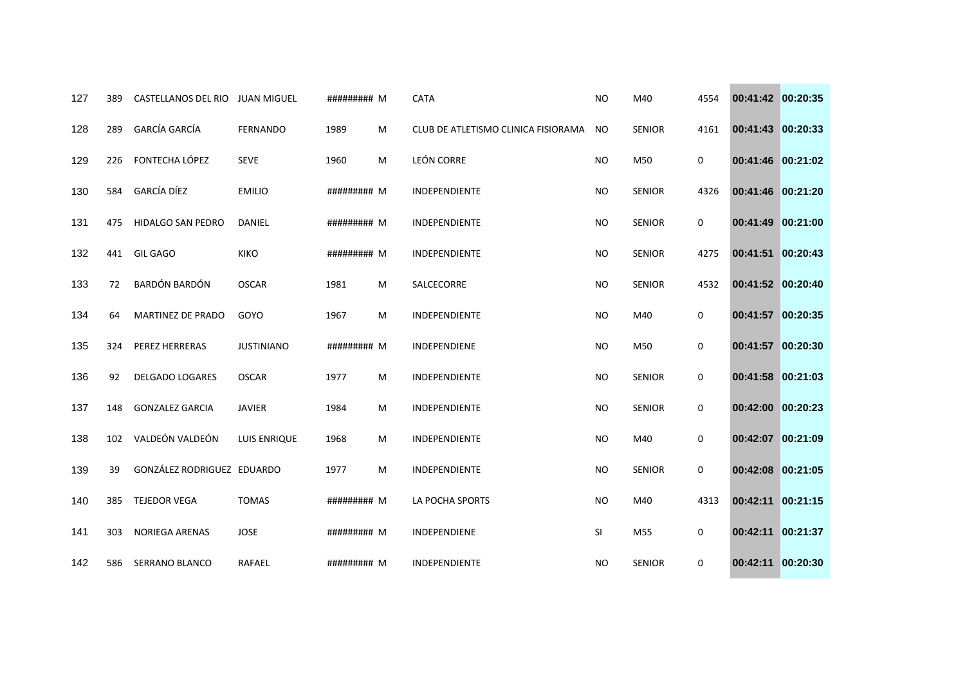| 127 | 389 | CASTELLANOS DEL RIO JUAN MIGUEL |                   | ######### M |   | <b>CATA</b>                         | <b>NO</b> | M40           | 4554        | 00:41:42 00:20:35 |          |
|-----|-----|---------------------------------|-------------------|-------------|---|-------------------------------------|-----------|---------------|-------------|-------------------|----------|
| 128 | 289 | <b>GARCÍA GARCÍA</b>            | <b>FERNANDO</b>   | 1989        | M | CLUB DE ATLETISMO CLINICA FISIORAMA | NO.       | SENIOR        | 4161        | 00:41:43 00:20:33 |          |
| 129 | 226 | FONTECHA LÓPEZ                  | <b>SEVE</b>       | 1960        | M | <b>LEÓN CORRE</b>                   | <b>NO</b> | M50           | 0           | 00:41:46 00:21:02 |          |
| 130 | 584 | <b>GARCÍA DÍEZ</b>              | <b>EMILIO</b>     | ######### M |   | <b>INDEPENDIENTE</b>                | <b>NO</b> | <b>SENIOR</b> | 4326        | 00:41:46 00:21:20 |          |
| 131 | 475 | <b>HIDALGO SAN PEDRO</b>        | DANIEL            | ######### M |   | INDEPENDIENTE                       | <b>NO</b> | SENIOR        | 0           | 00:41:49 00:21:00 |          |
| 132 | 441 | <b>GIL GAGO</b>                 | <b>KIKO</b>       | ######### M |   | INDEPENDIENTE                       | <b>NO</b> | <b>SENIOR</b> | 4275        | 00:41:51 00:20:43 |          |
| 133 | 72  | BARDÓN BARDÓN                   | <b>OSCAR</b>      | 1981        | M | SALCECORRE                          | <b>NO</b> | <b>SENIOR</b> | 4532        | 00:41:52 00:20:40 |          |
| 134 | 64  | MARTINEZ DE PRADO               | GOYO              | 1967        | M | <b>INDEPENDIENTE</b>                | <b>NO</b> | M40           | 0           | 00:41:57 00:20:35 |          |
| 135 | 324 | PEREZ HERRERAS                  | <b>JUSTINIANO</b> | ######### M |   | INDEPENDIENE                        | <b>NO</b> | M50           | 0           | 00:41:57 00:20:30 |          |
| 136 | 92  | <b>DELGADO LOGARES</b>          | <b>OSCAR</b>      | 1977        | M | INDEPENDIENTE                       | <b>NO</b> | <b>SENIOR</b> | 0           | 00:41:58 00:21:03 |          |
| 137 | 148 | <b>GONZALEZ GARCIA</b>          | <b>JAVIER</b>     | 1984        | M | INDEPENDIENTE                       | <b>NO</b> | <b>SENIOR</b> | 0           | 00:42:00 00:20:23 |          |
| 138 | 102 | VALDEÓN VALDEÓN                 | LUIS ENRIQUE      | 1968        | M | INDEPENDIENTE                       | <b>NO</b> | M40           | $\mathbf 0$ | 00:42:07 00:21:09 |          |
| 139 | 39  | GONZÁLEZ RODRIGUEZ EDUARDO      |                   | 1977        | M | INDEPENDIENTE                       | <b>NO</b> | <b>SENIOR</b> | 0           | 00:42:08 00:21:05 |          |
| 140 | 385 | <b>TEJEDOR VEGA</b>             | <b>TOMAS</b>      | ######### M |   | LA POCHA SPORTS                     | <b>NO</b> | M40           | 4313        | 00:42:11 00:21:15 |          |
| 141 | 303 | <b>NORIEGA ARENAS</b>           | <b>JOSE</b>       | ######### M |   | <b>INDEPENDIENE</b>                 | SI        | M55           | 0           | 00:42:11          | 00:21:37 |
| 142 | 586 | SERRANO BLANCO                  | RAFAEL            | ######### M |   | INDEPENDIENTE                       | <b>NO</b> | SENIOR        | 0           | 00:42:11 00:20:30 |          |

**Contract Contract Contract**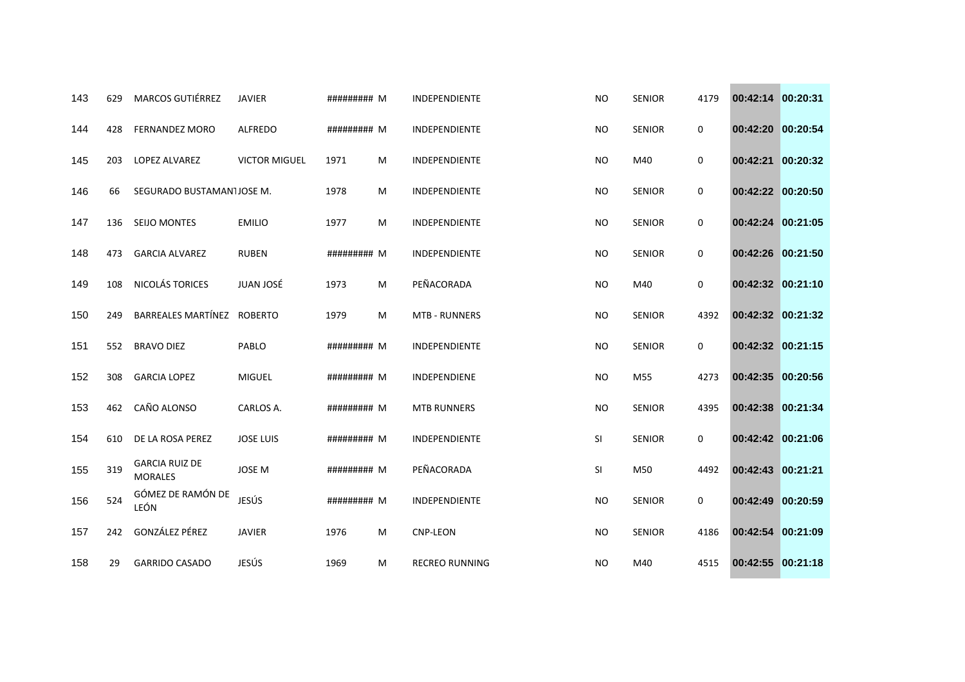| 143 | 629 | <b>MARCOS GUTIÉRREZ</b>                 | <b>JAVIER</b>        | ######### M |   | <b>INDEPENDIENTE</b>  | <b>NO</b> | <b>SENIOR</b> | 4179        | 00:42:14 00:20:31 |          |
|-----|-----|-----------------------------------------|----------------------|-------------|---|-----------------------|-----------|---------------|-------------|-------------------|----------|
| 144 | 428 | <b>FERNANDEZ MORO</b>                   | <b>ALFREDO</b>       | ######### M |   | INDEPENDIENTE         | <b>NO</b> | <b>SENIOR</b> | 0           | 00:42:20 00:20:54 |          |
| 145 | 203 | LOPEZ ALVAREZ                           | <b>VICTOR MIGUEL</b> | 1971        | M | INDEPENDIENTE         | <b>NO</b> | M40           | 0           | 00:42:21          | 00:20:32 |
| 146 | 66  | SEGURADO BUSTAMAN1JOSE M.               |                      | 1978        | M | <b>INDEPENDIENTE</b>  | <b>NO</b> | <b>SENIOR</b> | $\mathbf 0$ | 00:42:22 00:20:50 |          |
| 147 | 136 | <b>SEIJO MONTES</b>                     | <b>EMILIO</b>        | 1977        | M | INDEPENDIENTE         | <b>NO</b> | <b>SENIOR</b> | 0           | 00:42:24 00:21:05 |          |
| 148 | 473 | <b>GARCIA ALVAREZ</b>                   | <b>RUBEN</b>         | ######### M |   | INDEPENDIENTE         | <b>NO</b> | <b>SENIOR</b> | 0           | 00:42:26 00:21:50 |          |
| 149 | 108 | NICOLÁS TORICES                         | JUAN JOSÉ            | 1973        | M | PEÑACORADA            | <b>NO</b> | M40           | 0           | 00:42:32 00:21:10 |          |
| 150 | 249 | BARREALES MARTÍNEZ ROBERTO              |                      | 1979        | M | <b>MTB - RUNNERS</b>  | <b>NO</b> | <b>SENIOR</b> | 4392        | 00:42:32 00:21:32 |          |
| 151 | 552 | <b>BRAVO DIEZ</b>                       | PABLO                | ######### M |   | INDEPENDIENTE         | <b>NO</b> | <b>SENIOR</b> | 0           | 00:42:32 00:21:15 |          |
| 152 | 308 | <b>GARCIA LOPEZ</b>                     | <b>MIGUEL</b>        | ######### M |   | INDEPENDIENE          | <b>NO</b> | M55           | 4273        | 00:42:35 00:20:56 |          |
| 153 | 462 | CAÑO ALONSO                             | CARLOS A.            | ######### M |   | <b>MTB RUNNERS</b>    | <b>NO</b> | <b>SENIOR</b> | 4395        | 00:42:38 00:21:34 |          |
| 154 | 610 | DE LA ROSA PEREZ                        | <b>JOSE LUIS</b>     | ######### M |   | INDEPENDIENTE         | SI        | <b>SENIOR</b> | $\mathbf 0$ | 00:42:42 00:21:06 |          |
| 155 | 319 | <b>GARCIA RUIZ DE</b><br><b>MORALES</b> | <b>JOSE M</b>        | ######### M |   | PEÑACORADA            | SI        | M50           | 4492        | 00:42:43 00:21:21 |          |
| 156 | 524 | GÓMEZ DE RAMÓN DE<br>LEÓN               | JESÚS                | ######### M |   | INDEPENDIENTE         | <b>NO</b> | <b>SENIOR</b> | 0           | 00:42:49 00:20:59 |          |
| 157 | 242 | GONZÁLEZ PÉREZ                          | <b>JAVIER</b>        | 1976        | M | <b>CNP-LEON</b>       | <b>NO</b> | <b>SENIOR</b> | 4186        | 00:42:54 00:21:09 |          |
| 158 | 29  | <b>GARRIDO CASADO</b>                   | JESÚS                | 1969        | м | <b>RECREO RUNNING</b> | <b>NO</b> | M40           | 4515        | 00:42:55 00:21:18 |          |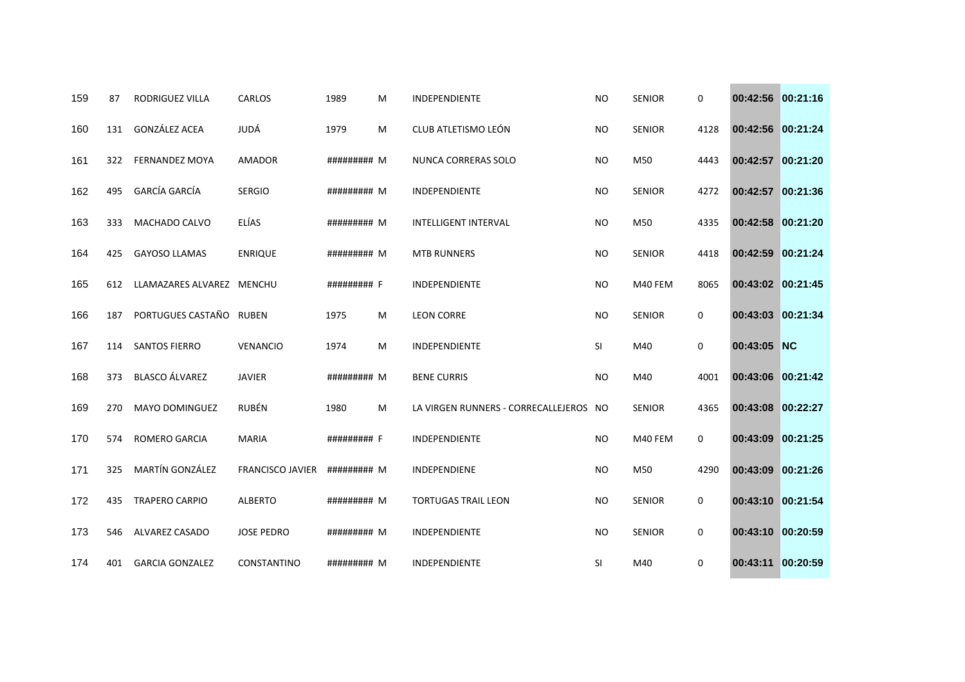| 159 | 87  | <b>RODRIGUEZ VILLA</b>    | <b>CARLOS</b>           | 1989        | M | <b>INDEPENDIENTE</b>                   | <b>NO</b> | <b>SENIOR</b> | $\mathbf 0$ | 00:42:56 00:21:16 |          |
|-----|-----|---------------------------|-------------------------|-------------|---|----------------------------------------|-----------|---------------|-------------|-------------------|----------|
| 160 | 131 | GONZÁLEZ ACEA             | JUDÁ                    | 1979        | M | CLUB ATLETISMO LEÓN                    | <b>NO</b> | <b>SENIOR</b> | 4128        | 00:42:56 00:21:24 |          |
| 161 | 322 | <b>FERNANDEZ MOYA</b>     | <b>AMADOR</b>           | ######### M |   | NUNCA CORRERAS SOLO                    | <b>NO</b> | M50           | 4443        | 00:42:57 00:21:20 |          |
| 162 | 495 | <b>GARCÍA GARCÍA</b>      | <b>SERGIO</b>           | ######### M |   | <b>INDEPENDIENTE</b>                   | <b>NO</b> | <b>SENIOR</b> | 4272        | 00:42:57 00:21:36 |          |
| 163 | 333 | MACHADO CALVO             | ELÍAS                   | ######### M |   | <b>INTELLIGENT INTERVAL</b>            | <b>NO</b> | M50           | 4335        | 00:42:58 00:21:20 |          |
| 164 | 425 | <b>GAYOSO LLAMAS</b>      | <b>ENRIQUE</b>          | ######### M |   | <b>MTB RUNNERS</b>                     | <b>NO</b> | <b>SENIOR</b> | 4418        | 00:42:59 00:21:24 |          |
| 165 | 612 | LLAMAZARES ALVAREZ MENCHU |                         | ######### F |   | <b>INDEPENDIENTE</b>                   | <b>NO</b> | M40 FEM       | 8065        | 00:43:02 00:21:45 |          |
| 166 | 187 | PORTUGUES CASTAÑO         | <b>RUBEN</b>            | 1975        | M | <b>LEON CORRE</b>                      | <b>NO</b> | <b>SENIOR</b> | $\mathbf 0$ | 00:43:03 00:21:34 |          |
| 167 | 114 | <b>SANTOS FIERRO</b>      | <b>VENANCIO</b>         | 1974        | M | INDEPENDIENTE                          | <b>SI</b> | M40           | 0           | 00:43:05 NC       |          |
| 168 | 373 | <b>BLASCO ÁLVAREZ</b>     | <b>JAVIER</b>           | ######### M |   | <b>BENE CURRIS</b>                     | <b>NO</b> | M40           | 4001        | 00:43:06 00:21:42 |          |
| 169 | 270 | <b>MAYO DOMINGUEZ</b>     | <b>RUBÉN</b>            | 1980        | M | LA VIRGEN RUNNERS - CORRECALLEJEROS NO |           | <b>SENIOR</b> | 4365        | 00:43:08 00:22:27 |          |
| 170 | 574 | <b>ROMERO GARCIA</b>      | <b>MARIA</b>            | ######### F |   | <b>INDEPENDIENTE</b>                   | <b>NO</b> | M40 FEM       | $\mathbf 0$ | 00:43:09          | 00:21:25 |
| 171 | 325 | MARTÍN GONZÁLEZ           | <b>FRANCISCO JAVIER</b> | ######### M |   | INDEPENDIENE                           | <b>NO</b> | M50           | 4290        | 00:43:09 00:21:26 |          |
| 172 | 435 | <b>TRAPERO CARPIO</b>     | <b>ALBERTO</b>          | ######### M |   | <b>TORTUGAS TRAIL LEON</b>             | <b>NO</b> | <b>SENIOR</b> | 0           | 00:43:10 00:21:54 |          |
| 173 | 546 | <b>ALVAREZ CASADO</b>     | <b>JOSE PEDRO</b>       | ######### M |   | INDEPENDIENTE                          | <b>NO</b> | <b>SENIOR</b> | 0           | 00:43:10 00:20:59 |          |
| 174 | 401 | <b>GARCIA GONZALEZ</b>    | CONSTANTINO             | ######### M |   | INDEPENDIENTE                          | <b>SI</b> | M40           | 0           | 00:43:11 00:20:59 |          |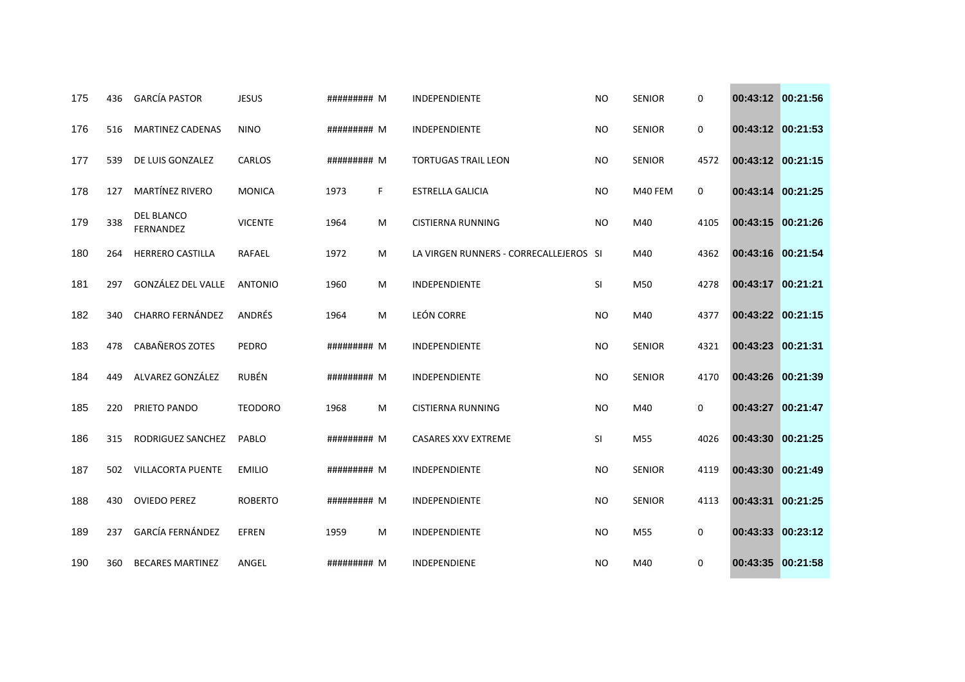| 175 | 436 | <b>GARCÍA PASTOR</b>                  | <b>JESUS</b>   | ######### M |    | <b>INDEPENDIENTE</b>                   | <b>NO</b> | <b>SENIOR</b> | 0    | 00:43:12 00:21:56 |          |
|-----|-----|---------------------------------------|----------------|-------------|----|----------------------------------------|-----------|---------------|------|-------------------|----------|
| 176 | 516 | <b>MARTINEZ CADENAS</b>               | <b>NINO</b>    | ######### M |    | INDEPENDIENTE                          | <b>NO</b> | <b>SENIOR</b> | 0    | 00:43:12 00:21:53 |          |
| 177 | 539 | DE LUIS GONZALEZ                      | CARLOS         | ######### M |    | <b>TORTUGAS TRAIL LEON</b>             | <b>NO</b> | <b>SENIOR</b> | 4572 | 00:43:12 00:21:15 |          |
| 178 | 127 | MARTÍNEZ RIVERO                       | <b>MONICA</b>  | 1973        | F. | <b>ESTRELLA GALICIA</b>                | <b>NO</b> | M40 FEM       | 0    | 00:43:14 00:21:25 |          |
| 179 | 338 | <b>DEL BLANCO</b><br><b>FERNANDEZ</b> | <b>VICENTE</b> | 1964        | M  | <b>CISTIERNA RUNNING</b>               | <b>NO</b> | M40           | 4105 | 00:43:15 00:21:26 |          |
| 180 | 264 | <b>HERRERO CASTILLA</b>               | RAFAEL         | 1972        | м  | LA VIRGEN RUNNERS - CORRECALLEJEROS SI |           | M40           | 4362 | 00:43:16 00:21:54 |          |
| 181 | 297 | GONZÁLEZ DEL VALLE                    | <b>ANTONIO</b> | 1960        | M  | INDEPENDIENTE                          | SI        | M50           | 4278 | 00:43:17          | 00:21:21 |
| 182 | 340 | <b>CHARRO FERNÁNDEZ</b>               | ANDRÉS         | 1964        | M  | <b>LEÓN CORRE</b>                      | <b>NO</b> | M40           | 4377 | 00:43:22 00:21:15 |          |
| 183 | 478 | CABAÑEROS ZOTES                       | PEDRO          | ######### M |    | INDEPENDIENTE                          | <b>NO</b> | <b>SENIOR</b> | 4321 | 00:43:23          | 00:21:31 |
| 184 | 449 | ALVAREZ GONZÁLEZ                      | <b>RUBÉN</b>   | ######### M |    | INDEPENDIENTE                          | <b>NO</b> | <b>SENIOR</b> | 4170 | 00:43:26 00:21:39 |          |
| 185 | 220 | PRIETO PANDO                          | <b>TEODORO</b> | 1968        | M  | CISTIERNA RUNNING                      | <b>NO</b> | M40           | 0    | 00:43:27 00:21:47 |          |
| 186 | 315 | RODRIGUEZ SANCHEZ                     | PABLO          | ######### M |    | CASARES XXV EXTREME                    | <b>SI</b> | M55           | 4026 | 00:43:30          | 00:21:25 |
| 187 | 502 | <b>VILLACORTA PUENTE</b>              | <b>EMILIO</b>  | ######### M |    | <b>INDEPENDIENTE</b>                   | <b>NO</b> | <b>SENIOR</b> | 4119 | 00:43:30          | 00:21:49 |
| 188 | 430 | <b>OVIEDO PEREZ</b>                   | <b>ROBERTO</b> | ######### M |    | INDEPENDIENTE                          | <b>NO</b> | <b>SENIOR</b> | 4113 | 00:43:31          | 00:21:25 |
| 189 | 237 | GARCÍA FERNÁNDEZ                      | <b>EFREN</b>   | 1959        | M  | INDEPENDIENTE                          | <b>NO</b> | M55           | 0    | 00:43:33          | 00:23:12 |
| 190 | 360 | <b>BECARES MARTINEZ</b>               | ANGEL          | ######### M |    | INDEPENDIENE                           | <b>NO</b> | M40           | 0    | 00:43:35 00:21:58 |          |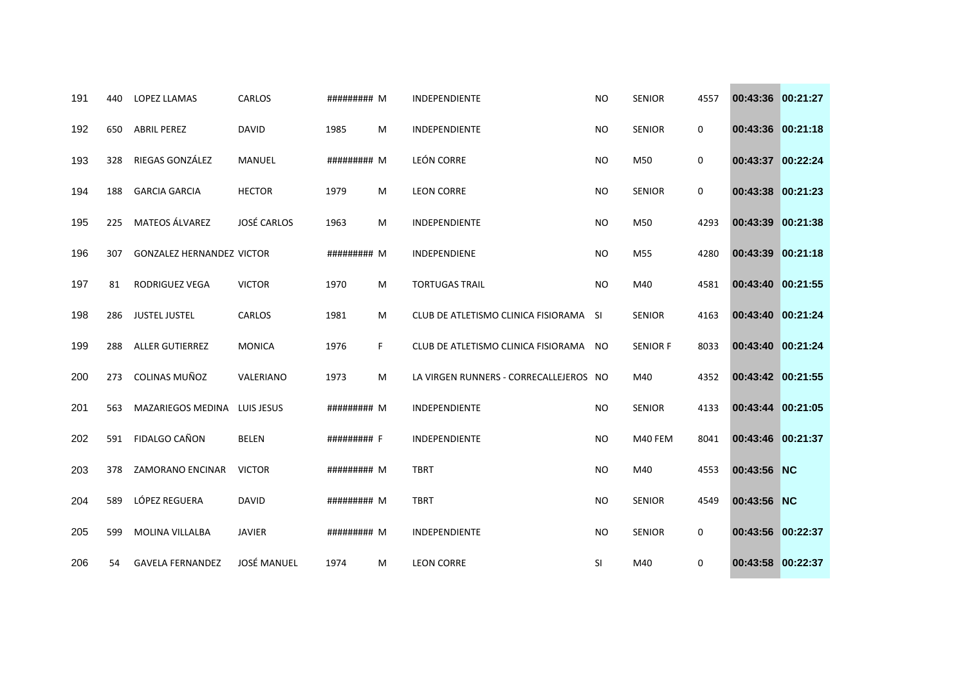| 191 | 440 | <b>LOPEZ LLAMAS</b>              | <b>CARLOS</b>      | ######### M |    | <b>INDEPENDIENTE</b>                   | <b>NO</b> | <b>SENIOR</b>   | 4557 | 00:43:36 00:21:27 |  |
|-----|-----|----------------------------------|--------------------|-------------|----|----------------------------------------|-----------|-----------------|------|-------------------|--|
| 192 | 650 | <b>ABRIL PEREZ</b>               | <b>DAVID</b>       | 1985        | M  | INDEPENDIENTE                          | <b>NO</b> | <b>SENIOR</b>   | 0    | 00:43:36 00:21:18 |  |
| 193 | 328 | RIEGAS GONZÁLEZ                  | MANUEL             | ######### M |    | LEÓN CORRE                             | <b>NO</b> | M50             | 0    | 00:43:37 00:22:24 |  |
| 194 | 188 | <b>GARCIA GARCIA</b>             | <b>HECTOR</b>      | 1979        | M  | <b>LEON CORRE</b>                      | <b>NO</b> | <b>SENIOR</b>   | 0    | 00:43:38 00:21:23 |  |
| 195 | 225 | <b>MATEOS ÁLVAREZ</b>            | <b>JOSÉ CARLOS</b> | 1963        | M  | <b>INDEPENDIENTE</b>                   | <b>NO</b> | M50             | 4293 | 00:43:39 00:21:38 |  |
| 196 | 307 | <b>GONZALEZ HERNANDEZ VICTOR</b> |                    | ######### M |    | INDEPENDIENE                           | <b>NO</b> | M55             | 4280 | 00:43:39 00:21:18 |  |
| 197 | 81  | <b>RODRIGUEZ VEGA</b>            | <b>VICTOR</b>      | 1970        | M  | <b>TORTUGAS TRAIL</b>                  | <b>NO</b> | M40             | 4581 | 00:43:40 00:21:55 |  |
| 198 | 286 | <b>JUSTEL JUSTEL</b>             | CARLOS             | 1981        | M  | CLUB DE ATLETISMO CLINICA FISIORAMA SI |           | <b>SENIOR</b>   | 4163 | 00:43:40 00:21:24 |  |
| 199 | 288 | <b>ALLER GUTIERREZ</b>           | <b>MONICA</b>      | 1976        | F. | CLUB DE ATLETISMO CLINICA FISIORAMA NO |           | <b>SENIOR F</b> | 8033 | 00:43:40 00:21:24 |  |
| 200 | 273 | COLINAS MUÑOZ                    | VALERIANO          | 1973        | M  | LA VIRGEN RUNNERS - CORRECALLEJEROS NO |           | M40             | 4352 | 00:43:42 00:21:55 |  |
| 201 | 563 | <b>MAZARIEGOS MEDINA</b>         | LUIS JESUS         | ######### M |    | <b>INDEPENDIENTE</b>                   | <b>NO</b> | <b>SENIOR</b>   | 4133 | 00:43:44 00:21:05 |  |
| 202 | 591 | <b>FIDALGO CAÑON</b>             | <b>BELEN</b>       | ######### F |    | INDEPENDIENTE                          | <b>NO</b> | M40 FEM         | 8041 | 00:43:46 00:21:37 |  |
| 203 | 378 | ZAMORANO ENCINAR                 | <b>VICTOR</b>      | ######### M |    | <b>TBRT</b>                            | <b>NO</b> | M40             | 4553 | 00:43:56 NC       |  |
| 204 | 589 | LÓPEZ REGUERA                    | <b>DAVID</b>       | ######### M |    | <b>TBRT</b>                            | <b>NO</b> | <b>SENIOR</b>   | 4549 | 00:43:56 NC       |  |
| 205 | 599 | <b>MOLINA VILLALBA</b>           | <b>JAVIER</b>      | ######### M |    | INDEPENDIENTE                          | <b>NO</b> | <b>SENIOR</b>   | 0    | 00:43:56 00:22:37 |  |
| 206 | 54  | <b>GAVELA FERNANDEZ</b>          | <b>JOSÉ MANUEL</b> | 1974        | M  | <b>LEON CORRE</b>                      | SI        | M40             | 0    | 00:43:58 00:22:37 |  |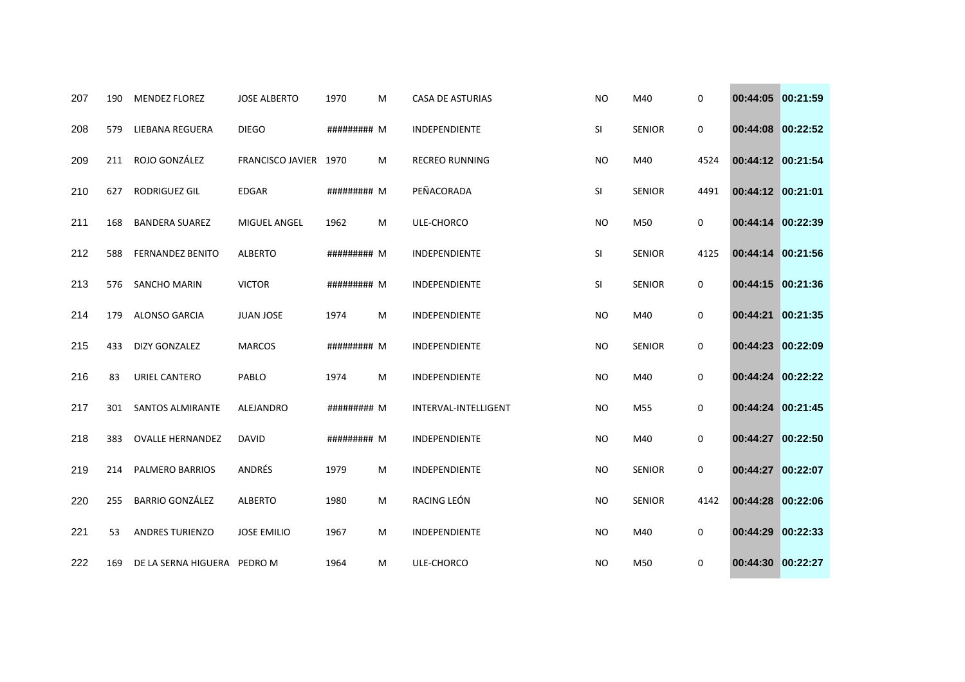| 207 | 190 | <b>MENDEZ FLOREZ</b>        | <b>JOSE ALBERTO</b>   | 1970        | M | <b>CASA DE ASTURIAS</b> | <b>NO</b> | M40           | 0    | 00:44:05 00:21:59 |          |
|-----|-----|-----------------------------|-----------------------|-------------|---|-------------------------|-----------|---------------|------|-------------------|----------|
| 208 | 579 | LIEBANA REGUERA             | <b>DIEGO</b>          | ######### M |   | INDEPENDIENTE           | SI        | <b>SENIOR</b> | 0    | 00:44:08 00:22:52 |          |
| 209 | 211 | ROJO GONZÁLEZ               | FRANCISCO JAVIER 1970 |             | M | <b>RECREO RUNNING</b>   | <b>NO</b> | M40           | 4524 | 00:44:12 00:21:54 |          |
| 210 | 627 | <b>RODRIGUEZ GIL</b>        | <b>EDGAR</b>          | ######### M |   | PEÑACORADA              | SI        | <b>SENIOR</b> | 4491 | 00:44:12 00:21:01 |          |
| 211 | 168 | <b>BANDERA SUAREZ</b>       | MIGUEL ANGEL          | 1962        | M | ULE-CHORCO              | <b>NO</b> | M50           | 0    | 00:44:14 00:22:39 |          |
| 212 | 588 | <b>FERNANDEZ BENITO</b>     | <b>ALBERTO</b>        | ######### M |   | INDEPENDIENTE           | SI        | <b>SENIOR</b> | 4125 | 00:44:14 00:21:56 |          |
| 213 | 576 | SANCHO MARIN                | <b>VICTOR</b>         | ######### M |   | INDEPENDIENTE           | SI        | <b>SENIOR</b> | 0    | 00:44:15 00:21:36 |          |
| 214 | 179 | <b>ALONSO GARCIA</b>        | <b>JUAN JOSE</b>      | 1974        | M | <b>INDEPENDIENTE</b>    | <b>NO</b> | M40           | 0    | 00:44:21 00:21:35 |          |
| 215 | 433 | <b>DIZY GONZALEZ</b>        | <b>MARCOS</b>         | ######### M |   | INDEPENDIENTE           | <b>NO</b> | <b>SENIOR</b> | 0    | 00:44:23          | 00:22:09 |
| 216 | 83  | URIEL CANTERO               | PABLO                 | 1974        | M | INDEPENDIENTE           | <b>NO</b> | M40           | 0    | 00:44:24 00:22:22 |          |
| 217 | 301 | <b>SANTOS ALMIRANTE</b>     | ALEJANDRO             | ######### M |   | INTERVAL-INTELLIGENT    | <b>NO</b> | M55           | 0    | 00:44:24 00:21:45 |          |
| 218 | 383 | <b>OVALLE HERNANDEZ</b>     | <b>DAVID</b>          | ######### M |   | INDEPENDIENTE           | <b>NO</b> | M40           | 0    | 00:44:27 00:22:50 |          |
| 219 | 214 | <b>PALMERO BARRIOS</b>      | ANDRÉS                | 1979        | M | INDEPENDIENTE           | <b>NO</b> | <b>SENIOR</b> | 0    | 00:44:27 00:22:07 |          |
| 220 | 255 | <b>BARRIO GONZÁLEZ</b>      | <b>ALBERTO</b>        | 1980        | М | RACING LEÓN             | <b>NO</b> | <b>SENIOR</b> | 4142 | 00:44:28 00:22:06 |          |
| 221 | 53  | ANDRES TURIENZO             | <b>JOSE EMILIO</b>    | 1967        | M | INDEPENDIENTE           | <b>NO</b> | M40           | 0    | 00:44:29 00:22:33 |          |
| 222 | 169 | DE LA SERNA HIGUERA PEDRO M |                       | 1964        | м | ULE-CHORCO              | <b>NO</b> | M50           | 0    | 00:44:30 00:22:27 |          |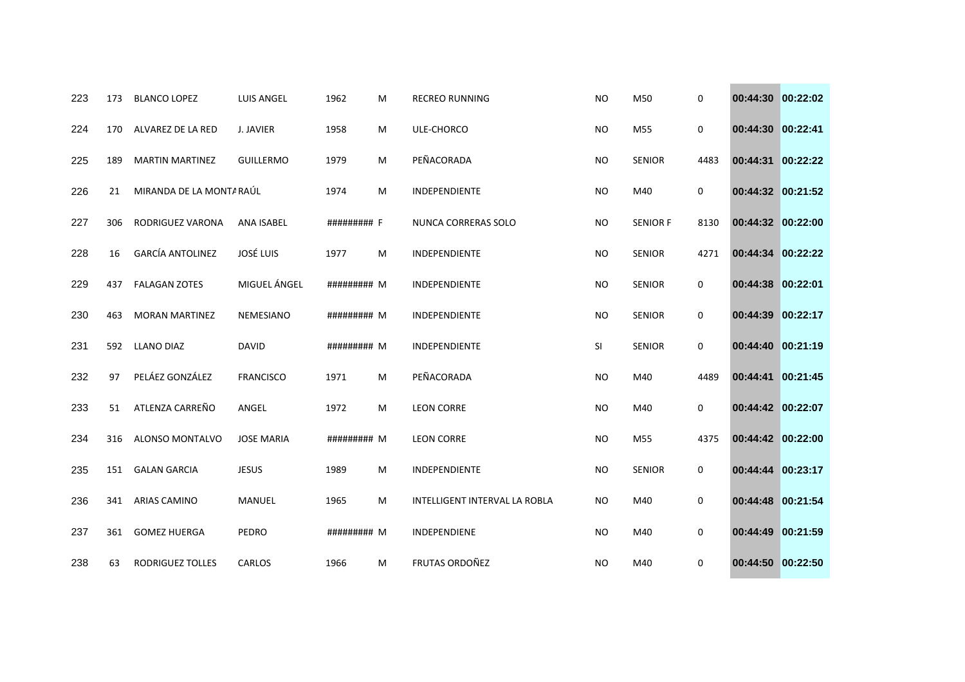| 223 | 173 | <b>BLANCO LOPEZ</b>      | <b>LUIS ANGEL</b> | 1962        | M | <b>RECREO RUNNING</b>         | <b>NO</b> | M50             | 0           | 00:44:30 00:22:02 |          |
|-----|-----|--------------------------|-------------------|-------------|---|-------------------------------|-----------|-----------------|-------------|-------------------|----------|
| 224 | 170 | ALVAREZ DE LA RED        | J. JAVIER         | 1958        | м | ULE-CHORCO                    | <b>NO</b> | M55             | 0           | 00:44:30 00:22:41 |          |
| 225 | 189 | <b>MARTIN MARTINEZ</b>   | <b>GUILLERMO</b>  | 1979        | M | PEÑACORADA                    | <b>NO</b> | <b>SENIOR</b>   | 4483        | 00:44:31          | 00:22:22 |
| 226 | 21  | MIRANDA DE LA MONTA RAÚL |                   | 1974        | M | <b>INDEPENDIENTE</b>          | <b>NO</b> | M40             | 0           | 00:44:32 00:21:52 |          |
| 227 | 306 | RODRIGUEZ VARONA         | ANA ISABEL        | ######### F |   | <b>NUNCA CORRERAS SOLO</b>    | <b>NO</b> | <b>SENIOR F</b> | 8130        | 00:44:32 00:22:00 |          |
| 228 | 16  | <b>GARCÍA ANTOLINEZ</b>  | <b>JOSÉ LUIS</b>  | 1977        | M | INDEPENDIENTE                 | <b>NO</b> | <b>SENIOR</b>   | 4271        | 00:44:34 00:22:22 |          |
| 229 | 437 | <b>FALAGAN ZOTES</b>     | MIGUEL ÁNGEL      | ######### M |   | INDEPENDIENTE                 | <b>NO</b> | <b>SENIOR</b>   | 0           | 00:44:38          | 00:22:01 |
| 230 | 463 | <b>MORAN MARTINEZ</b>    | NEMESIANO         | ######### M |   | INDEPENDIENTE                 | <b>NO</b> | <b>SENIOR</b>   | $\mathbf 0$ | 00:44:39 00:22:17 |          |
| 231 | 592 | <b>LLANO DIAZ</b>        | <b>DAVID</b>      | ######### M |   | INDEPENDIENTE                 | SI        | <b>SENIOR</b>   | 0           | 00:44:40          | 00:21:19 |
| 232 | 97  | PELÁEZ GONZÁLEZ          | <b>FRANCISCO</b>  | 1971        | M | PEÑACORADA                    | <b>NO</b> | M40             | 4489        | 00:44:41          | 00:21:45 |
| 233 | 51  | ATLENZA CARREÑO          | ANGEL             | 1972        | M | <b>LEON CORRE</b>             | <b>NO</b> | M40             | 0           | 00:44:42 00:22:07 |          |
| 234 | 316 | ALONSO MONTALVO          | <b>JOSE MARIA</b> | ######### M |   | <b>LEON CORRE</b>             | <b>NO</b> | M55             | 4375        | 00:44:42 00:22:00 |          |
| 235 | 151 | <b>GALAN GARCIA</b>      | <b>JESUS</b>      | 1989        | M | INDEPENDIENTE                 | <b>NO</b> | <b>SENIOR</b>   | 0           | 00:44:44 00:23:17 |          |
| 236 | 341 | <b>ARIAS CAMINO</b>      | MANUEL            | 1965        | M | INTELLIGENT INTERVAL LA ROBLA | <b>NO</b> | M40             | 0           | 00:44:48 00:21:54 |          |
| 237 | 361 | <b>GOMEZ HUERGA</b>      | PEDRO             | ######### M |   | INDEPENDIENE                  | <b>NO</b> | M40             | 0           | 00:44:49 00:21:59 |          |
| 238 | 63  | <b>RODRIGUEZ TOLLES</b>  | <b>CARLOS</b>     | 1966        | M | FRUTAS ORDOÑEZ                | <b>NO</b> | M40             | 0           | 00:44:50 00:22:50 |          |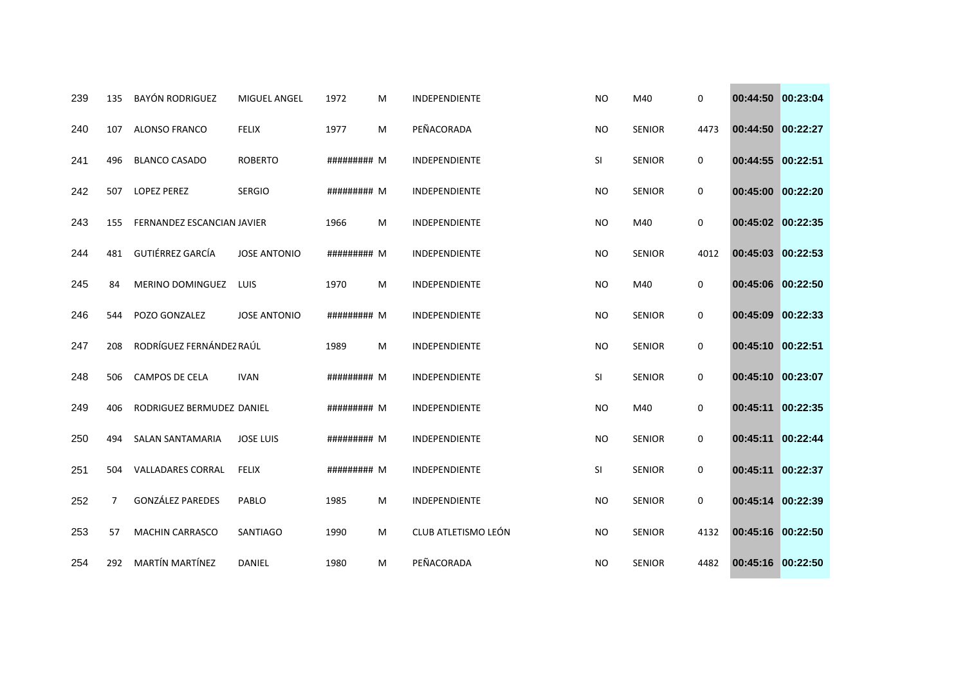| 239 | 135            | <b>BAYÓN RODRIGUEZ</b>     | <b>MIGUEL ANGEL</b> | 1972        | м | <b>INDEPENDIENTE</b> | <b>NO</b> | M40           | 0    | 00:44:50 00:23:04 |          |
|-----|----------------|----------------------------|---------------------|-------------|---|----------------------|-----------|---------------|------|-------------------|----------|
| 240 | 107            | ALONSO FRANCO              | <b>FELIX</b>        | 1977        | M | PEÑACORADA           | <b>NO</b> | <b>SENIOR</b> | 4473 | 00:44:50 00:22:27 |          |
| 241 | 496            | <b>BLANCO CASADO</b>       | <b>ROBERTO</b>      | ######### M |   | INDEPENDIENTE        | SI        | <b>SENIOR</b> | 0    | 00:44:55 00:22:51 |          |
| 242 | 507            | <b>LOPEZ PEREZ</b>         | <b>SERGIO</b>       | ######### M |   | <b>INDEPENDIENTE</b> | <b>NO</b> | <b>SENIOR</b> | 0    | 00:45:00 00:22:20 |          |
| 243 | 155            | FERNANDEZ ESCANCIAN JAVIER |                     | 1966        | M | INDEPENDIENTE        | <b>NO</b> | M40           | 0    | 00:45:02 00:22:35 |          |
| 244 | 481            | <b>GUTIÉRREZ GARCÍA</b>    | <b>JOSE ANTONIO</b> | ######### M |   | INDEPENDIENTE        | <b>NO</b> | <b>SENIOR</b> | 4012 | 00:45:03 00:22:53 |          |
| 245 | 84             | MERINO DOMINGUEZ           | LUIS                | 1970        | M | INDEPENDIENTE        | <b>NO</b> | M40           | 0    | 00:45:06 00:22:50 |          |
| 246 | 544            | POZO GONZALEZ              | <b>JOSE ANTONIO</b> | ######### M |   | INDEPENDIENTE        | <b>NO</b> | <b>SENIOR</b> | 0    | 00:45:09 00:22:33 |          |
| 247 | 208            | RODRÍGUEZ FERNÁNDEZ RAÚL   |                     | 1989        | M | INDEPENDIENTE        | <b>NO</b> | <b>SENIOR</b> | 0    | 00:45:10 00:22:51 |          |
| 248 | 506            | <b>CAMPOS DE CELA</b>      | <b>IVAN</b>         | ######### M |   | INDEPENDIENTE        | SI        | <b>SENIOR</b> | 0    | 00:45:10 00:23:07 |          |
| 249 | 406            | RODRIGUEZ BERMUDEZ DANIEL  |                     | ######### M |   | INDEPENDIENTE        | <b>NO</b> | M40           | 0    | 00:45:11 00:22:35 |          |
| 250 | 494            | <b>SALAN SANTAMARIA</b>    | <b>JOSE LUIS</b>    | ######### M |   | <b>INDEPENDIENTE</b> | <b>NO</b> | <b>SENIOR</b> | 0    | 00:45:11          | 00:22:44 |
| 251 | 504            | <b>VALLADARES CORRAL</b>   | <b>FELIX</b>        | ######### M |   | INDEPENDIENTE        | SI        | <b>SENIOR</b> | 0    | 00:45:11 00:22:37 |          |
| 252 | $\overline{7}$ | <b>GONZÁLEZ PAREDES</b>    | PABLO               | 1985        | M | INDEPENDIENTE        | <b>NO</b> | <b>SENIOR</b> | 0    | 00:45:14 00:22:39 |          |
| 253 | 57             | <b>MACHIN CARRASCO</b>     | SANTIAGO            | 1990        | M | CLUB ATLETISMO LEÓN  | <b>NO</b> | <b>SENIOR</b> | 4132 | 00:45:16 00:22:50 |          |
| 254 | 292            | <b>MARTÍN MARTÍNEZ</b>     | <b>DANIEL</b>       | 1980        | M | PEÑACORADA           | <b>NO</b> | <b>SENIOR</b> | 4482 | 00:45:16 00:22:50 |          |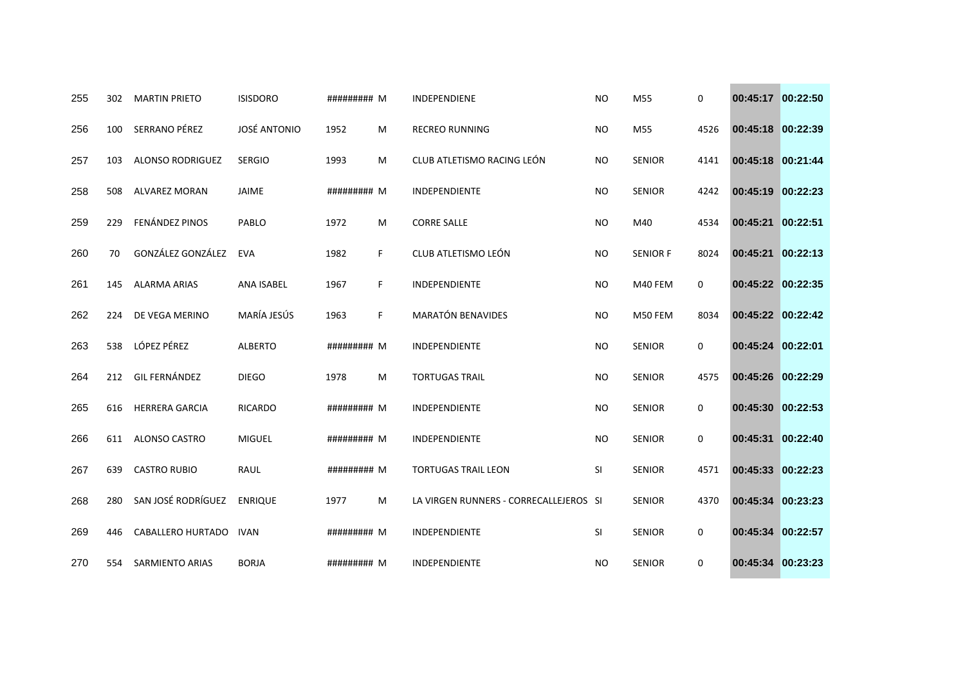| 255 | 302 | <b>MARTIN PRIETO</b>    | <b>ISISDORO</b>     | ######### M |    | <b>INDEPENDIENE</b>                    | <b>NO</b> | M55             | 0           | 00:45:17 00:22:50 |          |
|-----|-----|-------------------------|---------------------|-------------|----|----------------------------------------|-----------|-----------------|-------------|-------------------|----------|
| 256 | 100 | SERRANO PÉREZ           | <b>JOSÉ ANTONIO</b> | 1952        | м  | <b>RECREO RUNNING</b>                  | <b>NO</b> | M55             | 4526        | 00:45:18 00:22:39 |          |
| 257 | 103 | <b>ALONSO RODRIGUEZ</b> | <b>SERGIO</b>       | 1993        | M  | CLUB ATLETISMO RACING LEÓN             | <b>NO</b> | <b>SENIOR</b>   | 4141        | 00:45:18 00:21:44 |          |
| 258 | 508 | <b>ALVAREZ MORAN</b>    | <b>JAIME</b>        | ######### M |    | <b>INDEPENDIENTE</b>                   | <b>NO</b> | <b>SENIOR</b>   | 4242        | 00:45:19          | 00:22:23 |
| 259 | 229 | FENÁNDEZ PINOS          | PABLO               | 1972        | M  | <b>CORRE SALLE</b>                     | <b>NO</b> | M40             | 4534        | 00:45:21          | 00:22:51 |
| 260 | 70  | GONZÁLEZ GONZÁLEZ       | <b>EVA</b>          | 1982        | F  | CLUB ATLETISMO LEÓN                    | NO.       | <b>SENIOR F</b> | 8024        | 00:45:21          | 00:22:13 |
| 261 | 145 | <b>ALARMA ARIAS</b>     | ANA ISABEL          | 1967        | F. | INDEPENDIENTE                          | <b>NO</b> | M40 FEM         | 0           | 00:45:22 00:22:35 |          |
| 262 | 224 | DE VEGA MERINO          | MARÍA JESÚS         | 1963        | F. | <b>MARATÓN BENAVIDES</b>               | <b>NO</b> | M50 FEM         | 8034        | 00:45:22 00:22:42 |          |
| 263 | 538 | LÓPEZ PÉREZ             | <b>ALBERTO</b>      | ######### M |    | INDEPENDIENTE                          | <b>NO</b> | <b>SENIOR</b>   | 0           | 00:45:24          | 00:22:01 |
| 264 | 212 | GIL FERNÁNDEZ           | <b>DIEGO</b>        | 1978        | M  | <b>TORTUGAS TRAIL</b>                  | <b>NO</b> | <b>SENIOR</b>   | 4575        | 00:45:26 00:22:29 |          |
| 265 | 616 | <b>HERRERA GARCIA</b>   | <b>RICARDO</b>      | ######### M |    | INDEPENDIENTE                          | <b>NO</b> | <b>SENIOR</b>   | $\mathbf 0$ | 00:45:30 00:22:53 |          |
| 266 | 611 | ALONSO CASTRO           | <b>MIGUEL</b>       | ######### M |    | INDEPENDIENTE                          | <b>NO</b> | <b>SENIOR</b>   | 0           | 00:45:31          | 00:22:40 |
| 267 | 639 | <b>CASTRO RUBIO</b>     | <b>RAUL</b>         | ######### M |    | <b>TORTUGAS TRAIL LEON</b>             | SI        | <b>SENIOR</b>   | 4571        | 00:45:33          | 00:22:23 |
| 268 | 280 | SAN JOSÉ RODRÍGUEZ      | <b>ENRIQUE</b>      | 1977        | M  | LA VIRGEN RUNNERS - CORRECALLEJEROS SI |           | <b>SENIOR</b>   | 4370        | 00:45:34          | 00:23:23 |
| 269 | 446 | CABALLERO HURTADO       | <b>IVAN</b>         | ######### M |    | INDEPENDIENTE                          | SI        | <b>SENIOR</b>   | 0           | 00:45:34          | 00:22:57 |
| 270 | 554 | <b>SARMIENTO ARIAS</b>  | <b>BORJA</b>        | ######### M |    | INDEPENDIENTE                          | <b>NO</b> | <b>SENIOR</b>   | 0           | 00:45:34 00:23:23 |          |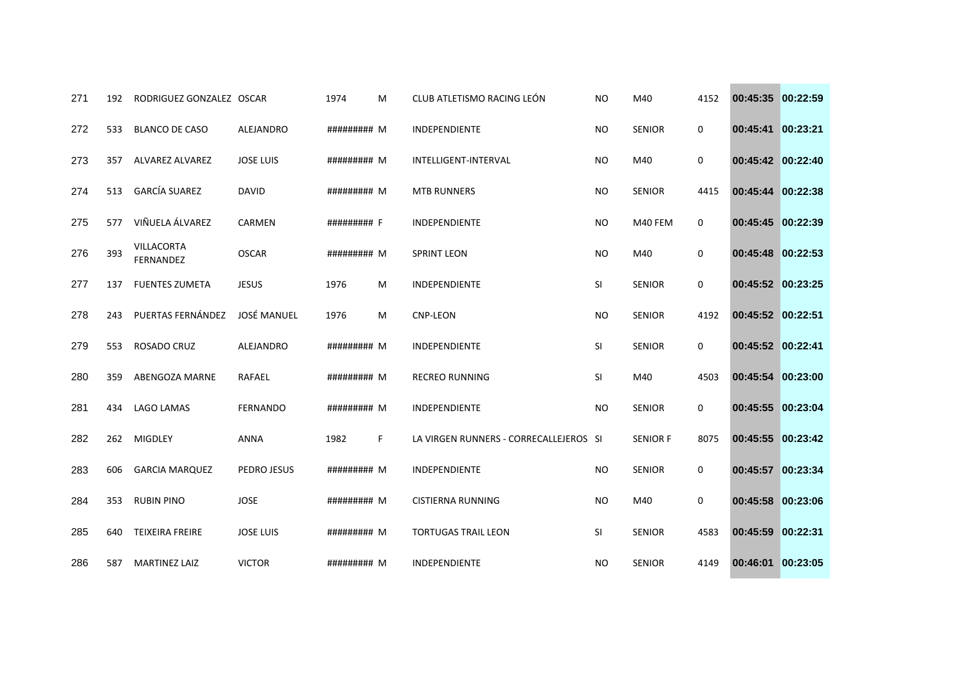| 271 | 192 | RODRIGUEZ GONZALEZ OSCAR              |                    | 1974        | м  | CLUB ATLETISMO RACING LEÓN             | <b>NO</b> | M40             | 4152 | 00:45:35 00:22:59 |  |
|-----|-----|---------------------------------------|--------------------|-------------|----|----------------------------------------|-----------|-----------------|------|-------------------|--|
| 272 | 533 | <b>BLANCO DE CASO</b>                 | ALEJANDRO          | ######### M |    | INDEPENDIENTE                          | <b>NO</b> | <b>SENIOR</b>   | 0    | 00:45:41 00:23:21 |  |
| 273 | 357 | ALVAREZ ALVAREZ                       | <b>JOSE LUIS</b>   | ######### M |    | INTELLIGENT-INTERVAL                   | <b>NO</b> | M40             | 0    | 00:45:42 00:22:40 |  |
| 274 | 513 | <b>GARCÍA SUAREZ</b>                  | <b>DAVID</b>       | ######### M |    | <b>MTB RUNNERS</b>                     | <b>NO</b> | <b>SENIOR</b>   | 4415 | 00:45:44 00:22:38 |  |
| 275 | 577 | VIÑUELA ÁLVAREZ                       | CARMEN             | ######### F |    | INDEPENDIENTE                          | <b>NO</b> | M40 FEM         | 0    | 00:45:45 00:22:39 |  |
| 276 | 393 | <b>VILLACORTA</b><br><b>FERNANDEZ</b> | <b>OSCAR</b>       | ######### M |    | <b>SPRINT LEON</b>                     | <b>NO</b> | M40             | 0    | 00:45:48 00:22:53 |  |
| 277 | 137 | <b>FUENTES ZUMETA</b>                 | <b>JESUS</b>       | 1976        | M  | INDEPENDIENTE                          | SI        | <b>SENIOR</b>   | 0    | 00:45:52 00:23:25 |  |
| 278 | 243 | PUERTAS FERNÁNDEZ                     | <b>JOSÉ MANUEL</b> | 1976        | M  | <b>CNP-LEON</b>                        | <b>NO</b> | <b>SENIOR</b>   | 4192 | 00:45:52 00:22:51 |  |
| 279 | 553 | ROSADO CRUZ                           | ALEJANDRO          | ######### M |    | INDEPENDIENTE                          | SI        | <b>SENIOR</b>   | 0    | 00:45:52 00:22:41 |  |
| 280 | 359 | ABENGOZA MARNE                        | RAFAEL             | ######### M |    | <b>RECREO RUNNING</b>                  | SI        | M40             | 4503 | 00:45:54 00:23:00 |  |
| 281 | 434 | <b>LAGO LAMAS</b>                     | <b>FERNANDO</b>    | ######### M |    | <b>INDEPENDIENTE</b>                   | <b>NO</b> | <b>SENIOR</b>   | 0    | 00:45:55 00:23:04 |  |
| 282 | 262 | MIGDLEY                               | <b>ANNA</b>        | 1982        | F. | LA VIRGEN RUNNERS - CORRECALLEJEROS SI |           | <b>SENIOR F</b> | 8075 | 00:45:55 00:23:42 |  |
| 283 | 606 | <b>GARCIA MARQUEZ</b>                 | PEDRO JESUS        | ######### M |    | INDEPENDIENTE                          | <b>NO</b> | <b>SENIOR</b>   | 0    | 00:45:57 00:23:34 |  |
| 284 | 353 | <b>RUBIN PINO</b>                     | <b>JOSE</b>        | ######### M |    | <b>CISTIERNA RUNNING</b>               | <b>NO</b> | M40             | 0    | 00:45:58 00:23:06 |  |
| 285 | 640 | <b>TEIXEIRA FREIRE</b>                | <b>JOSE LUIS</b>   | ######### M |    | <b>TORTUGAS TRAIL LEON</b>             | SI        | <b>SENIOR</b>   | 4583 | 00:45:59 00:22:31 |  |
| 286 | 587 | <b>MARTINEZ LAIZ</b>                  | <b>VICTOR</b>      | ######### M |    | INDEPENDIENTE                          | <b>NO</b> | <b>SENIOR</b>   | 4149 | 00:46:01 00:23:05 |  |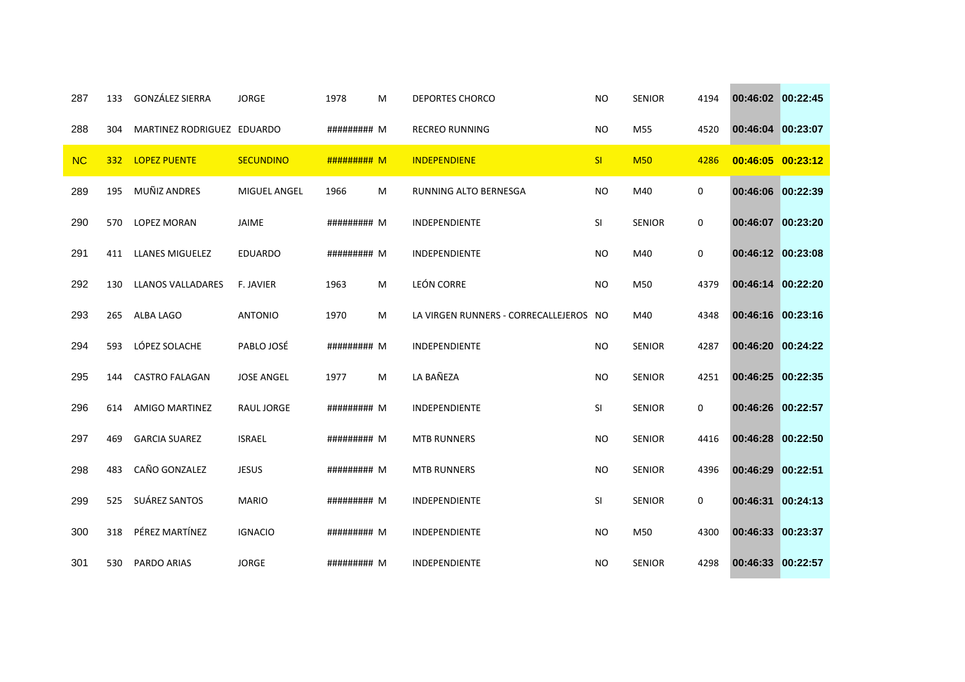| 287       | 133 | <b>GONZÁLEZ SIERRA</b>     | <b>JORGE</b>        | 1978        | M | <b>DEPORTES CHORCO</b>                 | <b>NO</b> | <b>SENIOR</b> | 4194 | 00:46:02 00:22:45 |          |
|-----------|-----|----------------------------|---------------------|-------------|---|----------------------------------------|-----------|---------------|------|-------------------|----------|
| 288       | 304 | MARTINEZ RODRIGUEZ EDUARDO |                     | ######### M |   | <b>RECREO RUNNING</b>                  | <b>NO</b> | M55           | 4520 | 00:46:04 00:23:07 |          |
| <b>NC</b> | 332 | <b>LOPEZ PUENTE</b>        | <b>SECUNDINO</b>    | ######### M |   | <b>INDEPENDIENE</b>                    | SI        | <b>M50</b>    | 4286 | 00:46:05 00:23:12 |          |
| 289       | 195 | MUÑIZ ANDRES               | <b>MIGUEL ANGEL</b> | 1966        | M | RUNNING ALTO BERNESGA                  | <b>NO</b> | M40           | 0    | 00:46:06 00:22:39 |          |
| 290       | 570 | LOPEZ MORAN                | JAIME               | ######### M |   | INDEPENDIENTE                          | SI        | <b>SENIOR</b> | 0    | 00:46:07 00:23:20 |          |
| 291       | 411 | <b>LLANES MIGUELEZ</b>     | <b>EDUARDO</b>      | ######### M |   | INDEPENDIENTE                          | <b>NO</b> | M40           | 0    | 00:46:12 00:23:08 |          |
| 292       | 130 | <b>LLANOS VALLADARES</b>   | F. JAVIER           | 1963        | M | LEÓN CORRE                             | <b>NO</b> | M50           | 4379 | 00:46:14 00:22:20 |          |
| 293       | 265 | ALBA LAGO                  | <b>ANTONIO</b>      | 1970        | M | LA VIRGEN RUNNERS - CORRECALLEJEROS NO |           | M40           | 4348 | 00:46:16 00:23:16 |          |
| 294       | 593 | LÓPEZ SOLACHE              | PABLO JOSÉ          | ######### M |   | INDEPENDIENTE                          | <b>NO</b> | <b>SENIOR</b> | 4287 | 00:46:20          | 00:24:22 |
| 295       | 144 | <b>CASTRO FALAGAN</b>      | <b>JOSE ANGEL</b>   | 1977        | M | LA BAÑEZA                              | <b>NO</b> | SENIOR        | 4251 | 00:46:25 00:22:35 |          |
| 296       | 614 | AMIGO MARTINEZ             | RAUL JORGE          | ######### M |   | <b>INDEPENDIENTE</b>                   | SI        | <b>SENIOR</b> | 0    | 00:46:26 00:22:57 |          |
| 297       | 469 | <b>GARCIA SUAREZ</b>       | <b>ISRAEL</b>       | ######### M |   | <b>MTB RUNNERS</b>                     | <b>NO</b> | <b>SENIOR</b> | 4416 | 00:46:28 00:22:50 |          |
| 298       | 483 | CAÑO GONZALEZ              | <b>JESUS</b>        | ######### M |   | <b>MTB RUNNERS</b>                     | <b>NO</b> | <b>SENIOR</b> | 4396 | 00:46:29          | 00:22:51 |
| 299       | 525 | SUÁREZ SANTOS              | <b>MARIO</b>        | ######### M |   | INDEPENDIENTE                          | SI        | <b>SENIOR</b> | 0    | 00:46:31          | 00:24:13 |
| 300       | 318 | PÉREZ MARTÍNEZ             | <b>IGNACIO</b>      | ######### M |   | INDEPENDIENTE                          | <b>NO</b> | M50           | 4300 | 00:46:33 00:23:37 |          |
| 301       | 530 | <b>PARDO ARIAS</b>         | <b>JORGE</b>        | ######### M |   | INDEPENDIENTE                          | <b>NO</b> | <b>SENIOR</b> | 4298 | 00:46:33 00:22:57 |          |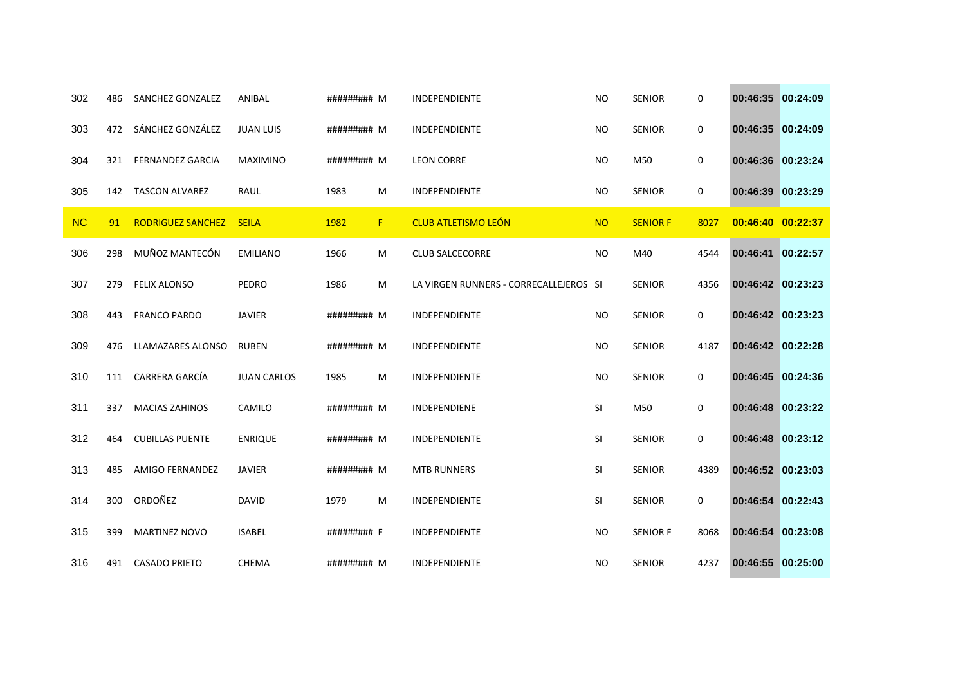| 302       | 486 | SANCHEZ GONZALEZ         | ANIBAL             | ######### M |    | <b>INDEPENDIENTE</b>                   | <b>NO</b> | <b>SENIOR</b>   | 0           | 00:46:35          | 00:24:09 |
|-----------|-----|--------------------------|--------------------|-------------|----|----------------------------------------|-----------|-----------------|-------------|-------------------|----------|
| 303       | 472 | SÁNCHEZ GONZÁLEZ         | <b>JUAN LUIS</b>   | ######### M |    | INDEPENDIENTE                          | <b>NO</b> | <b>SENIOR</b>   | 0           | 00:46:35          | 00:24:09 |
| 304       | 321 | <b>FERNANDEZ GARCIA</b>  | <b>MAXIMINO</b>    | ######### M |    | <b>LEON CORRE</b>                      | <b>NO</b> | M50             | 0           | 00:46:36 00:23:24 |          |
| 305       | 142 | <b>TASCON ALVAREZ</b>    | RAUL               | 1983        | M  | INDEPENDIENTE                          | <b>NO</b> | <b>SENIOR</b>   | 0           | 00:46:39          | 00:23:29 |
| <b>NC</b> | 91  | <b>RODRIGUEZ SANCHEZ</b> | <b>SEILA</b>       | 1982        | F. | <b>CLUB ATLETISMO LEÓN</b>             | <b>NO</b> | <b>SENIOR F</b> | 8027        | 00:46:40 00:22:37 |          |
| 306       | 298 | MUÑOZ MANTECÓN           | <b>EMILIANO</b>    | 1966        | M  | <b>CLUB SALCECORRE</b>                 | <b>NO</b> | M40             | 4544        | 00:46:41          | 00:22:57 |
| 307       | 279 | <b>FELIX ALONSO</b>      | PEDRO              | 1986        | M  | LA VIRGEN RUNNERS - CORRECALLEJEROS SI |           | <b>SENIOR</b>   | 4356        | 00:46:42 00:23:23 |          |
| 308       | 443 | <b>FRANCO PARDO</b>      | <b>JAVIER</b>      | ######### M |    | <b>INDEPENDIENTE</b>                   | <b>NO</b> | <b>SENIOR</b>   | 0           | 00:46:42 00:23:23 |          |
| 309       | 476 | LLAMAZARES ALONSO        | <b>RUBEN</b>       | ######### M |    | INDEPENDIENTE                          | <b>NO</b> | <b>SENIOR</b>   | 4187        | 00:46:42 00:22:28 |          |
| 310       | 111 | CARRERA GARCÍA           | <b>JUAN CARLOS</b> | 1985        | M  | INDEPENDIENTE                          | <b>NO</b> | <b>SENIOR</b>   | 0           | 00:46:45          | 00:24:36 |
| 311       | 337 | <b>MACIAS ZAHINOS</b>    | CAMILO             | ######### M |    | <b>INDEPENDIENE</b>                    | SI        | M50             | $\mathbf 0$ | 00:46:48          | 00:23:22 |
| 312       | 464 | <b>CUBILLAS PUENTE</b>   | <b>ENRIQUE</b>     | ######### M |    | INDEPENDIENTE                          | SI        | <b>SENIOR</b>   | $\mathbf 0$ | 00:46:48          | 00:23:12 |
| 313       | 485 | <b>AMIGO FERNANDEZ</b>   | <b>JAVIER</b>      | ######### M |    | <b>MTB RUNNERS</b>                     | SI        | <b>SENIOR</b>   | 4389        | 00:46:52 00:23:03 |          |
| 314       | 300 | ORDOÑEZ                  | <b>DAVID</b>       | 1979        | M  | INDEPENDIENTE                          | SI        | <b>SENIOR</b>   | 0           | 00:46:54          | 00:22:43 |
| 315       | 399 | MARTINEZ NOVO            | <b>ISABEL</b>      | ######### F |    | INDEPENDIENTE                          | <b>NO</b> | <b>SENIOR F</b> | 8068        | 00:46:54          | 00:23:08 |
| 316       | 491 | <b>CASADO PRIETO</b>     | <b>CHEMA</b>       | ######### M |    | INDEPENDIENTE                          | <b>NO</b> | <b>SENIOR</b>   | 4237        | 00:46:55 00:25:00 |          |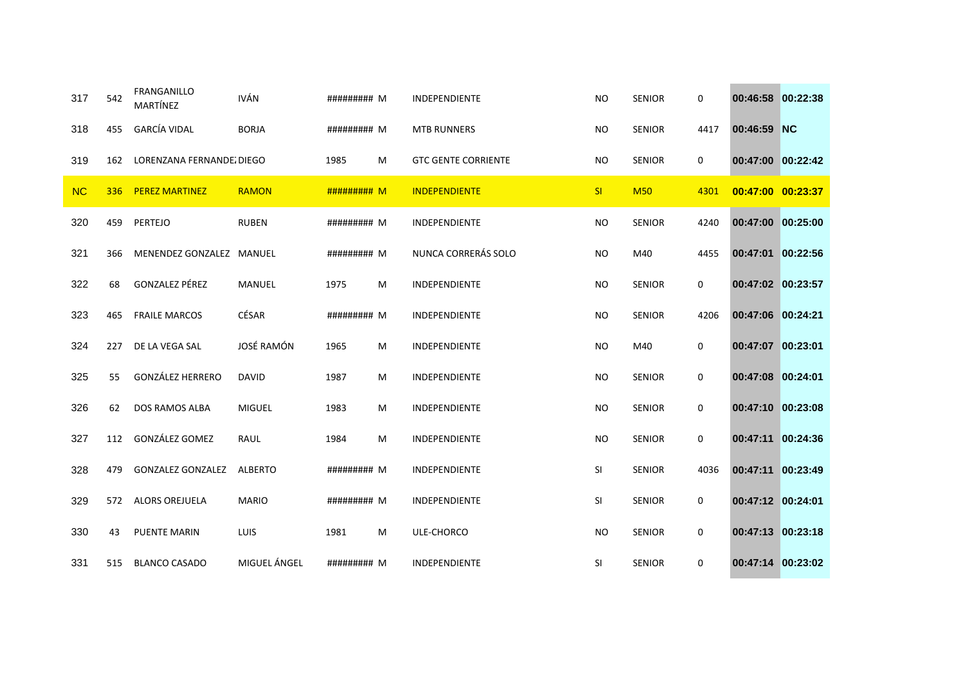| 317       | 542 | <b>FRANGANILLO</b><br>MARTÍNEZ | <b>IVÁN</b>    | ######### M |   | <b>INDEPENDIENTE</b>       | <b>NO</b> | <b>SENIOR</b> | 0    | 00:46:58 00:22:38 |  |
|-----------|-----|--------------------------------|----------------|-------------|---|----------------------------|-----------|---------------|------|-------------------|--|
| 318       | 455 | <b>GARCÍA VIDAL</b>            | <b>BORJA</b>   | ######### M |   | <b>MTB RUNNERS</b>         | <b>NO</b> | <b>SENIOR</b> | 4417 | 00:46:59 NC       |  |
| 319       | 162 | LORENZANA FERNANDE DIEGO       |                | 1985        | M | <b>GTC GENTE CORRIENTE</b> | <b>NO</b> | <b>SENIOR</b> | 0    | 00:47:00 00:22:42 |  |
| <b>NC</b> | 336 | <b>PEREZ MARTINEZ</b>          | <b>RAMON</b>   | ######### M |   | <b>INDEPENDIENTE</b>       | SI        | <b>M50</b>    | 4301 | 00:47:00 00:23:37 |  |
| 320       | 459 | PERTEJO                        | <b>RUBEN</b>   | ######### M |   | INDEPENDIENTE              | <b>NO</b> | <b>SENIOR</b> | 4240 | 00:47:00 00:25:00 |  |
| 321       | 366 | MENENDEZ GONZALEZ MANUEL       |                | ######### M |   | NUNCA CORRERÁS SOLO        | <b>NO</b> | M40           | 4455 | 00:47:01 00:22:56 |  |
| 322       | 68  | <b>GONZALEZ PÉREZ</b>          | MANUEL         | 1975        | M | INDEPENDIENTE              | <b>NO</b> | <b>SENIOR</b> | 0    | 00:47:02 00:23:57 |  |
| 323       | 465 | <b>FRAILE MARCOS</b>           | CÉSAR          | ######### M |   | <b>INDEPENDIENTE</b>       | <b>NO</b> | <b>SENIOR</b> | 4206 | 00:47:06 00:24:21 |  |
| 324       | 227 | DE LA VEGA SAL                 | JOSÉ RAMÓN     | 1965        | M | INDEPENDIENTE              | <b>NO</b> | M40           | 0    | 00:47:07 00:23:01 |  |
| 325       | 55  | <b>GONZÁLEZ HERRERO</b>        | <b>DAVID</b>   | 1987        | M | INDEPENDIENTE              | <b>NO</b> | <b>SENIOR</b> | 0    | 00:47:08 00:24:01 |  |
| 326       | 62  | <b>DOS RAMOS ALBA</b>          | <b>MIGUEL</b>  | 1983        | M | <b>INDEPENDIENTE</b>       | <b>NO</b> | <b>SENIOR</b> | 0    | 00:47:10 00:23:08 |  |
| 327       | 112 | GONZÁLEZ GOMEZ                 | RAUL           | 1984        | M | INDEPENDIENTE              | <b>NO</b> | <b>SENIOR</b> | 0    | 00:47:11 00:24:36 |  |
| 328       | 479 | <b>GONZALEZ GONZALEZ</b>       | <b>ALBERTO</b> | ######### M |   | INDEPENDIENTE              | SI        | <b>SENIOR</b> | 4036 | 00:47:11 00:23:49 |  |
| 329       | 572 | <b>ALORS OREJUELA</b>          | <b>MARIO</b>   | ######### M |   | INDEPENDIENTE              | SI        | <b>SENIOR</b> | 0    | 00:47:12 00:24:01 |  |
| 330       | 43  | PUENTE MARIN                   | LUIS           | 1981        | M | ULE-CHORCO                 | <b>NO</b> | <b>SENIOR</b> | 0    | 00:47:13 00:23:18 |  |
| 331       | 515 | <b>BLANCO CASADO</b>           | MIGUEL ÁNGEL   | ######### M |   | INDEPENDIENTE              | <b>SI</b> | <b>SENIOR</b> | 0    | 00:47:14 00:23:02 |  |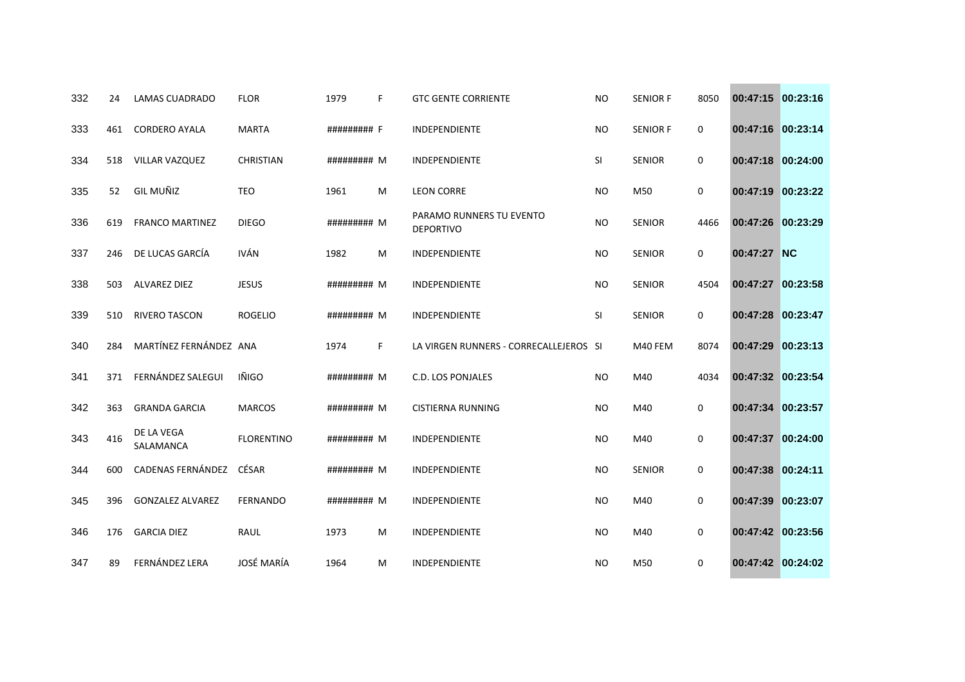| 332 | 24  | <b>LAMAS CUADRADO</b>   | <b>FLOR</b>       | 1979        | F. | <b>GTC GENTE CORRIENTE</b>                   | <b>NO</b> | <b>SENIOR F</b> | 8050 | 00:47:15 00:23:16 |          |
|-----|-----|-------------------------|-------------------|-------------|----|----------------------------------------------|-----------|-----------------|------|-------------------|----------|
| 333 | 461 | <b>CORDERO AYALA</b>    | <b>MARTA</b>      | ######### F |    | INDEPENDIENTE                                | <b>NO</b> | <b>SENIOR F</b> | 0    | 00:47:16 00:23:14 |          |
| 334 | 518 | VILLAR VAZQUEZ          | CHRISTIAN         | ######### M |    | INDEPENDIENTE                                | SI        | <b>SENIOR</b>   | 0    | 00:47:18 00:24:00 |          |
| 335 | 52  | <b>GIL MUÑIZ</b>        | <b>TEO</b>        | 1961        | M  | <b>LEON CORRE</b>                            | <b>NO</b> | M50             | 0    | 00:47:19 00:23:22 |          |
| 336 | 619 | <b>FRANCO MARTINEZ</b>  | <b>DIEGO</b>      | ######### M |    | PARAMO RUNNERS TU EVENTO<br><b>DEPORTIVO</b> | <b>NO</b> | <b>SENIOR</b>   | 4466 | 00:47:26 00:23:29 |          |
| 337 | 246 | DE LUCAS GARCÍA         | <b>IVÁN</b>       | 1982        | M  | INDEPENDIENTE                                | NO.       | <b>SENIOR</b>   | 0    | 00:47:27 NC       |          |
| 338 | 503 | <b>ALVAREZ DIEZ</b>     | <b>JESUS</b>      | ######### M |    | <b>INDEPENDIENTE</b>                         | <b>NO</b> | <b>SENIOR</b>   | 4504 | 00:47:27 00:23:58 |          |
| 339 | 510 | <b>RIVERO TASCON</b>    | <b>ROGELIO</b>    | ######### M |    | INDEPENDIENTE                                | SI        | <b>SENIOR</b>   | 0    | 00:47:28 00:23:47 |          |
| 340 | 284 | MARTÍNEZ FERNÁNDEZ ANA  |                   | 1974        | F. | LA VIRGEN RUNNERS - CORRECALLEJEROS SI       |           | M40 FEM         | 8074 | 00:47:29          | 00:23:13 |
| 341 | 371 | FERNÁNDEZ SALEGUI       | IÑIGO             | ######### M |    | <b>C.D. LOS PONJALES</b>                     | <b>NO</b> | M40             | 4034 | 00:47:32 00:23:54 |          |
| 342 | 363 | <b>GRANDA GARCIA</b>    | <b>MARCOS</b>     | ######### M |    | <b>CISTIERNA RUNNING</b>                     | <b>NO</b> | M40             | 0    | 00:47:34 00:23:57 |          |
| 343 | 416 | DE LA VEGA<br>SALAMANCA | <b>FLORENTINO</b> | ######### M |    | <b>INDEPENDIENTE</b>                         | <b>NO</b> | M40             | 0    | 00:47:37 00:24:00 |          |
| 344 | 600 | CADENAS FERNÁNDEZ       | CÉSAR             | ######### M |    | INDEPENDIENTE                                | <b>NO</b> | <b>SENIOR</b>   | 0    | 00:47:38 00:24:11 |          |
| 345 | 396 | <b>GONZALEZ ALVAREZ</b> | <b>FERNANDO</b>   | ######### M |    | INDEPENDIENTE                                | <b>NO</b> | M40             | 0    | 00:47:39          | 00:23:07 |
| 346 | 176 | <b>GARCIA DIEZ</b>      | <b>RAUL</b>       | 1973        | M  | INDEPENDIENTE                                | <b>NO</b> | M40             | 0    | 00:47:42 00:23:56 |          |
| 347 | 89  | FERNÁNDEZ LERA          | <b>JOSÉ MARÍA</b> | 1964        | M  | INDEPENDIENTE                                | <b>NO</b> | M50             | 0    | 00:47:42 00:24:02 |          |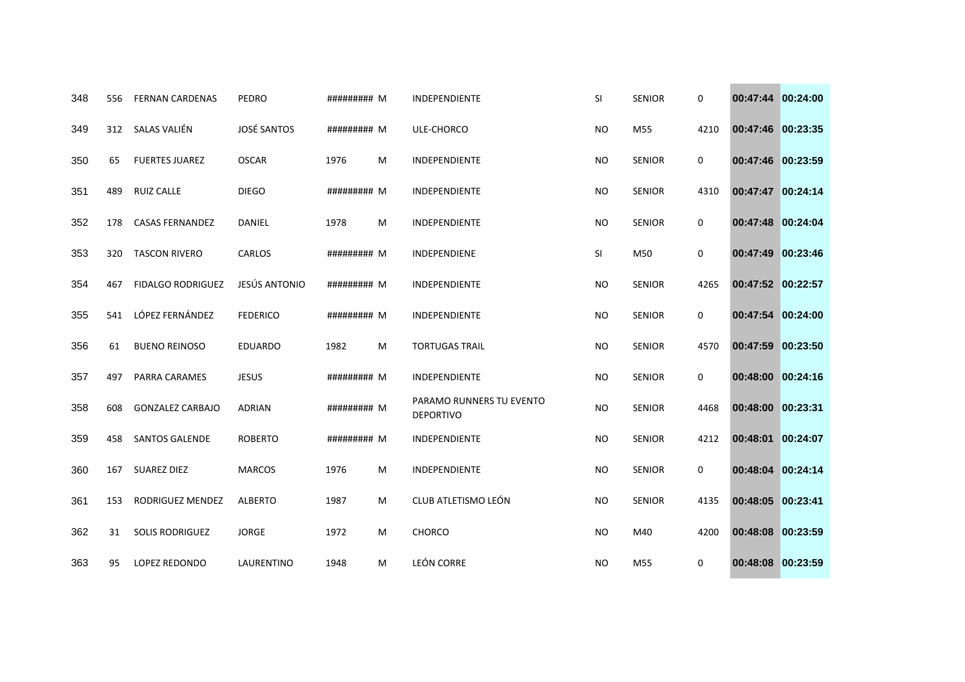| 348 | 556 | <b>FERNAN CARDENAS</b>   | PEDRO              | ######### M |   | <b>INDEPENDIENTE</b>                         | SI        | <b>SENIOR</b> | 0           | 00:47:44 00:24:00 |          |
|-----|-----|--------------------------|--------------------|-------------|---|----------------------------------------------|-----------|---------------|-------------|-------------------|----------|
| 349 | 312 | SALAS VALIÉN             | <b>JOSÉ SANTOS</b> | ######### M |   | ULE-CHORCO                                   | <b>NO</b> | M55           | 4210        | 00:47:46 00:23:35 |          |
| 350 | 65  | <b>FUERTES JUAREZ</b>    | <b>OSCAR</b>       | 1976        | M | INDEPENDIENTE                                | <b>NO</b> | <b>SENIOR</b> | 0           | 00:47:46 00:23:59 |          |
| 351 | 489 | <b>RUIZ CALLE</b>        | <b>DIEGO</b>       | ######### M |   | <b>INDEPENDIENTE</b>                         | <b>NO</b> | <b>SENIOR</b> | 4310        | 00:47:47 00:24:14 |          |
| 352 | 178 | <b>CASAS FERNANDEZ</b>   | DANIEL             | 1978        | M | INDEPENDIENTE                                | <b>NO</b> | <b>SENIOR</b> | 0           | 00:47:48 00:24:04 |          |
| 353 | 320 | <b>TASCON RIVERO</b>     | <b>CARLOS</b>      | ######### M |   | <b>INDEPENDIENE</b>                          | SI        | M50           | 0           | 00:47:49          | 00:23:46 |
| 354 | 467 | <b>FIDALGO RODRIGUEZ</b> | JESÚS ANTONIO      | ######### M |   | INDEPENDIENTE                                | <b>NO</b> | <b>SENIOR</b> | 4265        | 00:47:52 00:22:57 |          |
| 355 | 541 | LÓPEZ FERNÁNDEZ          | <b>FEDERICO</b>    | ######### M |   | <b>INDEPENDIENTE</b>                         | <b>NO</b> | <b>SENIOR</b> | $\mathbf 0$ | 00:47:54 00:24:00 |          |
| 356 | 61  | <b>BUENO REINOSO</b>     | <b>EDUARDO</b>     | 1982        | M | <b>TORTUGAS TRAIL</b>                        | <b>NO</b> | <b>SENIOR</b> | 4570        | 00:47:59          | 00:23:50 |
| 357 | 497 | PARRA CARAMES            | <b>JESUS</b>       | ######### M |   | <b>INDEPENDIENTE</b>                         | <b>NO</b> | <b>SENIOR</b> | 0           | 00:48:00          | 00:24:16 |
| 358 | 608 | <b>GONZALEZ CARBAJO</b>  | <b>ADRIAN</b>      | ######### M |   | PARAMO RUNNERS TU EVENTO<br><b>DEPORTIVO</b> | <b>NO</b> | <b>SENIOR</b> | 4468        | 00:48:00          | 00:23:31 |
| 359 | 458 | <b>SANTOS GALENDE</b>    | <b>ROBERTO</b>     | ######### M |   | INDEPENDIENTE                                | <b>NO</b> | <b>SENIOR</b> | 4212        | 00:48:01          | 00:24:07 |
| 360 | 167 | <b>SUAREZ DIEZ</b>       | <b>MARCOS</b>      | 1976        | M | INDEPENDIENTE                                | <b>NO</b> | <b>SENIOR</b> | 0           | 00:48:04          | 00:24:14 |
| 361 | 153 | RODRIGUEZ MENDEZ         | <b>ALBERTO</b>     | 1987        | м | CLUB ATLETISMO LEÓN                          | <b>NO</b> | <b>SENIOR</b> | 4135        | 00:48:05          | 00:23:41 |
| 362 | 31  | <b>SOLIS RODRIGUEZ</b>   | <b>JORGE</b>       | 1972        | M | <b>CHORCO</b>                                | <b>NO</b> | M40           | 4200        | 00:48:08          | 00:23:59 |
| 363 | 95  | LOPEZ REDONDO            | LAURENTINO         | 1948        | м | <b>LEÓN CORRE</b>                            | <b>NO</b> | M55           | 0           | 00:48:08 00:23:59 |          |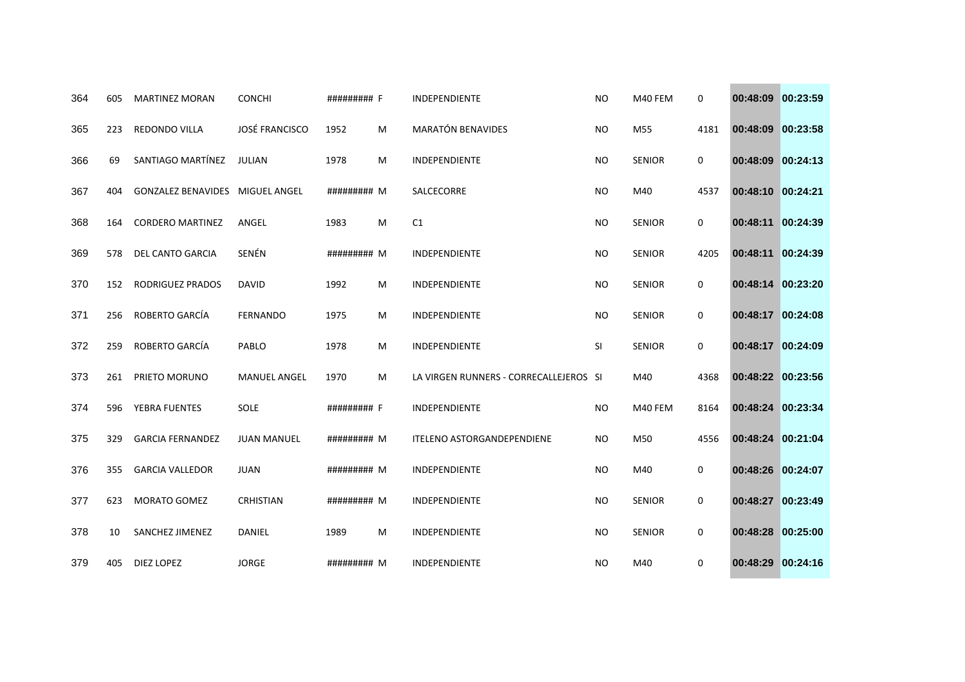| 364 | 605 | <b>MARTINEZ MORAN</b>     | <b>CONCHI</b>         | ######### F |   | <b>INDEPENDIENTE</b>                   | <b>NO</b> | M40 FEM       | 0           | 00:48:09          | 00:23:59 |
|-----|-----|---------------------------|-----------------------|-------------|---|----------------------------------------|-----------|---------------|-------------|-------------------|----------|
| 365 | 223 | REDONDO VILLA             | <b>JOSÉ FRANCISCO</b> | 1952        | M | <b>MARATÓN BENAVIDES</b>               | <b>NO</b> | M55           | 4181        | 00:48:09          | 00:23:58 |
| 366 | 69  | SANTIAGO MARTÍNEZ         | JULIAN                | 1978        | M | INDEPENDIENTE                          | <b>NO</b> | <b>SENIOR</b> | 0           | 00:48:09 00:24:13 |          |
| 367 | 404 | <b>GONZALEZ BENAVIDES</b> | <b>MIGUEL ANGEL</b>   | ######### M |   | SALCECORRE                             | <b>NO</b> | M40           | 4537        | 00:48:10          | 00:24:21 |
| 368 | 164 | <b>CORDERO MARTINEZ</b>   | ANGEL                 | 1983        | M | C1                                     | <b>NO</b> | <b>SENIOR</b> | 0           | 00:48:11          | 00:24:39 |
| 369 | 578 | <b>DEL CANTO GARCIA</b>   | SENÉN                 | ######### M |   | <b>INDEPENDIENTE</b>                   | <b>NO</b> | <b>SENIOR</b> | 4205        | 00:48:11          | 00:24:39 |
| 370 | 152 | <b>RODRIGUEZ PRADOS</b>   | DAVID                 | 1992        | M | INDEPENDIENTE                          | <b>NO</b> | <b>SENIOR</b> | 0           | 00:48:14          | 00:23:20 |
| 371 | 256 | ROBERTO GARCÍA            | <b>FERNANDO</b>       | 1975        | M | INDEPENDIENTE                          | <b>NO</b> | <b>SENIOR</b> | $\mathbf 0$ | 00:48:17 00:24:08 |          |
| 372 | 259 | ROBERTO GARCÍA            | PABLO                 | 1978        | M | INDEPENDIENTE                          | SI        | <b>SENIOR</b> | 0           | 00:48:17 00:24:09 |          |
| 373 | 261 | PRIETO MORUNO             | MANUEL ANGEL          | 1970        | м | LA VIRGEN RUNNERS - CORRECALLEJEROS SI |           | M40           | 4368        | 00:48:22 00:23:56 |          |
| 374 | 596 | YEBRA FUENTES             | <b>SOLE</b>           | ######### F |   | <b>INDEPENDIENTE</b>                   | <b>NO</b> | M40 FEM       | 8164        | 00:48:24 00:23:34 |          |
| 375 | 329 | <b>GARCIA FERNANDEZ</b>   | <b>JUAN MANUEL</b>    | ######### M |   | <b>ITELENO ASTORGANDEPENDIENE</b>      | <b>NO</b> | M50           | 4556        | 00:48:24 00:21:04 |          |
| 376 | 355 | <b>GARCIA VALLEDOR</b>    | <b>JUAN</b>           | ######### M |   | <b>INDEPENDIENTE</b>                   | <b>NO</b> | M40           | 0           | 00:48:26          | 00:24:07 |
| 377 | 623 | <b>MORATO GOMEZ</b>       | <b>CRHISTIAN</b>      | ######### M |   | INDEPENDIENTE                          | <b>NO</b> | <b>SENIOR</b> | 0           | 00:48:27          | 00:23:49 |
| 378 | 10  | SANCHEZ JIMENEZ           | DANIEL                | 1989        | M | INDEPENDIENTE                          | <b>NO</b> | <b>SENIOR</b> | 0           | 00:48:28 00:25:00 |          |
| 379 | 405 | <b>DIEZ LOPEZ</b>         | <b>JORGE</b>          | ######### M |   | INDEPENDIENTE                          | <b>NO</b> | M40           | 0           | 00:48:29 00:24:16 |          |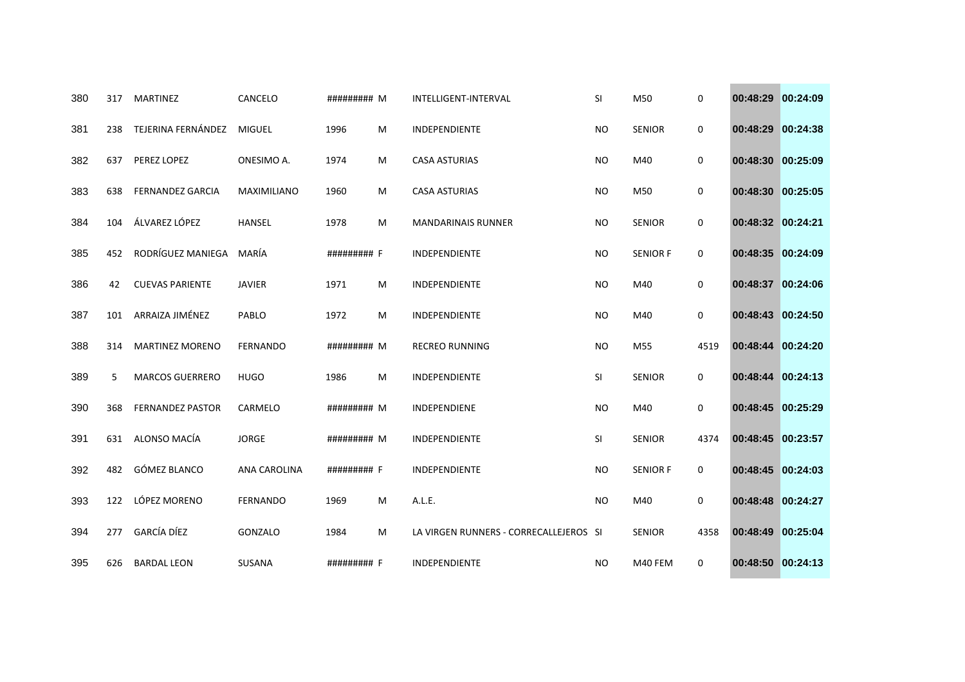| 380 | 317 | <b>MARTINEZ</b>         | CANCELO             | ######### M |   | INTELLIGENT-INTERVAL                   | SI        | M50             | 0           | 00:48:29 00:24:09 |          |
|-----|-----|-------------------------|---------------------|-------------|---|----------------------------------------|-----------|-----------------|-------------|-------------------|----------|
| 381 | 238 | TEJERINA FERNÁNDEZ      | <b>MIGUEL</b>       | 1996        | M | INDEPENDIENTE                          | <b>NO</b> | SENIOR          | 0           | 00:48:29 00:24:38 |          |
| 382 | 637 | PEREZ LOPEZ             | ONESIMO A.          | 1974        | м | <b>CASA ASTURIAS</b>                   | <b>NO</b> | M40             | 0           | 00:48:30 00:25:09 |          |
| 383 | 638 | <b>FERNANDEZ GARCIA</b> | MAXIMILIANO         | 1960        | м | <b>CASA ASTURIAS</b>                   | <b>NO</b> | M50             | 0           | 00:48:30 00:25:05 |          |
| 384 | 104 | ÁLVAREZ LÓPEZ           | <b>HANSEL</b>       | 1978        | M | <b>MANDARINAIS RUNNER</b>              | <b>NO</b> | <b>SENIOR</b>   | 0           | 00:48:32 00:24:21 |          |
| 385 | 452 | RODRÍGUEZ MANIEGA       | MARÍA               | ######### F |   | INDEPENDIENTE                          | <b>NO</b> | <b>SENIOR F</b> | 0           | 00:48:35 00:24:09 |          |
| 386 | 42  | <b>CUEVAS PARIENTE</b>  | <b>JAVIER</b>       | 1971        | M | INDEPENDIENTE                          | <b>NO</b> | M40             | 0           | 00:48:37          | 00:24:06 |
| 387 | 101 | ARRAIZA JIMÉNEZ         | PABLO               | 1972        | M | INDEPENDIENTE                          | <b>NO</b> | M40             | 0           | 00:48:43 00:24:50 |          |
| 388 | 314 | <b>MARTINEZ MORENO</b>  | <b>FERNANDO</b>     | ######### M |   | <b>RECREO RUNNING</b>                  | <b>NO</b> | M55             | 4519        | 00:48:44          | 00:24:20 |
| 389 | 5   | <b>MARCOS GUERRERO</b>  | <b>HUGO</b>         | 1986        | M | INDEPENDIENTE                          | SI        | <b>SENIOR</b>   | 0           | 00:48:44 00:24:13 |          |
| 390 | 368 | <b>FERNANDEZ PASTOR</b> | CARMELO             | ######### M |   | INDEPENDIENE                           | <b>NO</b> | M40             | 0           | 00:48:45 00:25:29 |          |
| 391 | 631 | ALONSO MACÍA            | <b>JORGE</b>        | ######### M |   | <b>INDEPENDIENTE</b>                   | SI        | <b>SENIOR</b>   | 4374        | 00:48:45 00:23:57 |          |
| 392 | 482 | GÓMEZ BLANCO            | <b>ANA CAROLINA</b> | ######### F |   | INDEPENDIENTE                          | <b>NO</b> | <b>SENIOR F</b> | 0           | 00:48:45 00:24:03 |          |
| 393 | 122 | LÓPEZ MORENO            | <b>FERNANDO</b>     | 1969        | M | A.L.E.                                 | <b>NO</b> | M40             | $\mathbf 0$ | 00:48:48          | 00:24:27 |
| 394 | 277 | <b>GARCÍA DÍEZ</b>      | GONZALO             | 1984        | м | LA VIRGEN RUNNERS - CORRECALLEJEROS SI |           | <b>SENIOR</b>   | 4358        | 00:48:49 00:25:04 |          |
| 395 | 626 | <b>BARDAL LEON</b>      | SUSANA              | ######### F |   | INDEPENDIENTE                          | <b>NO</b> | M40 FEM         | 0           | 00:48:50 00:24:13 |          |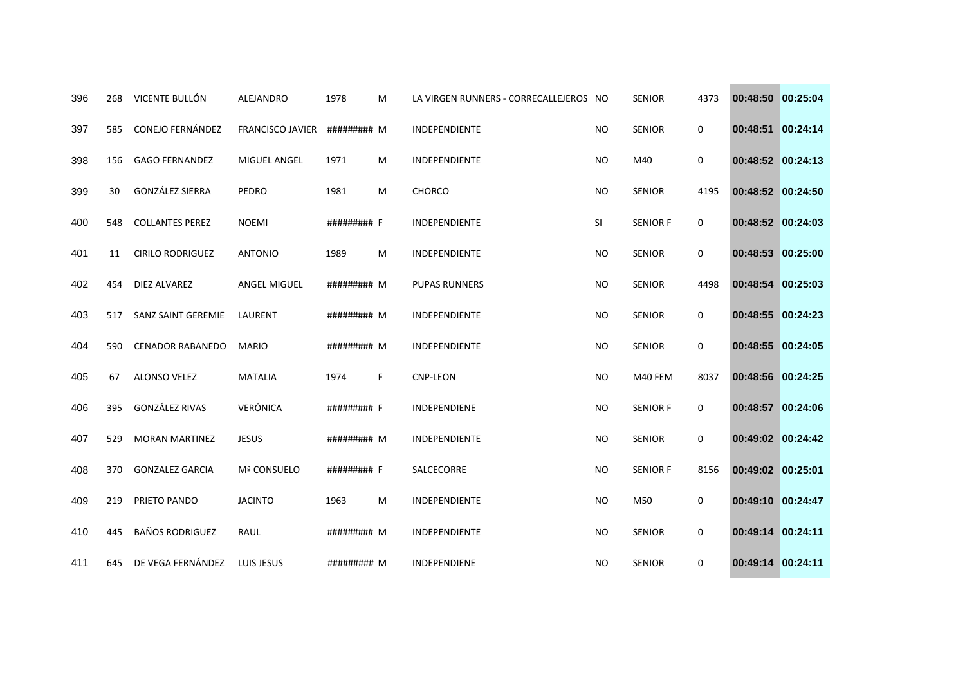| 396 | 268 | VICENTE BULLÓN            | ALEJANDRO               | 1978        | м  | LA VIRGEN RUNNERS - CORRECALLEJEROS NO |           | <b>SENIOR</b>   | 4373 | 00:48:50          | 00:25:04 |
|-----|-----|---------------------------|-------------------------|-------------|----|----------------------------------------|-----------|-----------------|------|-------------------|----------|
| 397 | 585 | <b>CONEJO FERNÁNDEZ</b>   | <b>FRANCISCO JAVIER</b> | ######### M |    | INDEPENDIENTE                          | <b>NO</b> | <b>SENIOR</b>   | 0    | 00:48:51          | 00:24:14 |
| 398 | 156 | <b>GAGO FERNANDEZ</b>     | MIGUEL ANGEL            | 1971        | M  | INDEPENDIENTE                          | <b>NO</b> | M40             | 0    | 00:48:52 00:24:13 |          |
| 399 | 30  | <b>GONZÁLEZ SIERRA</b>    | PEDRO                   | 1981        | M  | <b>CHORCO</b>                          | <b>NO</b> | <b>SENIOR</b>   | 4195 | 00:48:52 00:24:50 |          |
| 400 | 548 | <b>COLLANTES PEREZ</b>    | <b>NOEMI</b>            | ######### F |    | INDEPENDIENTE                          | <b>SI</b> | <b>SENIOR F</b> | 0    | 00:48:52 00:24:03 |          |
| 401 | 11  | <b>CIRILO RODRIGUEZ</b>   | <b>ANTONIO</b>          | 1989        | M  | INDEPENDIENTE                          | <b>NO</b> | <b>SENIOR</b>   | 0    | 00:48:53          | 00:25:00 |
| 402 | 454 | DIEZ ALVAREZ              | ANGEL MIGUEL            | ######### M |    | <b>PUPAS RUNNERS</b>                   | <b>NO</b> | <b>SENIOR</b>   | 4498 | 00:48:54          | 00:25:03 |
| 403 | 517 | <b>SANZ SAINT GEREMIE</b> | LAURENT                 | ######### M |    | INDEPENDIENTE                          | <b>NO</b> | <b>SENIOR</b>   | 0    | 00:48:55 00:24:23 |          |
| 404 | 590 | <b>CENADOR RABANEDO</b>   | <b>MARIO</b>            | ######### M |    | INDEPENDIENTE                          | <b>NO</b> | <b>SENIOR</b>   | 0    | 00:48:55          | 00:24:05 |
| 405 | 67  | ALONSO VELEZ              | <b>MATALIA</b>          | 1974        | F. | <b>CNP-LEON</b>                        | <b>NO</b> | M40 FEM         | 8037 | 00:48:56 00:24:25 |          |
| 406 | 395 | <b>GONZÁLEZ RIVAS</b>     | <b>VERÓNICA</b>         | ######### F |    | <b>INDEPENDIENE</b>                    | <b>NO</b> | <b>SENIOR F</b> | 0    | 00:48:57 00:24:06 |          |
| 407 | 529 | <b>MORAN MARTINEZ</b>     | <b>JESUS</b>            | ######### M |    | INDEPENDIENTE                          | <b>NO</b> | <b>SENIOR</b>   | 0    | 00:49:02 00:24:42 |          |
| 408 | 370 | <b>GONZALEZ GARCIA</b>    | Mª CONSUELO             | ######### F |    | SALCECORRE                             | <b>NO</b> | <b>SENIOR F</b> | 8156 | 00:49:02 00:25:01 |          |
| 409 | 219 | PRIETO PANDO              | <b>JACINTO</b>          | 1963        | M  | INDEPENDIENTE                          | <b>NO</b> | M50             | 0    | 00:49:10 00:24:47 |          |
| 410 | 445 | <b>BAÑOS RODRIGUEZ</b>    | RAUL                    | ######### M |    | INDEPENDIENTE                          | <b>NO</b> | <b>SENIOR</b>   | 0    | 00:49:14 00:24:11 |          |
| 411 | 645 | DE VEGA FERNÁNDEZ         | LUIS JESUS              | ######### M |    | INDEPENDIENE                           | <b>NO</b> | <b>SENIOR</b>   | 0    | 00:49:14 00:24:11 |          |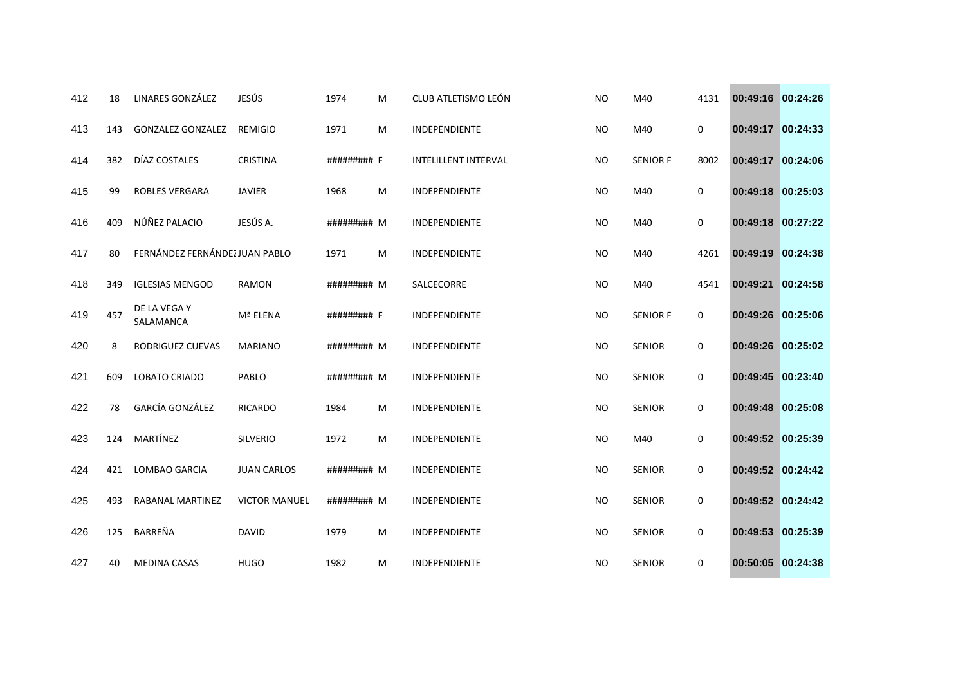| 412 | 18  | LINARES GONZÁLEZ               | JESÚS                | 1974        | M | CLUB ATLETISMO LEÓN         | <b>NO</b> | M40             | 4131        | 00:49:16 00:24:26 |          |
|-----|-----|--------------------------------|----------------------|-------------|---|-----------------------------|-----------|-----------------|-------------|-------------------|----------|
| 413 | 143 | <b>GONZALEZ GONZALEZ</b>       | <b>REMIGIO</b>       | 1971        | м | INDEPENDIENTE               | <b>NO</b> | M40             | 0           | 00:49:17 00:24:33 |          |
| 414 | 382 | DÍAZ COSTALES                  | <b>CRISTINA</b>      | ######### F |   | <b>INTELILLENT INTERVAL</b> | <b>NO</b> | <b>SENIOR F</b> | 8002        | 00:49:17 00:24:06 |          |
| 415 | 99  | <b>ROBLES VERGARA</b>          | <b>JAVIER</b>        | 1968        | M | <b>INDEPENDIENTE</b>        | <b>NO</b> | M40             | $\mathbf 0$ | 00:49:18 00:25:03 |          |
| 416 | 409 | NÚÑEZ PALACIO                  | JESÚS A.             | ######### M |   | INDEPENDIENTE               | <b>NO</b> | M40             | $\mathbf 0$ | 00:49:18 00:27:22 |          |
| 417 | 80  | FERNÁNDEZ FERNÁNDEZ JUAN PABLO |                      | 1971        | M | INDEPENDIENTE               | <b>NO</b> | M40             | 4261        | 00:49:19          | 00:24:38 |
| 418 | 349 | <b>IGLESIAS MENGOD</b>         | <b>RAMON</b>         | ######### M |   | SALCECORRE                  | <b>NO</b> | M40             | 4541        | 00:49:21          | 00:24:58 |
| 419 | 457 | DE LA VEGA Y<br>SALAMANCA      | Mª ELENA             | ######### F |   | INDEPENDIENTE               | <b>NO</b> | <b>SENIOR F</b> | 0           | 00:49:26 00:25:06 |          |
| 420 | 8   | RODRIGUEZ CUEVAS               | <b>MARIANO</b>       | ######### M |   | INDEPENDIENTE               | <b>NO</b> | <b>SENIOR</b>   | 0           | 00:49:26          | 00:25:02 |
| 421 | 609 | LOBATO CRIADO                  | PABLO                | ######### M |   | INDEPENDIENTE               | <b>NO</b> | <b>SENIOR</b>   | 0           | 00:49:45          | 00:23:40 |
| 422 | 78  | GARCÍA GONZÁLEZ                | <b>RICARDO</b>       | 1984        | M | INDEPENDIENTE               | <b>NO</b> | <b>SENIOR</b>   | 0           | 00:49:48 00:25:08 |          |
| 423 | 124 | MARTÍNEZ                       | <b>SILVERIO</b>      | 1972        | M | <b>INDEPENDIENTE</b>        | <b>NO</b> | M40             | $\mathbf 0$ | 00:49:52 00:25:39 |          |
| 424 | 421 | <b>LOMBAO GARCIA</b>           | <b>JUAN CARLOS</b>   | ######### M |   | INDEPENDIENTE               | <b>NO</b> | <b>SENIOR</b>   | 0           | 00:49:52 00:24:42 |          |
| 425 | 493 | RABANAL MARTINEZ               | <b>VICTOR MANUEL</b> | ######### M |   | INDEPENDIENTE               | <b>NO</b> | <b>SENIOR</b>   | 0           | 00:49:52 00:24:42 |          |
| 426 | 125 | BARREÑA                        | <b>DAVID</b>         | 1979        | M | INDEPENDIENTE               | <b>NO</b> | <b>SENIOR</b>   | 0           | 00:49:53          | 00:25:39 |
| 427 | 40  | <b>MEDINA CASAS</b>            | <b>HUGO</b>          | 1982        | м | INDEPENDIENTE               | <b>NO</b> | <b>SENIOR</b>   | 0           | 00:50:05 00:24:38 |          |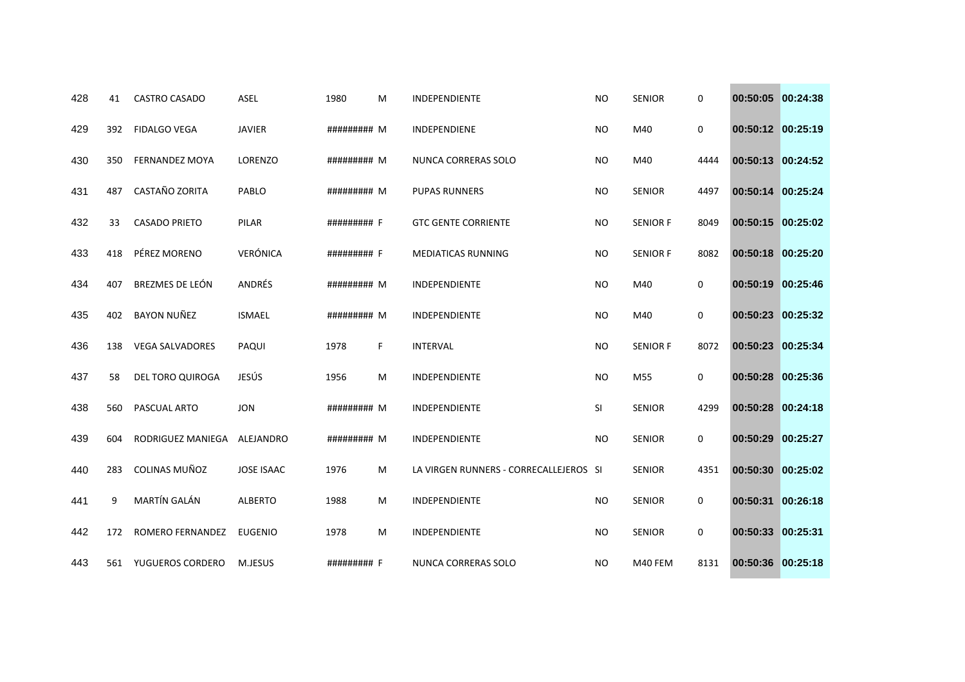| 428 | 41  | CASTRO CASADO          | <b>ASEL</b>       | 1980        | M | <b>INDEPENDIENTE</b>                   | <b>NO</b> | <b>SENIOR</b>   | 0           | 00:50:05 00:24:38 |          |
|-----|-----|------------------------|-------------------|-------------|---|----------------------------------------|-----------|-----------------|-------------|-------------------|----------|
| 429 | 392 | <b>FIDALGO VEGA</b>    | <b>JAVIER</b>     | ######### M |   | INDEPENDIENE                           | <b>NO</b> | M40             | 0           | 00:50:12 00:25:19 |          |
| 430 | 350 | <b>FERNANDEZ MOYA</b>  | LORENZO           | ######### M |   | NUNCA CORRERAS SOLO                    | <b>NO</b> | M40             | 4444        | 00:50:13 00:24:52 |          |
| 431 | 487 | CASTAÑO ZORITA         | PABLO             | ######### M |   | <b>PUPAS RUNNERS</b>                   | <b>NO</b> | <b>SENIOR</b>   | 4497        | 00:50:14 00:25:24 |          |
| 432 | 33  | <b>CASADO PRIETO</b>   | PILAR             | ######### F |   | <b>GTC GENTE CORRIENTE</b>             | <b>NO</b> | <b>SENIOR F</b> | 8049        | 00:50:15 00:25:02 |          |
| 433 | 418 | PÉREZ MORENO           | VERÓNICA          | ######### F |   | <b>MEDIATICAS RUNNING</b>              | NO.       | <b>SENIOR F</b> | 8082        | 00:50:18 00:25:20 |          |
| 434 | 407 | BREZMES DE LEÓN        | ANDRÉS            | ######### M |   | INDEPENDIENTE                          | <b>NO</b> | M40             | 0           | 00:50:19 00:25:46 |          |
| 435 | 402 | <b>BAYON NUÑEZ</b>     | <b>ISMAEL</b>     | ######### M |   | <b>INDEPENDIENTE</b>                   | <b>NO</b> | M40             | 0           | 00:50:23 00:25:32 |          |
| 436 | 138 | <b>VEGA SALVADORES</b> | PAQUI             | 1978        | F | <b>INTERVAL</b>                        | <b>NO</b> | <b>SENIOR F</b> | 8072        | 00:50:23          | 00:25:34 |
| 437 | 58  | DEL TORO QUIROGA       | JESÚS             | 1956        | M | INDEPENDIENTE                          | <b>NO</b> | M55             | 0           | 00:50:28 00:25:36 |          |
| 438 | 560 | PASCUAL ARTO           | <b>JON</b>        | ######### M |   | <b>INDEPENDIENTE</b>                   | SI        | <b>SENIOR</b>   | 4299        | 00:50:28 00:24:18 |          |
| 439 | 604 | RODRIGUEZ MANIEGA      | ALEJANDRO         | ######### M |   | INDEPENDIENTE                          | <b>NO</b> | <b>SENIOR</b>   | 0           | 00:50:29 00:25:27 |          |
| 440 | 283 | COLINAS MUÑOZ          | <b>JOSE ISAAC</b> | 1976        | м | LA VIRGEN RUNNERS - CORRECALLEJEROS SI |           | <b>SENIOR</b>   | 4351        | 00:50:30 00:25:02 |          |
| 441 | 9   | MARTÍN GALÁN           | <b>ALBERTO</b>    | 1988        | м | INDEPENDIENTE                          | <b>NO</b> | <b>SENIOR</b>   | 0           | 00:50:31          | 00:26:18 |
| 442 | 172 | ROMERO FERNANDEZ       | <b>EUGENIO</b>    | 1978        | M | INDEPENDIENTE                          | <b>NO</b> | <b>SENIOR</b>   | $\mathbf 0$ | 00:50:33 00:25:31 |          |
| 443 |     | 561 YUGUEROS CORDERO   | M.JESUS           | ######### F |   | NUNCA CORRERAS SOLO                    | <b>NO</b> | M40 FEM         | 8131        | 00:50:36 00:25:18 |          |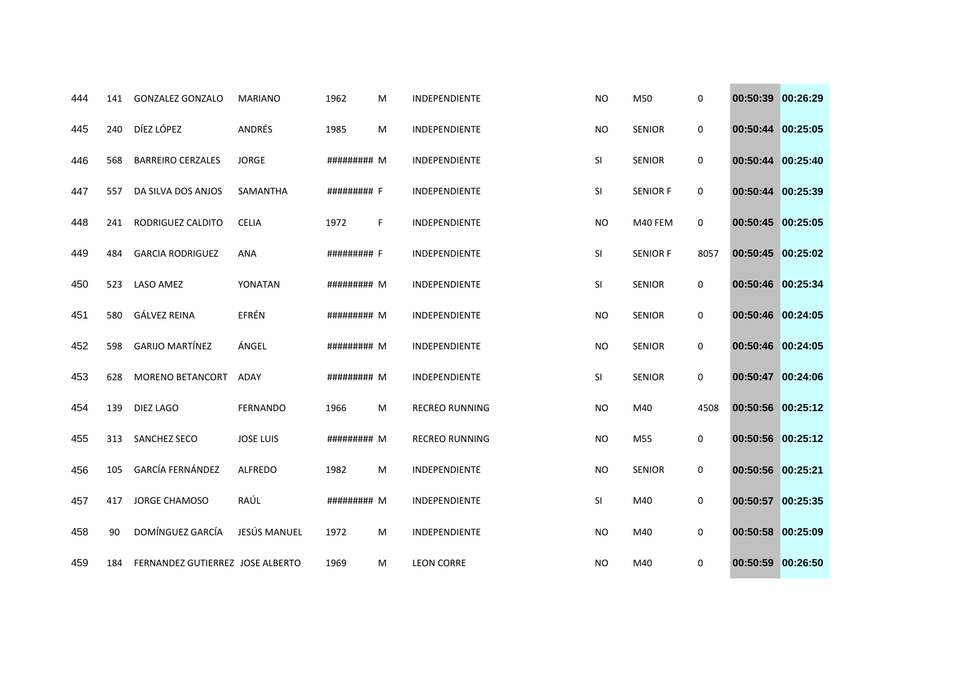| 444 | 141 | <b>GONZALEZ GONZALO</b>          | <b>MARIANO</b>   | 1962        | M | <b>INDEPENDIENTE</b>  | <b>NO</b> | M50             | 0           | 00:50:39 00:26:29 |  |
|-----|-----|----------------------------------|------------------|-------------|---|-----------------------|-----------|-----------------|-------------|-------------------|--|
| 445 | 240 | DÍEZ LÓPEZ                       | ANDRÉS           | 1985        | M | INDEPENDIENTE         | <b>NO</b> | <b>SENIOR</b>   | 0           | 00:50:44 00:25:05 |  |
| 446 | 568 | <b>BARREIRO CERZALES</b>         | <b>JORGE</b>     | ######### M |   | INDEPENDIENTE         | SI        | <b>SENIOR</b>   | 0           | 00:50:44 00:25:40 |  |
| 447 | 557 | DA SILVA DOS ANJOS               | <b>SAMANTHA</b>  | ######### F |   | <b>INDEPENDIENTE</b>  | SI        | <b>SENIOR F</b> | $\mathbf 0$ | 00:50:44 00:25:39 |  |
| 448 | 241 | RODRIGUEZ CALDITO                | <b>CELIA</b>     | 1972        | F | INDEPENDIENTE         | <b>NO</b> | M40 FEM         | 0           | 00:50:45 00:25:05 |  |
| 449 | 484 | <b>GARCIA RODRIGUEZ</b>          | <b>ANA</b>       | ######### F |   | INDEPENDIENTE         | SI        | <b>SENIOR F</b> | 8057        | 00:50:45 00:25:02 |  |
| 450 | 523 | LASO AMEZ                        | YONATAN          | ######### M |   | INDEPENDIENTE         | SI        | <b>SENIOR</b>   | 0           | 00:50:46 00:25:34 |  |
| 451 | 580 | GÁLVEZ REINA                     | EFRÉN            | ######### M |   | INDEPENDIENTE         | <b>NO</b> | <b>SENIOR</b>   | 0           | 00:50:46 00:24:05 |  |
| 452 | 598 | <b>GARIJO MARTÍNEZ</b>           | ÁNGEL            | ######### M |   | INDEPENDIENTE         | <b>NO</b> | <b>SENIOR</b>   | 0           | 00:50:46 00:24:05 |  |
| 453 | 628 | <b>MORENO BETANCORT</b>          | <b>ADAY</b>      | ######### M |   | INDEPENDIENTE         | SI        | <b>SENIOR</b>   | 0           | 00:50:47 00:24:06 |  |
| 454 | 139 | DIEZ LAGO                        | <b>FERNANDO</b>  | 1966        | M | <b>RECREO RUNNING</b> | <b>NO</b> | M40             | 4508        | 00:50:56 00:25:12 |  |
| 455 | 313 | SANCHEZ SECO                     | <b>JOSE LUIS</b> | ######### M |   | <b>RECREO RUNNING</b> | <b>NO</b> | M55             | 0           | 00:50:56 00:25:12 |  |
| 456 | 105 | <b>GARCÍA FERNÁNDEZ</b>          | <b>ALFREDO</b>   | 1982        | M | INDEPENDIENTE         | <b>NO</b> | <b>SENIOR</b>   | 0           | 00:50:56 00:25:21 |  |
| 457 | 417 | <b>JORGE CHAMOSO</b>             | RAÚL             | ######### M |   | INDEPENDIENTE         | <b>SI</b> | M40             | 0           | 00:50:57 00:25:35 |  |
| 458 | 90  | DOMÍNGUEZ GARCÍA                 | JESÚS MANUEL     | 1972        | M | INDEPENDIENTE         | <b>NO</b> | M40             | 0           | 00:50:58 00:25:09 |  |
| 459 | 184 | FERNANDEZ GUTIERREZ JOSE ALBERTO |                  | 1969        | м | <b>LEON CORRE</b>     | <b>NO</b> | M40             | 0           | 00:50:59 00:26:50 |  |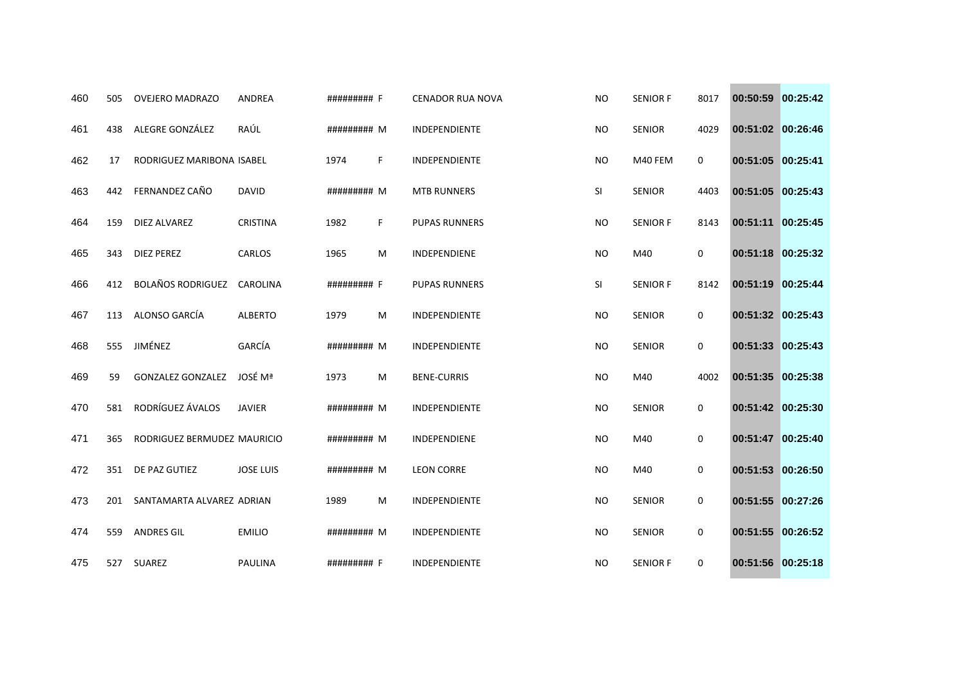| 460 | 505 | <b>OVEJERO MADRAZO</b>      | <b>ANDREA</b>    | ######### F |    | <b>CENADOR RUA NOVA</b> | <b>NO</b> | <b>SENIOR F</b> | 8017        | 00:50:59          | 00:25:42 |
|-----|-----|-----------------------------|------------------|-------------|----|-------------------------|-----------|-----------------|-------------|-------------------|----------|
| 461 | 438 | ALEGRE GONZÁLEZ             | RAÚL             | ######### M |    | INDEPENDIENTE           | <b>NO</b> | <b>SENIOR</b>   | 4029        | 00:51:02 00:26:46 |          |
| 462 | 17  | RODRIGUEZ MARIBONA ISABEL   |                  | 1974        | F. | INDEPENDIENTE           | <b>NO</b> | M40 FEM         | $\mathbf 0$ | 00:51:05 00:25:41 |          |
| 463 | 442 | FERNANDEZ CAÑO              | <b>DAVID</b>     | ######### M |    | <b>MTB RUNNERS</b>      | SI        | <b>SENIOR</b>   | 4403        | 00:51:05          | 00:25:43 |
| 464 | 159 | DIEZ ALVAREZ                | <b>CRISTINA</b>  | 1982        | F. | <b>PUPAS RUNNERS</b>    | <b>NO</b> | <b>SENIOR F</b> | 8143        | 00:51:11 00:25:45 |          |
| 465 | 343 | <b>DIEZ PEREZ</b>           | <b>CARLOS</b>    | 1965        | M  | <b>INDEPENDIENE</b>     | <b>NO</b> | M40             | 0           | 00:51:18          | 00:25:32 |
| 466 | 412 | <b>BOLAÑOS RODRIGUEZ</b>    | CAROLINA         | ######### F |    | <b>PUPAS RUNNERS</b>    | SI        | <b>SENIOR F</b> | 8142        | 00:51:19          | 00:25:44 |
| 467 | 113 | ALONSO GARCÍA               | <b>ALBERTO</b>   | 1979        | M  | INDEPENDIENTE           | <b>NO</b> | <b>SENIOR</b>   | $\mathbf 0$ | 00:51:32 00:25:43 |          |
| 468 | 555 | JIMÉNEZ                     | GARCÍA           | ######### M |    | INDEPENDIENTE           | <b>NO</b> | <b>SENIOR</b>   | 0           | 00:51:33          | 00:25:43 |
| 469 | 59  | <b>GONZALEZ GONZALEZ</b>    | <b>JOSÉ Mª</b>   | 1973        | M  | <b>BENE-CURRIS</b>      | <b>NO</b> | M40             | 4002        | 00:51:35 00:25:38 |          |
| 470 | 581 | RODRÍGUEZ ÁVALOS            | <b>JAVIER</b>    | ######### M |    | <b>INDEPENDIENTE</b>    | <b>NO</b> | <b>SENIOR</b>   | $\mathbf 0$ | 00:51:42 00:25:30 |          |
| 471 | 365 | RODRIGUEZ BERMUDEZ MAURICIO |                  | ######### M |    | INDEPENDIENE            | <b>NO</b> | M40             | 0           | 00:51:47          | 00:25:40 |
| 472 | 351 | DE PAZ GUTIEZ               | <b>JOSE LUIS</b> | ######### M |    | <b>LEON CORRE</b>       | <b>NO</b> | M40             | 0           | 00:51:53 00:26:50 |          |
| 473 | 201 | SANTAMARTA ALVAREZ ADRIAN   |                  | 1989        | M  | INDEPENDIENTE           | <b>NO</b> | <b>SENIOR</b>   | 0           | 00:51:55          | 00:27:26 |
| 474 | 559 | <b>ANDRES GIL</b>           | <b>EMILIO</b>    | ######### M |    | INDEPENDIENTE           | <b>NO</b> | <b>SENIOR</b>   | 0           | 00:51:55 00:26:52 |          |
| 475 |     | 527 SUAREZ                  | <b>PAULINA</b>   | ######### F |    | INDEPENDIENTE           | <b>NO</b> | <b>SENIOR F</b> | 0           | 00:51:56 00:25:18 |          |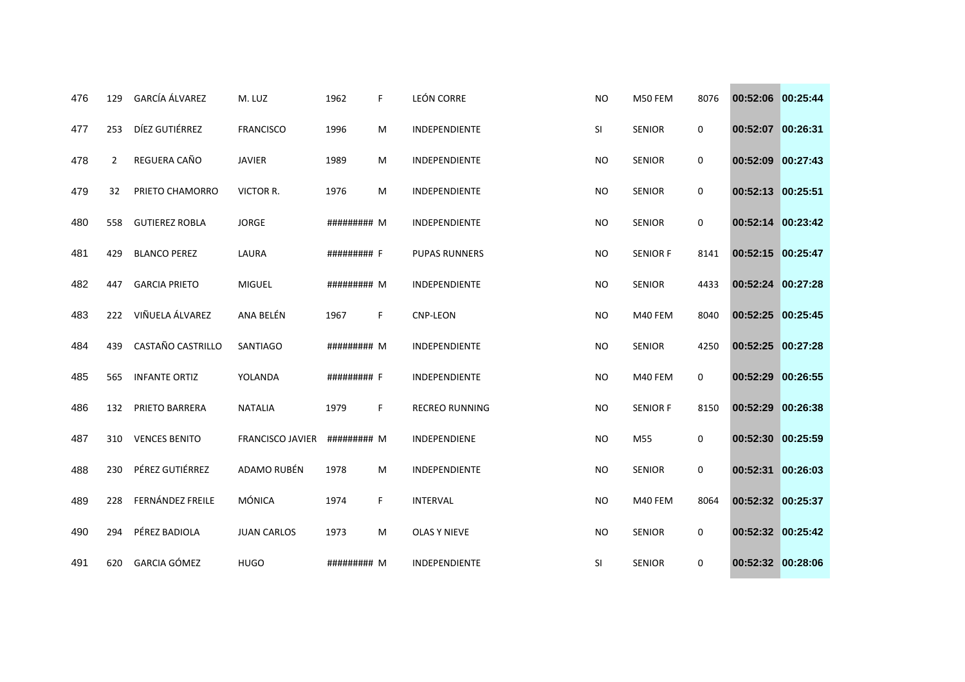| 476 | 129 | <b>GARCÍA ÁLVAREZ</b> | M. LUZ                  | 1962        | F. | <b>LEÓN CORRE</b>     | <b>NO</b> | M50 FEM         | 8076        | 00:52:06 00:25:44 |          |
|-----|-----|-----------------------|-------------------------|-------------|----|-----------------------|-----------|-----------------|-------------|-------------------|----------|
| 477 | 253 | DÍEZ GUTIÉRREZ        | <b>FRANCISCO</b>        | 1996        | M  | INDEPENDIENTE         | SI        | <b>SENIOR</b>   | 0           | 00:52:07 00:26:31 |          |
| 478 | 2   | REGUERA CAÑO          | <b>JAVIER</b>           | 1989        | M  | INDEPENDIENTE         | <b>NO</b> | <b>SENIOR</b>   | 0           | 00:52:09          | 00:27:43 |
| 479 | 32  | PRIETO CHAMORRO       | VICTOR R.               | 1976        | M  | INDEPENDIENTE         | <b>NO</b> | <b>SENIOR</b>   | 0           | 00:52:13          | 00:25:51 |
| 480 | 558 | <b>GUTIEREZ ROBLA</b> | <b>JORGE</b>            | ######### M |    | INDEPENDIENTE         | <b>NO</b> | <b>SENIOR</b>   | 0           | 00:52:14 00:23:42 |          |
| 481 | 429 | <b>BLANCO PEREZ</b>   | LAURA                   | ######### F |    | <b>PUPAS RUNNERS</b>  | <b>NO</b> | <b>SENIOR F</b> | 8141        | 00:52:15 00:25:47 |          |
| 482 | 447 | <b>GARCIA PRIETO</b>  | <b>MIGUEL</b>           | ######### M |    | INDEPENDIENTE         | <b>NO</b> | <b>SENIOR</b>   | 4433        | 00:52:24          | 00:27:28 |
| 483 | 222 | VIÑUELA ÁLVAREZ       | ANA BELÉN               | 1967        | F. | <b>CNP-LEON</b>       | <b>NO</b> | M40 FEM         | 8040        | 00:52:25 00:25:45 |          |
| 484 | 439 | CASTAÑO CASTRILLO     | <b>SANTIAGO</b>         | ######### M |    | INDEPENDIENTE         | <b>NO</b> | <b>SENIOR</b>   | 4250        | 00:52:25          | 00:27:28 |
| 485 | 565 | <b>INFANTE ORTIZ</b>  | YOLANDA                 | ######### F |    | INDEPENDIENTE         | <b>NO</b> | M40 FEM         | $\mathbf 0$ | 00:52:29          | 00:26:55 |
| 486 | 132 | PRIETO BARRERA        | <b>NATALIA</b>          | 1979        | F. | <b>RECREO RUNNING</b> | <b>NO</b> | <b>SENIOR F</b> | 8150        | 00:52:29          | 00:26:38 |
| 487 | 310 | <b>VENCES BENITO</b>  | <b>FRANCISCO JAVIER</b> | ######### M |    | INDEPENDIENE          | <b>NO</b> | M55             | 0           | 00:52:30          | 00:25:59 |
| 488 | 230 | PÉREZ GUTIÉRREZ       | ADAMO RUBÉN             | 1978        | M  | INDEPENDIENTE         | <b>NO</b> | <b>SENIOR</b>   | 0           | 00:52:31          | 00:26:03 |
| 489 | 228 | FERNÁNDEZ FREILE      | MÓNICA                  | 1974        | F. | <b>INTERVAL</b>       | <b>NO</b> | M40 FEM         | 8064        | 00:52:32 00:25:37 |          |
| 490 | 294 | PÉREZ BADIOLA         | <b>JUAN CARLOS</b>      | 1973        | M  | <b>OLAS Y NIEVE</b>   | <b>NO</b> | <b>SENIOR</b>   | $\mathbf 0$ | 00:52:32 00:25:42 |          |
| 491 | 620 | <b>GARCIA GÓMEZ</b>   | <b>HUGO</b>             | ######### M |    | INDEPENDIENTE         | SI        | <b>SENIOR</b>   | 0           | 00:52:32 00:28:06 |          |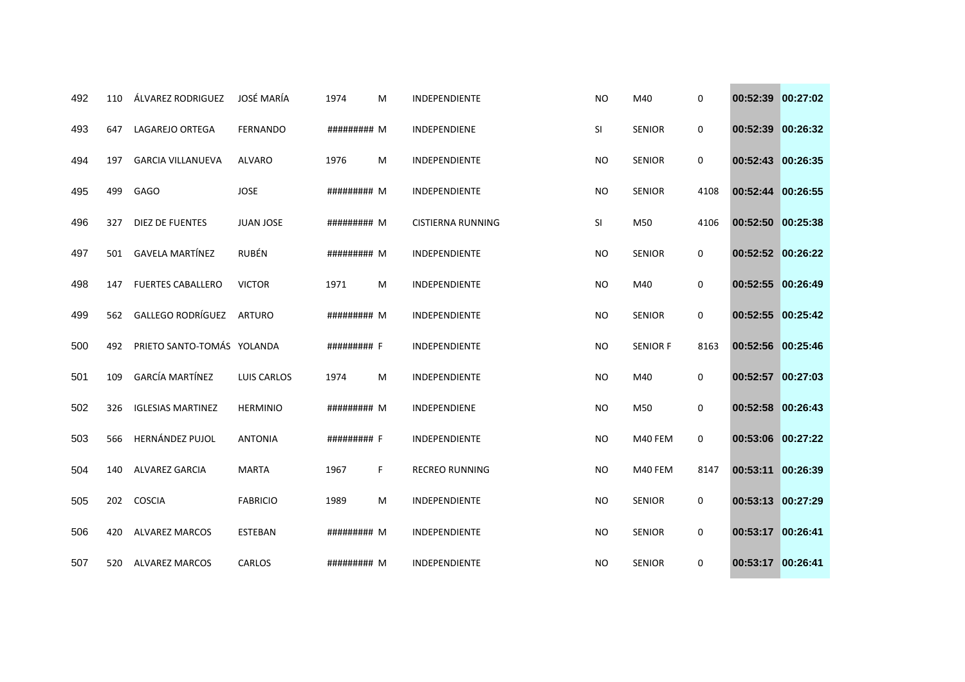| 492 | 110 | ÁLVAREZ RODRIGUEZ          | JOSÉ MARÍA       | 1974        | M  | <b>INDEPENDIENTE</b>  | <b>NO</b> | M40             | 0           | 00:52:39          | 00:27:02 |
|-----|-----|----------------------------|------------------|-------------|----|-----------------------|-----------|-----------------|-------------|-------------------|----------|
| 493 | 647 | LAGAREJO ORTEGA            | <b>FERNANDO</b>  | ######### M |    | INDEPENDIENE          | SI        | <b>SENIOR</b>   | 0           | 00:52:39          | 00:26:32 |
| 494 | 197 | <b>GARCIA VILLANUEVA</b>   | <b>ALVARO</b>    | 1976        | М  | INDEPENDIENTE         | <b>NO</b> | <b>SENIOR</b>   | 0           | 00:52:43 00:26:35 |          |
| 495 | 499 | <b>GAGO</b>                | <b>JOSE</b>      | ######### M |    | <b>INDEPENDIENTE</b>  | <b>NO</b> | <b>SENIOR</b>   | 4108        | 00:52:44          | 00:26:55 |
| 496 | 327 | DIEZ DE FUENTES            | <b>JUAN JOSE</b> | ######### M |    | CISTIERNA RUNNING     | SI        | M50             | 4106        | 00:52:50 00:25:38 |          |
| 497 | 501 | <b>GAVELA MARTÍNEZ</b>     | RUBÉN            | ######### M |    | INDEPENDIENTE         | <b>NO</b> | <b>SENIOR</b>   | 0           | 00:52:52 00:26:22 |          |
| 498 | 147 | <b>FUERTES CABALLERO</b>   | <b>VICTOR</b>    | 1971        | M  | INDEPENDIENTE         | <b>NO</b> | M40             | 0           | 00:52:55          | 00:26:49 |
| 499 | 562 | GALLEGO RODRÍGUEZ          | <b>ARTURO</b>    | ######### M |    | <b>INDEPENDIENTE</b>  | <b>NO</b> | <b>SENIOR</b>   | $\mathbf 0$ | 00:52:55 00:25:42 |          |
| 500 | 492 | PRIETO SANTO-TOMÁS YOLANDA |                  | ######### F |    | INDEPENDIENTE         | <b>NO</b> | <b>SENIOR F</b> | 8163        | 00:52:56          | 00:25:46 |
| 501 | 109 | <b>GARCÍA MARTÍNEZ</b>     | LUIS CARLOS      | 1974        | M  | INDEPENDIENTE         | <b>NO</b> | M40             | 0           | 00:52:57          | 00:27:03 |
| 502 | 326 | <b>IGLESIAS MARTINEZ</b>   | <b>HERMINIO</b>  | ######### M |    | INDEPENDIENE          | <b>NO</b> | M50             | 0           | 00:52:58 00:26:43 |          |
| 503 | 566 | HERNÁNDEZ PUJOL            | <b>ANTONIA</b>   | ######### F |    | <b>INDEPENDIENTE</b>  | <b>NO</b> | M40 FEM         | $\mathbf 0$ | 00:53:06          | 00:27:22 |
| 504 | 140 | <b>ALVAREZ GARCIA</b>      | <b>MARTA</b>     | 1967        | F. | <b>RECREO RUNNING</b> | <b>NO</b> | M40 FEM         | 8147        | 00:53:11          | 00:26:39 |
| 505 | 202 | <b>COSCIA</b>              | <b>FABRICIO</b>  | 1989        | M  | INDEPENDIENTE         | <b>NO</b> | <b>SENIOR</b>   | 0           | 00:53:13 00:27:29 |          |
| 506 | 420 | <b>ALVAREZ MARCOS</b>      | <b>ESTEBAN</b>   | ######### M |    | INDEPENDIENTE         | <b>NO</b> | <b>SENIOR</b>   | 0           | 00:53:17 00:26:41 |          |
| 507 | 520 | <b>ALVAREZ MARCOS</b>      | CARLOS           | ######### M |    | INDEPENDIENTE         | <b>NO</b> | <b>SENIOR</b>   | 0           | 00:53:17 00:26:41 |          |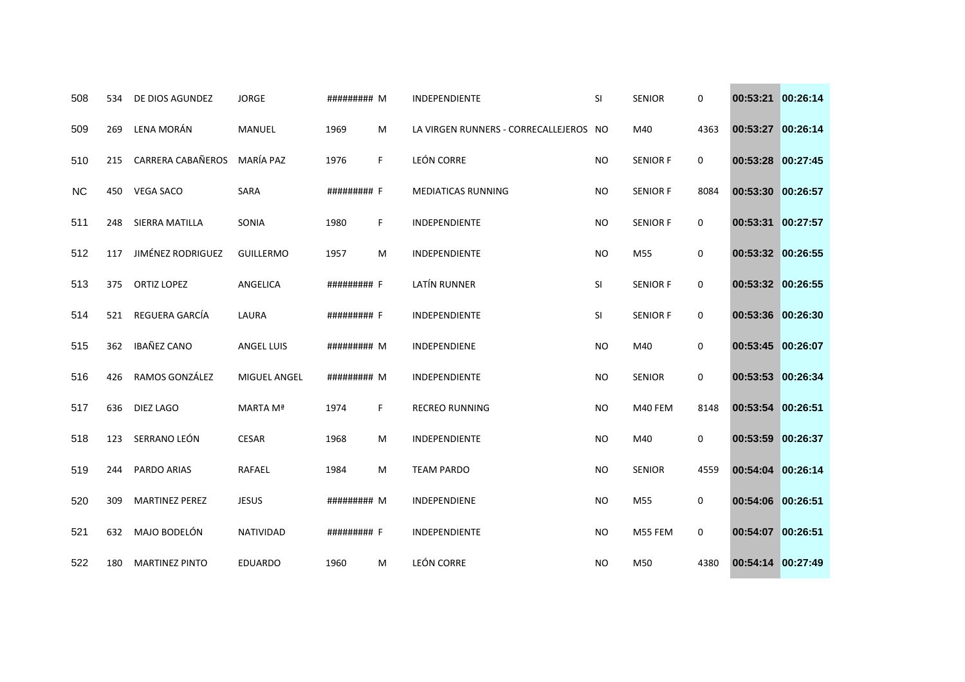| 508       | 534 | DE DIOS AGUNDEZ       | <b>JORGE</b>        | ######### M |    | <b>INDEPENDIENTE</b>                   | <b>SI</b> | <b>SENIOR</b>   | 0           | 00:53:21          | 00:26:14 |
|-----------|-----|-----------------------|---------------------|-------------|----|----------------------------------------|-----------|-----------------|-------------|-------------------|----------|
| 509       | 269 | LENA MORÁN            | MANUEL              | 1969        | M  | LA VIRGEN RUNNERS - CORRECALLEJEROS NO |           | M40             | 4363        | 00:53:27          | 00:26:14 |
| 510       | 215 | CARRERA CABAÑEROS     | MARÍA PAZ           | 1976        | F. | <b>LEÓN CORRE</b>                      | <b>NO</b> | <b>SENIOR F</b> | 0           | 00:53:28 00:27:45 |          |
| <b>NC</b> | 450 | <b>VEGA SACO</b>      | <b>SARA</b>         | ######### F |    | <b>MEDIATICAS RUNNING</b>              | <b>NO</b> | <b>SENIOR F</b> | 8084        | 00:53:30          | 00:26:57 |
| 511       | 248 | SIERRA MATILLA        | SONIA               | 1980        | F. | INDEPENDIENTE                          | <b>NO</b> | <b>SENIOR F</b> | $\mathbf 0$ | 00:53:31          | 00:27:57 |
| 512       | 117 | JIMÉNEZ RODRIGUEZ     | <b>GUILLERMO</b>    | 1957        | M  | INDEPENDIENTE                          | <b>NO</b> | M55             | 0           | 00:53:32 00:26:55 |          |
| 513       | 375 | ORTIZ LOPEZ           | ANGELICA            | ######### F |    | LATÍN RUNNER                           | SI        | <b>SENIOR F</b> | 0           | 00:53:32 00:26:55 |          |
| 514       | 521 | REGUERA GARCÍA        | LAURA               | ######### F |    | INDEPENDIENTE                          | SI        | <b>SENIOR F</b> | 0           | 00:53:36 00:26:30 |          |
| 515       | 362 | <b>IBAÑEZ CANO</b>    | <b>ANGEL LUIS</b>   | ######### M |    | INDEPENDIENE                           | <b>NO</b> | M40             | 0           | 00:53:45          | 00:26:07 |
| 516       | 426 | RAMOS GONZÁLEZ        | <b>MIGUEL ANGEL</b> | ######### M |    | INDEPENDIENTE                          | <b>NO</b> | <b>SENIOR</b>   | 0           | 00:53:53          | 00:26:34 |
| 517       | 636 | <b>DIEZ LAGO</b>      | MARTA Mª            | 1974        | F. | <b>RECREO RUNNING</b>                  | <b>NO</b> | M40 FEM         | 8148        | 00:53:54 00:26:51 |          |
| 518       | 123 | SERRANO LEÓN          | <b>CESAR</b>        | 1968        | M  | INDEPENDIENTE                          | <b>NO</b> | M40             | 0           | 00:53:59          | 00:26:37 |
| 519       | 244 | PARDO ARIAS           | RAFAEL              | 1984        | M  | <b>TEAM PARDO</b>                      | <b>NO</b> | <b>SENIOR</b>   | 4559        | 00:54:04 00:26:14 |          |
| 520       | 309 | <b>MARTINEZ PEREZ</b> | <b>JESUS</b>        | ######### M |    | INDEPENDIENE                           | <b>NO</b> | M55             | 0           | 00:54:06 00:26:51 |          |
| 521       | 632 | MAJO BODELÓN          | NATIVIDAD           | ######### F |    | INDEPENDIENTE                          | <b>NO</b> | M55 FEM         | 0           | 00:54:07          | 00:26:51 |
| 522       | 180 | <b>MARTINEZ PINTO</b> | <b>EDUARDO</b>      | 1960        | M  | <b>LEÓN CORRE</b>                      | <b>NO</b> | M50             | 4380        | 00:54:14 00:27:49 |          |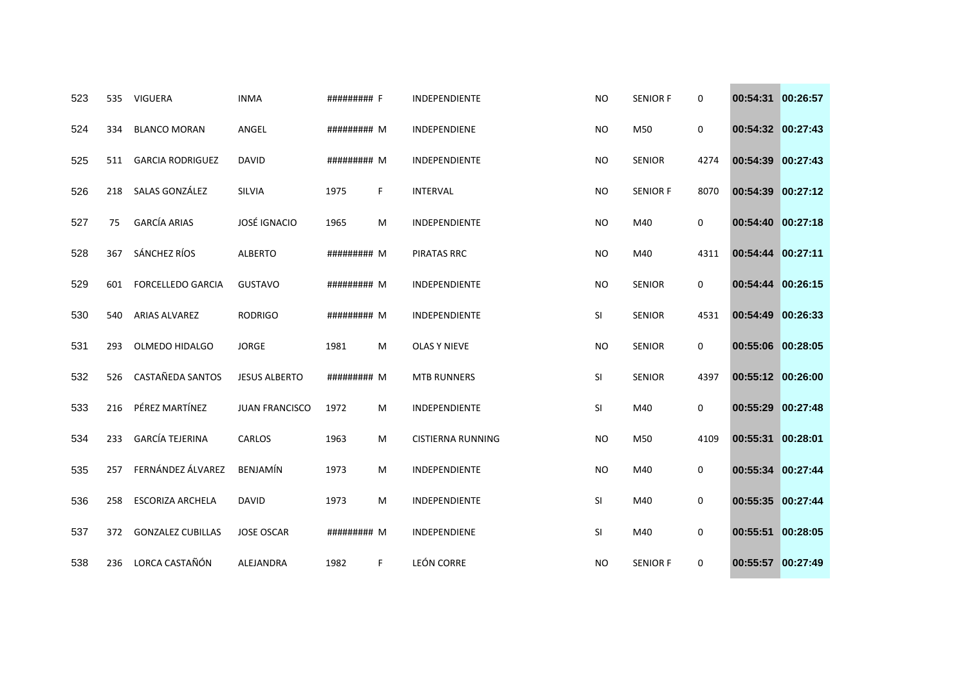| 523 | 535 | <b>VIGUERA</b>           | <b>INMA</b>           | ######### F |    | INDEPENDIENTE            | <b>NO</b> | <b>SENIOR F</b> | 0    | 00:54:31          | 00:26:57 |
|-----|-----|--------------------------|-----------------------|-------------|----|--------------------------|-----------|-----------------|------|-------------------|----------|
| 524 | 334 | <b>BLANCO MORAN</b>      | ANGEL                 | ######### M |    | INDEPENDIENE             | <b>NO</b> | M50             | 0    | 00:54:32 00:27:43 |          |
| 525 | 511 | <b>GARCIA RODRIGUEZ</b>  | <b>DAVID</b>          | ######### M |    | INDEPENDIENTE            | <b>NO</b> | <b>SENIOR</b>   | 4274 | 00:54:39 00:27:43 |          |
| 526 | 218 | SALAS GONZÁLEZ           | SILVIA                | 1975        | F  | <b>INTERVAL</b>          | <b>NO</b> | <b>SENIOR F</b> | 8070 | 00:54:39          | 00:27:12 |
| 527 | 75  | <b>GARCÍA ARIAS</b>      | <b>JOSÉ IGNACIO</b>   | 1965        | M  | INDEPENDIENTE            | <b>NO</b> | M40             | 0    | 00:54:40 00:27:18 |          |
| 528 | 367 | SÁNCHEZ RÍOS             | <b>ALBERTO</b>        | ######### M |    | PIRATAS RRC              | <b>NO</b> | M40             | 4311 | 00:54:44 00:27:11 |          |
| 529 | 601 | <b>FORCELLEDO GARCIA</b> | <b>GUSTAVO</b>        | ######### M |    | INDEPENDIENTE            | <b>NO</b> | <b>SENIOR</b>   | 0    | 00:54:44          | 00:26:15 |
| 530 | 540 | <b>ARIAS ALVAREZ</b>     | <b>RODRIGO</b>        | ######### M |    | INDEPENDIENTE            | SI        | <b>SENIOR</b>   | 4531 | 00:54:49 00:26:33 |          |
| 531 | 293 | OLMEDO HIDALGO           | <b>JORGE</b>          | 1981        | M  | <b>OLAS Y NIEVE</b>      | <b>NO</b> | <b>SENIOR</b>   | 0    | 00:55:06          | 00:28:05 |
| 532 | 526 | CASTAÑEDA SANTOS         | <b>JESUS ALBERTO</b>  | ######### M |    | <b>MTB RUNNERS</b>       | SI        | <b>SENIOR</b>   | 4397 | 00:55:12 00:26:00 |          |
| 533 | 216 | PÉREZ MARTÍNEZ           | <b>JUAN FRANCISCO</b> | 1972        | M  | INDEPENDIENTE            | SI        | M40             | 0    | 00:55:29          | 00:27:48 |
| 534 | 233 | <b>GARCÍA TEJERINA</b>   | <b>CARLOS</b>         | 1963        | M  | <b>CISTIERNA RUNNING</b> | <b>NO</b> | M50             | 4109 | 00:55:31          | 00:28:01 |
| 535 | 257 | FERNÁNDEZ ÁLVAREZ        | <b>BENJAMÍN</b>       | 1973        | м  | INDEPENDIENTE            | <b>NO</b> | M40             | 0    | 00:55:34          | 00:27:44 |
| 536 | 258 | <b>ESCORIZA ARCHELA</b>  | <b>DAVID</b>          | 1973        | M  | INDEPENDIENTE            | SI        | M40             | 0    | 00:55:35          | 00:27:44 |
| 537 | 372 | <b>GONZALEZ CUBILLAS</b> | <b>JOSE OSCAR</b>     | ######### M |    | INDEPENDIENE             | SI        | M40             | 0    | 00:55:51          | 00:28:05 |
| 538 | 236 | LORCA CASTAÑÓN           | ALEJANDRA             | 1982        | F. | <b>LEÓN CORRE</b>        | <b>NO</b> | <b>SENIOR F</b> | 0    | 00:55:57 00:27:49 |          |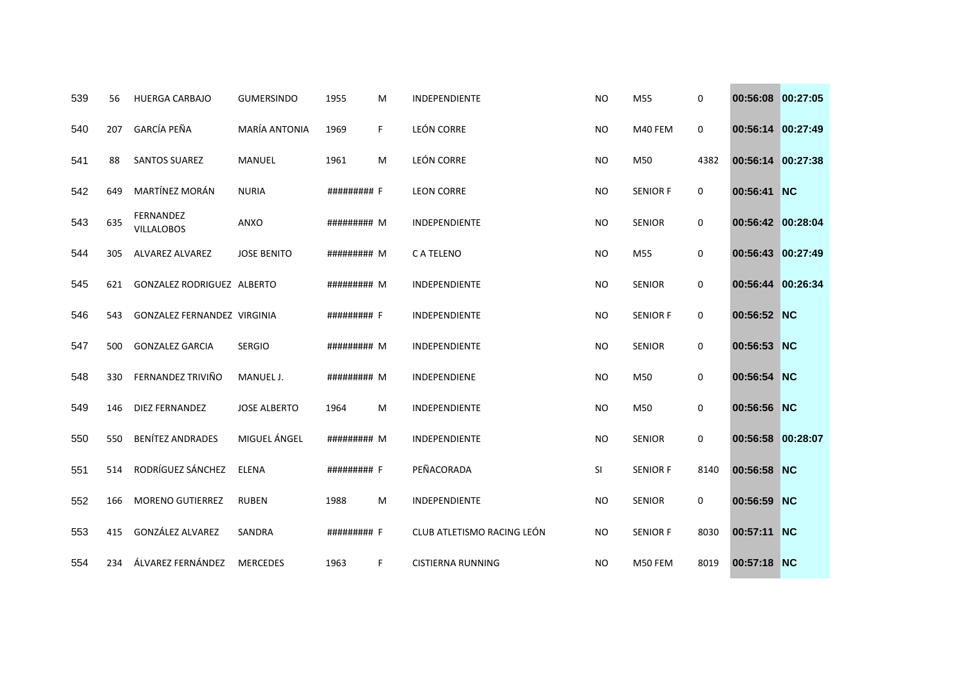| 539 | 56  | <b>HUERGA CARBAJO</b>              | <b>GUMERSINDO</b>    | 1955        | M  | <b>INDEPENDIENTE</b>       | <b>NO</b> | M55             | 0    | 00:56:08 00:27:05 |           |
|-----|-----|------------------------------------|----------------------|-------------|----|----------------------------|-----------|-----------------|------|-------------------|-----------|
| 540 | 207 | GARCÍA PEÑA                        | <b>MARÍA ANTONIA</b> | 1969        | F. | LEÓN CORRE                 | <b>NO</b> | M40 FEM         | 0    | 00:56:14 00:27:49 |           |
| 541 | 88  | <b>SANTOS SUAREZ</b>               | <b>MANUEL</b>        | 1961        | M  | LEÓN CORRE                 | <b>NO</b> | M50             | 4382 | 00:56:14 00:27:38 |           |
| 542 | 649 | MARTÍNEZ MORÁN                     | <b>NURIA</b>         | ######### F |    | <b>LEON CORRE</b>          | <b>NO</b> | <b>SENIOR F</b> | 0    | 00:56:41          | <b>NC</b> |
| 543 | 635 | FERNANDEZ<br><b>VILLALOBOS</b>     | ANXO                 | ######### M |    | <b>INDEPENDIENTE</b>       | <b>NO</b> | <b>SENIOR</b>   | 0    | 00:56:42 00:28:04 |           |
| 544 | 305 | ALVAREZ ALVAREZ                    | <b>JOSE BENITO</b>   | ######### M |    | C A TELENO                 | <b>NO</b> | M55             | 0    | 00:56:43 00:27:49 |           |
| 545 | 621 | GONZALEZ RODRIGUEZ ALBERTO         |                      | ######### M |    | INDEPENDIENTE              | <b>NO</b> | <b>SENIOR</b>   | 0    | 00:56:44 00:26:34 |           |
| 546 | 543 | <b>GONZALEZ FERNANDEZ VIRGINIA</b> |                      | ######### F |    | <b>INDEPENDIENTE</b>       | <b>NO</b> | <b>SENIOR F</b> | 0    | 00:56:52 NC       |           |
| 547 | 500 | <b>GONZALEZ GARCIA</b>             | <b>SERGIO</b>        | ######### M |    | <b>INDEPENDIENTE</b>       | <b>NO</b> | <b>SENIOR</b>   | 0    | 00:56:53 NC       |           |
| 548 | 330 | FERNANDEZ TRIVIÑO                  | MANUEL J.            | ######### M |    | <b>INDEPENDIENE</b>        | <b>NO</b> | M50             | 0    | 00:56:54 NC       |           |
| 549 | 146 | <b>DIEZ FERNANDEZ</b>              | <b>JOSE ALBERTO</b>  | 1964        | M  | INDEPENDIENTE              | <b>NO</b> | M50             | 0    | 00:56:56 NC       |           |
| 550 | 550 | <b>BENÍTEZ ANDRADES</b>            | MIGUEL ÁNGEL         | ######### M |    | <b>INDEPENDIENTE</b>       | <b>NO</b> | <b>SENIOR</b>   | 0    | 00:56:58          | 00:28:07  |
| 551 | 514 | RODRÍGUEZ SÁNCHEZ                  | <b>ELENA</b>         | ######### F |    | PEÑACORADA                 | SI        | <b>SENIOR F</b> | 8140 | 00:56:58 NC       |           |
| 552 | 166 | <b>MORENO GUTIERREZ</b>            | <b>RUBEN</b>         | 1988        | M  | INDEPENDIENTE              | <b>NO</b> | <b>SENIOR</b>   | 0    | 00:56:59          | <b>NC</b> |
| 553 | 415 | GONZÁLEZ ALVAREZ                   | SANDRA               | ######### F |    | CLUB ATLETISMO RACING LEÓN | <b>NO</b> | <b>SENIOR F</b> | 8030 | 00:57:11 NC       |           |
| 554 | 234 | ÁLVAREZ FERNÁNDEZ                  | <b>MERCEDES</b>      | 1963        | F  | <b>CISTIERNA RUNNING</b>   | NO.       | M50 FEM         | 8019 | 00:57:18 NC       |           |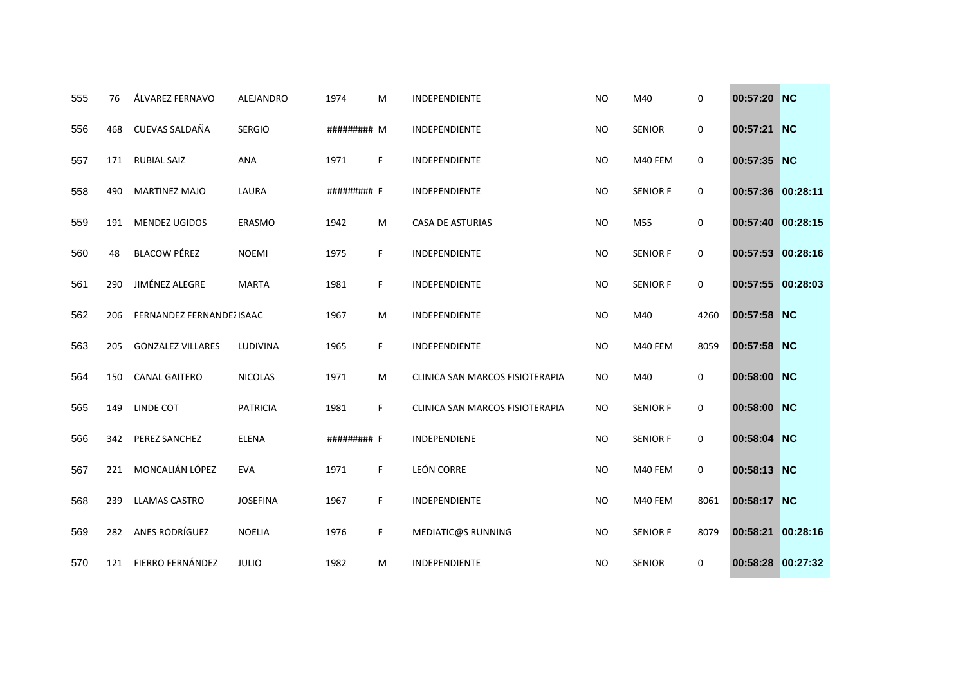| 555 | 76  | ÁLVAREZ FERNAVO           | <b>ALEJANDRO</b> | 1974        | м  | <b>INDEPENDIENTE</b>            | <b>NO</b> | M40             | 0           | 00:57:20 NC       |          |
|-----|-----|---------------------------|------------------|-------------|----|---------------------------------|-----------|-----------------|-------------|-------------------|----------|
| 556 | 468 | CUEVAS SALDAÑA            | <b>SERGIO</b>    | ######### M |    | INDEPENDIENTE                   | <b>NO</b> | <b>SENIOR</b>   | 0           | 00:57:21 NC       |          |
| 557 | 171 | <b>RUBIAL SAIZ</b>        | <b>ANA</b>       | 1971        | F  | INDEPENDIENTE                   | <b>NO</b> | M40 FEM         | 0           | 00:57:35 NC       |          |
| 558 | 490 | <b>MARTINEZ MAJO</b>      | LAURA            | ######### F |    | <b>INDEPENDIENTE</b>            | <b>NO</b> | <b>SENIOR F</b> | $\mathbf 0$ | 00:57:36 00:28:11 |          |
| 559 | 191 | <b>MENDEZ UGIDOS</b>      | ERASMO           | 1942        | м  | <b>CASA DE ASTURIAS</b>         | <b>NO</b> | M55             | 0           | 00:57:40 00:28:15 |          |
| 560 | 48  | <b>BLACOW PÉREZ</b>       | <b>NOEMI</b>     | 1975        | F. | INDEPENDIENTE                   | <b>NO</b> | <b>SENIOR F</b> | 0           | 00:57:53 00:28:16 |          |
| 561 | 290 | JIMÉNEZ ALEGRE            | <b>MARTA</b>     | 1981        | F. | INDEPENDIENTE                   | <b>NO</b> | <b>SENIOR F</b> | 0           | 00:57:55 00:28:03 |          |
| 562 | 206 | FERNANDEZ FERNANDEZ ISAAC |                  | 1967        | м  | <b>INDEPENDIENTE</b>            | <b>NO</b> | M40             | 4260        | 00:57:58 NC       |          |
| 563 | 205 | <b>GONZALEZ VILLARES</b>  | LUDIVINA         | 1965        | F. | INDEPENDIENTE                   | <b>NO</b> | M40 FEM         | 8059        | 00:57:58 NC       |          |
| 564 | 150 | <b>CANAL GAITERO</b>      | <b>NICOLAS</b>   | 1971        | м  | CLINICA SAN MARCOS FISIOTERAPIA | NO.       | M40             | 0           | 00:58:00 NC       |          |
| 565 | 149 | LINDE COT                 | <b>PATRICIA</b>  | 1981        | F. | CLINICA SAN MARCOS FISIOTERAPIA | <b>NO</b> | <b>SENIOR F</b> | 0           | 00:58:00 NC       |          |
| 566 | 342 | PEREZ SANCHEZ             | <b>ELENA</b>     | ######### F |    | <b>INDEPENDIENE</b>             | <b>NO</b> | <b>SENIOR F</b> | $\mathbf 0$ | 00:58:04 NC       |          |
| 567 | 221 | MONCALIÁN LÓPEZ           | <b>EVA</b>       | 1971        | F. | LEÓN CORRE                      | <b>NO</b> | M40 FEM         | 0           | 00:58:13 NC       |          |
| 568 | 239 | <b>LLAMAS CASTRO</b>      | <b>JOSEFINA</b>  | 1967        | F. | INDEPENDIENTE                   | <b>NO</b> | M40 FEM         | 8061        | 00:58:17 NC       |          |
| 569 | 282 | ANES RODRÍGUEZ            | <b>NOELIA</b>    | 1976        | F. | <b>MEDIATIC@S RUNNING</b>       | <b>NO</b> | <b>SENIOR F</b> | 8079        | 00:58:21          | 00:28:16 |
| 570 | 121 | FIERRO FERNÁNDEZ          | <b>JULIO</b>     | 1982        | м  | INDEPENDIENTE                   | <b>NO</b> | <b>SENIOR</b>   | $\mathbf 0$ | 00:58:28 00:27:32 |          |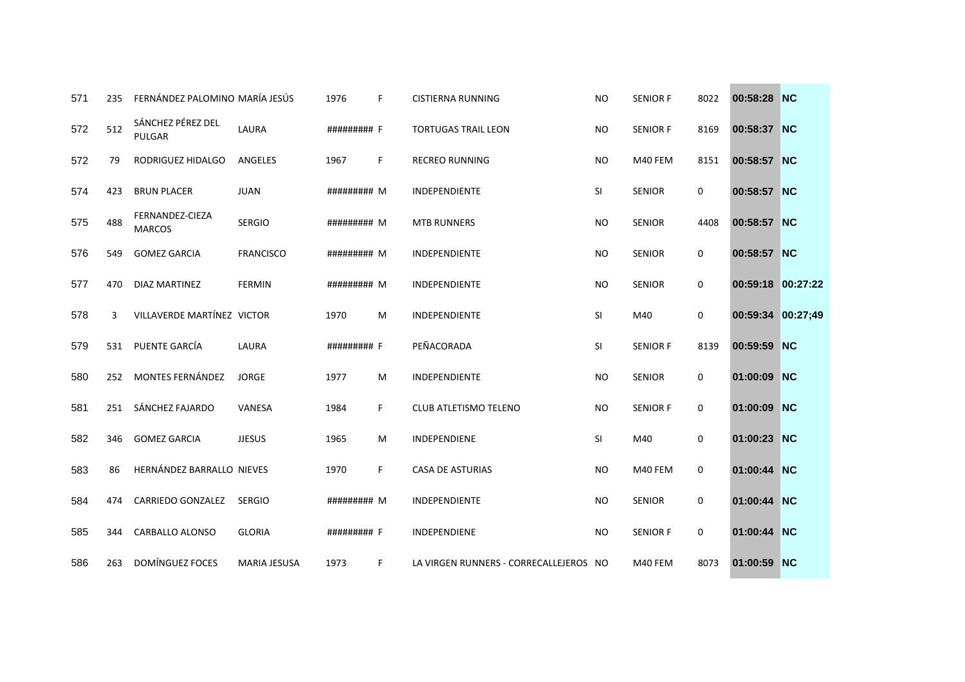| 571 | 235 | FERNÁNDEZ PALOMINO MARÍA JESÚS     |                     | 1976            | F. | CISTIERNA RUNNING                      | <b>NO</b>      | <b>SENIOR F</b> | 8022        | 00:58:28          | <b>NC</b> |
|-----|-----|------------------------------------|---------------------|-----------------|----|----------------------------------------|----------------|-----------------|-------------|-------------------|-----------|
| 572 | 512 | SÁNCHEZ PÉREZ DEL<br><b>PULGAR</b> | LAURA               | ######### F     |    | <b>TORTUGAS TRAIL LEON</b>             | N <sub>O</sub> | <b>SENIOR F</b> | 8169        | 00:58:37 NC       |           |
| 572 | 79  | RODRIGUEZ HIDALGO                  | ANGELES             | 1967            | F  | <b>RECREO RUNNING</b>                  | NO.            | M40 FEM         | 8151        | 00:58:57 NC       |           |
| 574 | 423 | <b>BRUN PLACER</b>                 | <b>JUAN</b>         | ######### M     |    | <b>INDEPENDIENTE</b>                   | SI             | <b>SENIOR</b>   | $\mathbf 0$ | 00:58:57 NC       |           |
| 575 | 488 | FERNANDEZ-CIEZA<br><b>MARCOS</b>   | <b>SERGIO</b>       | ######### M     |    | <b>MTB RUNNERS</b>                     | <b>NO</b>      | <b>SENIOR</b>   | 4408        | 00:58:57 NC       |           |
| 576 | 549 | <b>GOMEZ GARCIA</b>                | <b>FRANCISCO</b>    | $\#$ ######## M |    | INDEPENDIENTE                          | <b>NO</b>      | <b>SENIOR</b>   | 0           | 00:58:57 NC       |           |
| 577 | 470 | <b>DIAZ MARTINEZ</b>               | <b>FERMIN</b>       | ######### M     |    | <b>INDEPENDIENTE</b>                   | <b>NO</b>      | <b>SENIOR</b>   | $\mathbf 0$ | 00:59:18 00:27:22 |           |
| 578 | 3   | VILLAVERDE MARTÍNEZ VICTOR         |                     | 1970            | M  | INDEPENDIENTE                          | SI             | M40             | $\mathbf 0$ | 00:59:34 00:27;49 |           |
| 579 | 531 | PUENTE GARCÍA                      | LAURA               | ######### F     |    | PEÑACORADA                             | SI             | <b>SENIOR F</b> | 8139        | 00:59:59 NC       |           |
| 580 | 252 | MONTES FERNÁNDEZ                   | <b>JORGE</b>        | 1977            | M  | INDEPENDIENTE                          | <b>NO</b>      | <b>SENIOR</b>   | $\mathbf 0$ | 01:00:09          | NC        |
| 581 | 251 | SÁNCHEZ FAJARDO                    | VANESA              | 1984            | F. | CLUB ATLETISMO TELENO                  | NO             | <b>SENIOR F</b> | $\mathbf 0$ | 01:00:09          | NC        |
| 582 | 346 | <b>GOMEZ GARCIA</b>                | <b>JJESUS</b>       | 1965            | M  | INDEPENDIENE                           | SI             | M40             | $\mathbf 0$ | 01:00:23          | NC        |
| 583 | 86  | <b>HERNÁNDEZ BARRALLO NIEVES</b>   |                     | 1970            | F. | <b>CASA DE ASTURIAS</b>                | N <sub>O</sub> | M40 FEM         | $\mathbf 0$ | 01:00:44          | NC        |
| 584 | 474 | CARRIEDO GONZALEZ                  | <b>SERGIO</b>       | ######### M     |    | <b>INDEPENDIENTE</b>                   | <b>NO</b>      | <b>SENIOR</b>   | $\mathbf 0$ | 01:00:44 NC       |           |
| 585 | 344 | CARBALLO ALONSO                    | <b>GLORIA</b>       | ######### F     |    | <b>INDEPENDIENE</b>                    | <b>NO</b>      | <b>SENIOR F</b> | $\mathbf 0$ | 01:00:44          | NC        |
| 586 | 263 | <b>DOMÍNGUEZ FOCES</b>             | <b>MARIA JESUSA</b> | 1973            | F  | LA VIRGEN RUNNERS - CORRECALLEJEROS NO |                | M40 FEM         | 8073        | 01:00:59 NC       |           |